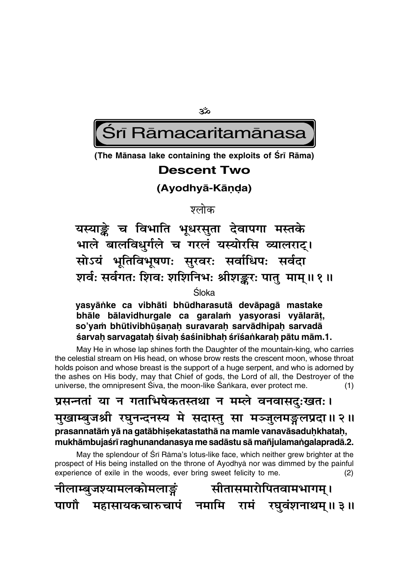ૐ

# Śrī Rāmacaritamānasa

(The Mānasa lake containing the exploits of Srī Rāma)

#### **Descent Two**

(Ayodhyā-Kānda)

ञ्लोक

यस्याङ्के च विभाति भूधरसुता देवापगा मस्तके भाले बालविधुर्गले च गरलं यस्योरसि व्यालराट्। सोऽयं भूतिविभूषणः सुरवरः सर्वाधिपः सर्वदा शर्वः सर्वगतः शिवः शशिनिभः श्रीशङ्करः पातु माम्॥१॥

**Śloka** 

yasyānke ca vibhāti bhūdharasutā devāpagā mastake bhāle bālavidhurgale ca garalam yasyorasi vyālarāt, so'yam bhūtivibhūsanah suravarah sarvādhipah sarvadā śarvah sarvagatah śivah śaśinibhah śrīśankarah pātu mām.1.

May He in whose lap shines forth the Daughter of the mountain-king, who carries the celestial stream on His head, on whose brow rests the crescent moon, whose throat holds poison and whose breast is the support of a huge serpent, and who is adorned by the ashes on His body, may that Chief of gods, the Lord of all, the Destroyer of the universe, the omnipresent Siva, the moon-like Sankara, ever protect me.  $(1)$ 

### प्रसन्नतां या न गताभिषेकतस्तथा न मम्ले वनवासदुःखतः।

मखाम्बजश्री रघनन्दनस्य मे सदास्तु सा मञ्जुलमङ्गलप्रदा॥२॥ prasannatām vā na gatābhisekatastathā na mamle vanavāsaduhkhatah, mukhāmbujaśrī raghunandanasya me sadāstu sā mañjulamaṅgalapradā.2.

May the splendour of Srī Rāma's lotus-like face, which neither grew brighter at the prospect of His being installed on the throne of Ayodhya nor was dimmed by the painful experience of exile in the woods, ever bring sweet felicity to me.  $(2)$ 

### नीलाम्बजश्यामलकोमलाङं सीतासमारोपितवामभागम् । पाणौ महासायकचारुचापं नमामि रामं रघुवंशनाथम्॥३॥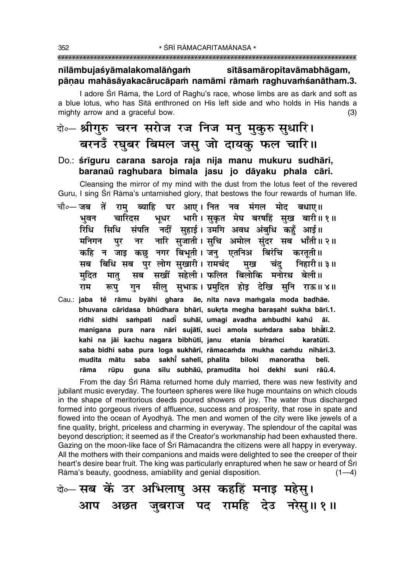#### nīlāmbujaśyāmalakomalāngam sītāsamāropitavāmabhāgam, pānau mahāsāyakacārucāpam namāmi rāmam raghuvamśanātham.3.

I adore Srī Rāma, the Lord of Raghu's race, whose limbs are as dark and soft as a blue lotus, who has Sita enthroned on His left side and who holds in His hands a mighty arrow and a graceful bow.  $(3)$ 

बे-शीगुरु चरन सरोज रज निज मनु मुकुरु सुधारि। बरनउँ रघुबर बिमल जसु जो दायकु फल चारि॥

Do.: śrīguru carana saroja raja nija manu mukuru sudhāri, baranaŭ raghubara bimala jasu jo dāyaku phala cāri.

Cleansing the mirror of my mind with the dust from the lotus feet of the revered Guru, I sing Srī Rāma's untarnished glory, that bestows the four rewards of human life.

- चौ०— जब तें राम ब्याहि घर आए। नित नव मंगल मोद बधाए॥ भूधर भारी। सकत मेघ बरषहिं सुख बारी॥१॥ चारिदस भवन रिधि सिधि संपति नदीं सुहाई। उमगि अवध अंबुधि कहुँ आई।। नर नारि सुजाती। सुचि अमोल सुंदर सब भाँती॥ २॥ मनिगन पुर कहि न जाइ कछ नगर बिभूती। जनु एतनिअ बिरंचि करतृती॥ सब बिधि सब पुर लोग सुखारी। रामचंद निहारी॥ ३॥ मुख चंद सब सखीं सहेली। फलित बिलोकि मनोरथ बेली॥ मदित मात सीलु सुभाऊ। प्रमुदित होइ देखि सुनि राऊ॥४॥ राम रूप् गुन
- Cau.: jaba tě rāmu byāhi ghara āe, nita nava mamgala moda badhāe. bhuvana cāridasa bhūdhara bhārī, sukrta megha barașahi sukha bārī.1. nadi suhāī, umagi avadha ambudhi kahů ridhi sidhi sampati āī. manigana pura nara nāri sujātī, suci amola sumdara saba bhātī.2. kahi na jāi kachu nagara bibhūtī, janu etania biramci karatūtī. saba bidhi saba pura loga sukhārī, rāmacamda mukha camdu nihārī.3. sakhi sahelī, phalita mudita mātu saba biloki manoratha helī guna sīlu subhāū, pramudita hoi dekhi suni rāū.4. rāma rūpu

From the day Sri Rama returned home duly married, there was new festivity and jubilant music everyday. The fourteen spheres were like huge mountains on which clouds in the shape of meritorious deeds poured showers of joy. The water thus discharged formed into gorgeous rivers of affluence, success and prosperity, that rose in spate and flowed into the ocean of Ayodhya. The men and women of the city were like jewels of a fine quality, bright, priceless and charming in everyway. The splendour of the capital was beyond description; it seemed as if the Creator's workmanship had been exhausted there. Gazing on the moon-like face of Sri Ramacandra the citizens were all happy in everyway. All the mothers with their companions and maids were delighted to see the creeper of their heart's desire bear fruit. The king was particularly enraptured when he saw or heard of Sri Rāma's beauty, goodness, amiability and genial disposition.  $(1-4)$ 

वेञ्- सब कें उर अभिलाषु अस कहहिं मनाइ महेस्। आप अछत जुबराज पद रामहि देउ नरेसु॥१॥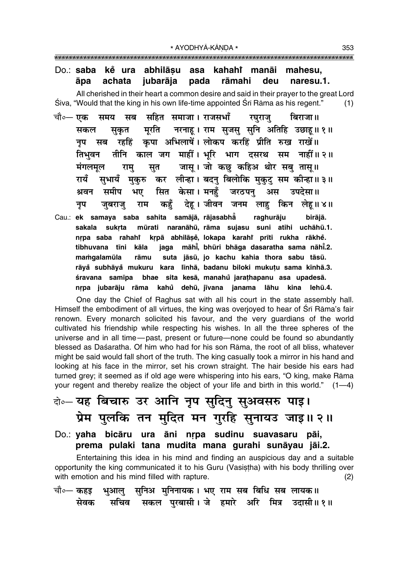#### Do.:  $saba$ kĕ ura abhilāsu asa kahahi manāi mahesu, achata jubarāja pada rāmahi āpa deu naresu.1.

All cherished in their heart a common desire and said in their prayer to the great Lord Śiva, "Would that the king in his own life-time appointed Śrī Rāma as his regent."  $(1)$ 

- चौ०— **एक** सब सहित समाजा। राजसभाँ समय बिराजा॥ रघराज नरनाह। राम सुजस सनि अतिहि उछाह॥ १॥ मरति सकल सकत कपा अभिलाषें। लोकप करहिं प्रीति रुख राखें॥ नप सब रहहिं तीनि काल जग माहीं। भरि भाग दसरथ सम नाहीं॥२॥ तिभवन जासू। जो कछ कहिअ थोर सबु तासू॥ मंगलमुल सूत राम् सुभायँ मुकुरु कर लीन्हा। बदनु बिलोकि मुकुटु सम कीन्हा॥३॥ गयँ सित केसा। मनहँ जरठपन अस उपदेसा॥ श्रवन समीप भए कहँ देह। जीवन जनम लाहु किन लेह॥४॥ राम नुप जबराज
- Cau.: ek samaya saba sahita samājā, rājasabha raghurāju birāiā. mūrati naranāhū, rāma sujasu suni atihi uchāhū.1. sakala sukrta nrpa saba rahahi krpā abhilāse, lokapa karahi prīti rukha rākhe. jaga māhi, bhūri bhāga dasaratha sama nāhi.2. tibhuvana tīni kāla mamqalamūla rāmu suta jāsū, jo kachu kahia thora sabu tāsū. rāyå subhāyå mukuru kara līnhā, badanu biloki mukutu sama kīnhā.3. śravana samīpa bhae sita kesā, manahů jarathapanu asa upadesā. nrpa jubarāju rāma kahů dehū, jīvana janama lāhu kina lehū.4.

One day the Chief of Raghus sat with all his court in the state assembly hall. Himself the embodiment of all virtues, the king was overjoyed to hear of Srī Rāma's fair renown. Every monarch solicited his favour, and the very quardians of the world cultivated his friendship while respecting his wishes. In all the three spheres of the universe and in all time—past, present or future—none could be found so abundantly blessed as Daśaratha. Of him who had for his son Rāma, the root of all bliss, whatever might be said would fall short of the truth. The king casually took a mirror in his hand and looking at his face in the mirror, set his crown straight. The hair beside his ears had turned grey; it seemed as if old age were whispering into his ears, "O king, make Rāma your regent and thereby realize the object of your life and birth in this world."  $(1-4)$ 

# वे॰ यह बिचारु उर आनि नूप सुदिनु सुअवसरु पाइ। प्रेम पुलकि तन मुदित मन गुरहि सुनायउ जाइ।। २।।

Do.: yaha bicāru ura āni nrpa sudinu suavasaru pāi, prema pulaki tana mudita mana gurahi sunāyau jāi.2.

Entertaining this idea in his mind and finding an auspicious day and a suitable opportunity the king communicated it to his Guru (Vasistha) with his body thrilling over with emotion and his mind filled with rapture.  $(2)$ 

भुआलु सुनिअ मुनिनायक। भए राम सब बिधि सब लायक॥ चौ०— कहड सचिव सकल पुरबासी। जे हमारे अरि मित्र उदासी॥१॥ सेवक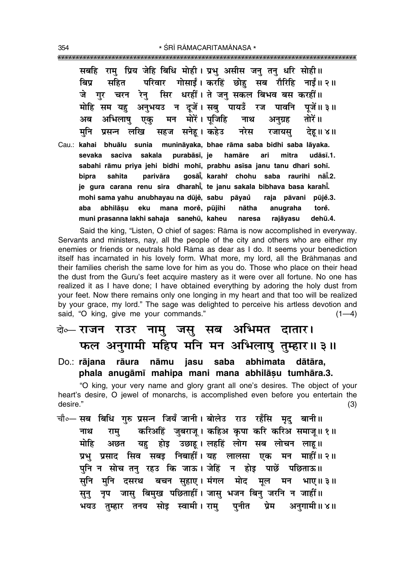सबहि राम प्रिय जेहि बिधि मोही। प्रभ असीस जन तन धरि सोही॥ परिवार गोसाईं। करहिं छोह सब रौरिहि नाईं॥२॥ बिप्र सहित सिर धरहीं। ते जन सकल बिभव बस करहीं॥ जे गर चरन रेन अनुभयउ न दुजें। सब् पायउँ रज पावनि पर्जे ॥ ३ ॥ मोहि सम यह मन मोरें। पंजिहि अभिलाष एक तोरें ॥ अब नाथ अनग्रह सहज सनेह। कहेउ मनि प्रसन्न लखि नरेस रजायस देह॥४॥ Cau.: kahai bhuālu sunia munināyaka, bhae rāma saba bidhi saba lāyaka. purabāsī, je ari sevaka saciva sakala hamāre mitra udāsī.1. sabahi rāmu priva iehi bidhi mohī, prabhu asīsa ianu tanu dhari sohī. bipra sahita parivāra gosāi, karahi chohu saba raurihi nāi.2. je gura carana renu sira dharahi, te janu sakala bibhava basa karahi. mohi sama yahu anubhayau na dūjė, sabu pāyaů raja pāvani pūjė.3. abhilāsu eku mana morė, pūjihi aba nātha anugraha torě. muni prasanna lakhi sahaja sanehū, kaheu dehū.4. naresa rajāyasu

Said the king, "Listen, O chief of sages: Rama is now accomplished in everyway. Servants and ministers, nay, all the people of the city and others who are either my enemies or friends or neutrals hold Rāma as dear as I do. It seems your benediction itself has incarnated in his lovely form. What more, my lord, all the Brāhmanas and their families cherish the same love for him as you do. Those who place on their head the dust from the Guru's feet acquire mastery as it were over all fortune. No one has realized it as I have done; I have obtained everything by adoring the holy dust from your feet. Now there remains only one longing in my heart and that too will be realized by your grace, my lord." The sage was delighted to perceive his artless devotion and said, "O king, give me your commands."  $(1-4)$ 

### बेञ्चल राजन राउर नामु जसु सब अभिमत दातार। फल अनुगामी महिप मनि मन अभिलाषु तुम्हार॥३॥

#### Do.: rājana rāura nāmu jasu saba abhimata dātāra. phala anugāmī mahipa mani mana abhilāsu tumhāra.3.

"O king, your very name and glory grant all one's desires. The object of your heart's desire, O jewel of monarchs, is accomplished even before you entertain the desire."  $(3)$ 

चौ०— सब बिधि गुरु प्रसन्न जियँ जानी। बोलेउ राउ रहँसि मृदु बानी॥ करिअहिं जबराज् । कहिअ कपा करि करिअ समाज् ॥ १ ॥ नाथ राम यह होइ उछाह। लहहिं लोग सब लोचन लाह।। मोहि अछत प्रभ प्रसाद सिव सबइ निबाहीं। यह लालसा एक मन माहीं॥ २॥ पनि न सोच तन रहउ कि जाऊ। जेहिं न होड़ पाछें पछिताऊ॥ सूनि मुनि दसरथ बचन सुहाए। मंगल मोद मूल मन भाए॥३॥ नृप जासु बिमुख पछिताहीं। जासु भजन बिनु जरनि न जाहीं॥ सन् भयउ तुम्हार तनय सोइ स्वामी। रामु पुनीत प्रेम अनुगामी॥४॥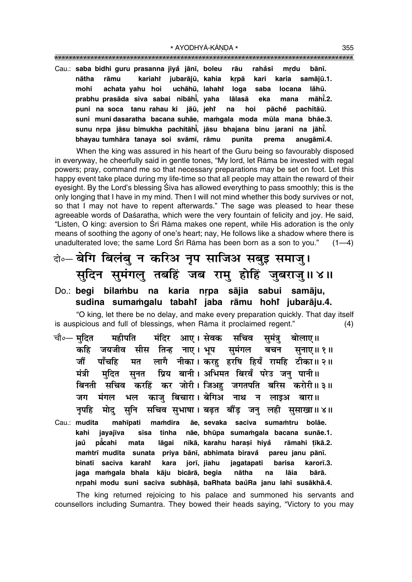\* AYODHYĀ-KĀNDA \* 

Cau.: saba bidhi guru prasanna jiyå jānī, boleu rāu rahåsi mrdu bānī. jubarājū, kahia samājū.1. nātha rāmu kariaht krpā kari karia uchāhū. lahahi lāhū. mohi achata vahu hoi loga saba locana prabhu prasāda siva sabai nibāhī, yaha eka māhī̃.2. lālasā mana puni na soca tanu rahau ki jāū, jehř na hoi pāchě pachitāū. suni muni dasaratha bacana suhāe, mamgala moda mūla mana bhāe.3. sunu nrpa jāsu bimukha pachitāhi, jāsu bhajana binu jarani na jāhi. bhayau tumhāra tanaya soi svāmī, rāmu punīta prema anugāmī.4.

When the king was assured in his heart of the Guru being so favourably disposed in everyway, he cheerfully said in gentle tones, "My lord, let Rāma be invested with regal powers; pray, command me so that necessary preparations may be set on foot. Let this happy event take place during my life-time so that all people may attain the reward of their evesight. By the Lord's blessing Siva has allowed everything to pass smoothly; this is the only longing that I have in my mind. Then I will not mind whether this body survives or not, so that I may not have to repent afterwards." The sage was pleased to hear these agreeable words of Daśaratha, which were the very fountain of felicity and joy. He said, "Listen, O king: aversion to Śrī Rāma makes one repent, while His adoration is the only means of soothing the agony of one's heart; nay, He follows like a shadow where there is unadulterated love; the same Lord Śrī Rāma has been born as a son to you."  $(1-4)$ 

### केन्चेगि बिलंबु न करिअ नृप साजिअ सबुइ समाजु। सुदिन सुमंगलु तबहिं जब रामु होहिं जुबराजु॥४॥

#### Do.: begi bilambu na karia nrpa sājia sabui samāju, sudina sumamgalu tabahi jaba rāmu hohi jubarāju.4.

"O king, let there be no delay, and make every preparation quickly. That day itself is auspicious and full of blessings, when Rāma it proclaimed regent."  $(4)$ 

- चौ∘— मुदित महीपति मंदिर आए। सेवक सचिव सूमंत्रू बोलाए॥ कहि जयजीव सीस तिन्ह नाए। भूप समंगल बचन सनाए। १॥ पाँचहि लागै नीका। करह हरषि हियँ रामहि टीका॥२॥ जौं मत प्रिय बानी। अभिमत बिरवँ परेउ जन पानी॥ मंत्री मदित सनत सचिव करहिं कर जोरी। जिअह जगतपति बरिस करोरी॥३॥ बिनती काज बिचारा। बेगिअ नाथ जग मंगल भल न बारा॥ लाइअ सचिव सुभाषा। बढ़त बौंड जन् लही सुसाखा॥४॥ नपहि मोद सनि
- Cau.: mudita mahīpati mamdira ãe, sevaka saciva sumamtru bolãe. kahi jayajīva sīsa tinha nãe, bhūpa sumamgala bacana sunãe.1. iaů păcahi lāgai nīkā, karahu harași hiyå mata rāmahi tīkā.2. mamtrī mudita sunata priya bānī, abhimata biravă pareu janu pānī. binatī saciva karahi kara jorī, jiahu jagatapati barisa karorī.3. jaga mamgala bhala kāju bicārā, begia nātha na lāia bārā. nrpahi modu suni saciva subhāṣā, baRhata baŭRa janu lahī susākhā.4.

The king returned rejoicing to his palace and summoned his servants and counsellors including Sumantra. They bowed their heads saying, "Victory to you may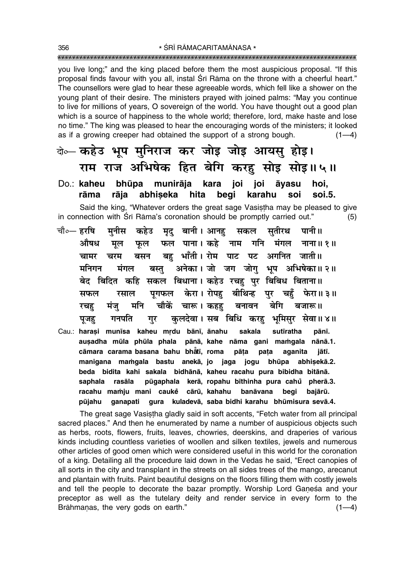you live long;" and the king placed before them the most auspicious proposal. "If this proposal finds favour with you all, instal Srī Rāma on the throne with a cheerful heart." The counsellors were glad to hear these agreeable words, which fell like a shower on the young plant of their desire. The ministers prayed with joined palms: "May you continue to live for millions of years, O sovereign of the world. You have thought out a good plan which is a source of happiness to the whole world; therefore, lord, make haste and lose no time." The king was pleased to hear the encouraging words of the ministers; it looked as if a growing creeper had obtained the support of a strong bough.  $(1-4)$ 

### बे⊶ कहेउ भूप मुनिराज कर जोइ जोइ आयसु होइ। राम राज अभिषेक हित बेगि करहु सोइ सोइ॥५॥

#### $Do:$  kaheu bhūpa munirāja kara joi joi āvasu hoi. rāma rāja abhiseka hita begi karahu soi soi.5.

Said the king, "Whatever orders the great sage Vasistha may be pleased to give in connection with Sri Rama's coronation should be promptly carried out."  $(5)$ 

- चौ∘— हरषि मनीस कहेउ मृदु बानी।अानहु सकल सुतीरथ पानी॥ फल पाना। कहे नाम गनि मंगल नाना॥१॥ औषध मल फुल बहु भाँती। रोम पाट पट अगनित जाती॥ चामर चरम बसन बस्तु अनेका। जो जग जोगु भूष अभिषेका॥ २॥ मनिगन मंगल बेद बिदित कहि सकल बिधाना। कहेउ रचह पर बिबिध बिताना॥ पुगफल केरा। रोपह बीथिन्ह पुर चहँ फेरा॥३॥ सफल रसाल चौकें चारू। कहह बनावन बेगि रचह मंज मनि बजारू ॥ कलदेवा। सब बिधि करह भमिसर सेवा॥४॥ गनपति पजह गर
- Cau.: harași munisa kaheu mrdu bāni, ānahu sutīratha sakala pānī. ausadha mūla phūla phala pānā, kahe nāma gani mamgala nānā.1. cāmara carama basana bahu bhātī, roma pāta pata aganita jātī. manigana mamgala bastu anekā, jo jaga jogu bhūpa abhiṣekā.2. beda bidita kahi sakala bidhānā, kaheu racahu pura bibidha bitānā. pūgaphala kerā, ropahu bīthinha pura cahů pherā.3. saphala rasāla racahu mamju mani caukě cārū, kahahu banāvana begi bajārū. pūiahu ganapati gura kuladevā, saba bidhi karahu bhūmisura sevā.4.

The great sage Vasistha gladly said in soft accents, "Fetch water from all principal sacred places." And then he enumerated by name a number of auspicious objects such as herbs, roots, flowers, fruits, leaves, chowries, deerskins, and draperies of various kinds including countless varieties of woollen and silken textiles, jewels and numerous other articles of good omen which were considered useful in this world for the coronation of a king. Detailing all the procedure laid down in the Vedas he said, "Erect canopies of all sorts in the city and transplant in the streets on all sides trees of the mango, arecanut and plantain with fruits. Paint beautiful designs on the floors filling them with costly jewels and tell the people to decorate the bazar promptly. Worship Lord Ganesa and your preceptor as well as the tutelary deity and render service in every form to the Brāhmanas, the very gods on earth."  $(1-4)$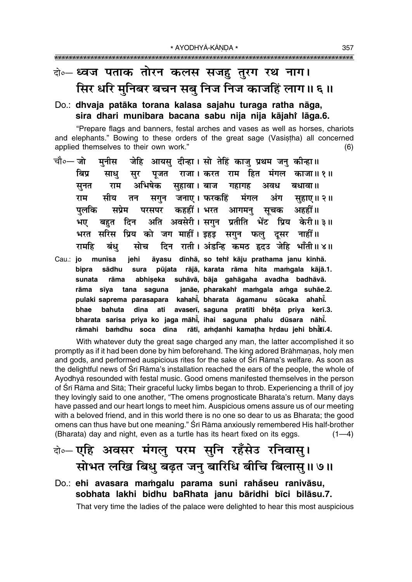### बे- ध्वज पताक तोरन कलस सजह तुरग रथ नाग। सिर धरि मुनिबर बचन सबु निज निज काजहिं लाग॥६॥

#### Do.: dhvaja patāka torana kalasa sajahu turaga ratha nāga, sira dhari munibara bacana sabu nija nija kājahi lāga.6.

"Prepare flags and banners, festal arches and vases as well as horses, chariots and elephants." Bowing to these orders of the great sage (Vasistha) all concerned applied themselves to their own work."  $(6)$ 

- चौ०— जो जेहि आयसु दीन्हा। सो तेहिं काजु प्रथम जनु कीन्हा॥ मनीस बिप्र पूजत राजा। करत राम हित मंगल काजा॥१॥ साध् सर अभिषेक सहावा । बाज राम गहागह बधावा ॥ अवध सनत राम सीय तन सगन जनाए। फरकहिं मंगल अंग सहाए।। २॥ परसपर कहहीं। भरत आगमन् पलकि सप्रेम सूचक अहहीं ॥ अति अवसेरी। सगुन प्रतीति भेंट प्रिय केरी॥३॥ बहत दिन भए सरिस प्रिय को जग माहीं। इहइ सगुन फलु दूसर नाहीं ॥ भरत दिन राती। अंडन्हि कमठ हृदउ जेहि भाँती॥४॥ रामहि मोच बंध
- Cau.: jo munīsa iehi āyasu dīnhā, so teht kāju prathama janu kīnhā. bipra sādhu sura pūjata rājā, karata rāma hita mamgala kājā.1. abhiseka suhāvā, bāja gahāgaha avadha badhāvā. sunata rāma janāe, pharakahi mamgala amga suhāe.2. rāma sīya tana saguna pulaki saprema parasapara kahahi, bharata āgamanu sūcaka ahahi. dina ati avaserī, saguna pratīti bhěța priya kerī.3. bhae bahuta bharata sarisa priya ko jaga māhi, ihai saguna phalu dūsara nāhi. rāmahi bamdhu soca dina rātī, amdanhi kamatha hrdau jehi bhātī.4.

With whatever duty the great sage charged any man, the latter accomplished it so promptly as if it had been done by him beforehand. The king adored Brāhmaņas, holy men and gods, and performed auspicious rites for the sake of Sri Rama's welfare. As soon as the delightful news of Sri Rama's installation reached the ears of the people, the whole of Ayodhyā resounded with festal music. Good omens manifested themselves in the person of Srī Rāma and Sītā; Their graceful lucky limbs began to throb. Experiencing a thrill of joy they lovingly said to one another, "The omens prognosticate Bharata's return. Many days have passed and our heart longs to meet him. Auspicious omens assure us of our meeting with a beloved friend, and in this world there is no one so dear to us as Bharata; the good omens can thus have but one meaning." Srī Rāma anxiously remembered His half-brother (Bharata) day and night, even as a turtle has its heart fixed on its eggs.  $(1-4)$ 

### वो०– एहि अवसर मंगलु परम सुनि रहँसेउ रनिवासु। सोभत लखि बिधु बढ़त जनु बारिधि बीचि बिलासु॥ ७॥

Do.: ehi avasara mamgalu parama suni rahăseu ranivāsu, sobhata lakhi bidhu baRhata janu bāridhi bīci bilāsu.7.

That very time the ladies of the palace were delighted to hear this most auspicious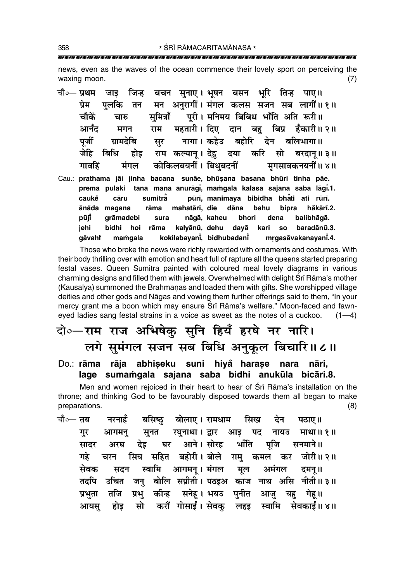news, even as the waves of the ocean commence their lovely sport on perceiving the waxing moon.  $(7)$ 

|        |                |         |                | चौ∘— प्रथम  जाइ  जिन्ह  बचन  सुनाए । भूषन  बसन  भूरि  तिन्ह  पाए ॥                                                                                                                             |                        |  |            |  |
|--------|----------------|---------|----------------|------------------------------------------------------------------------------------------------------------------------------------------------------------------------------------------------|------------------------|--|------------|--|
| प्रेम  |                |         |                | पुलकि तन मन अनुरागीं। मंगल कलस सजन सब लागीं॥१॥                                                                                                                                                 |                        |  |            |  |
| चौकें  | चारु           |         |                | सुमित्राँ पूरी। मनिमय बिबिध भाँति अति रूरी॥                                                                                                                                                    |                        |  |            |  |
| आनँद   | मगन            |         |                | राम महतारी।।दिए दान बहु बिप्र हँकारी॥२॥                                                                                                                                                        |                        |  |            |  |
| पूजीं  |                |         |                | ग्रामदेबि सुर नागा।कहेउ बहोरि देन बलिभागा॥                                                                                                                                                     |                        |  |            |  |
|        |                |         |                | जेहि बिधि होइ राम कल्यानू।देहु दया करि सो बरदानू॥३॥                                                                                                                                            |                        |  |            |  |
| गावहिं |                |         |                | मंगल कोकिलबयनीं । बिधुबदनीं मृगसावकनयनीं ॥ ४ ॥                                                                                                                                                 |                        |  |            |  |
| cauke് | cāru           |         |                | Cau.: prathama jāi jinha bacana sunāe, bhūṣana basana bhūri tinha pāe.<br>prema pulaki tana mana anurāgi, mamgala kalasa sajana saba lāgi.1.<br>sumitră pūrī, manimaya bibidha bhāti ati rūrī. |                        |  |            |  |
| ānåda  |                |         |                | magana rāma mahatārī, die dāna bahu bipra håkārī.2.                                                                                                                                            |                        |  |            |  |
| pūji̇̃ | grāmadebi sura |         |                |                                                                                                                                                                                                | nāgā, kaheu bhori dena |  | balibhāgā. |  |
| jehi   |                |         | bidhi hoi rāma | kalyānū, dehu dayā kari so baradānū.3.                                                                                                                                                         |                        |  |            |  |
| gāvahi |                | mamgala |                | kokilabayani̇̃, bidhubadani̇̃ mr̥gasāvakanayani̇̃.4.                                                                                                                                           |                        |  |            |  |

Those who broke the news were richly rewarded with ornaments and costumes. With their body thrilling over with emotion and heart full of rapture all the queens started preparing festal vases. Queen Sumitra painted with coloured meal lovely diagrams in various charming designs and filled them with jewels. Overwhelmed with delight Srī Rāma's mother (Kausalya) summoned the Brahmanas and loaded them with gifts. She worshipped village deities and other gods and Nagas and vowing them further offerings said to them, "In your mercy grant me a boon which may ensure Sri Rama's welfare." Moon-faced and fawneyed ladies sang festal strains in a voice as sweet as the notes of a cuckoo.  $(1-4)$ 

## दो०-राम राज अभिषेकु सुनि हियँ हरषे नर नारि। लगे सुमंगल सजन सब बिधि अनुकूल बिचारि॥८॥

#### Do.: rāma rāja abhiseku suni hiyå harase nara nāri, lage sumamgala sajana saba bidhi anukūla bicāri.8.

Men and women rejoiced in their heart to hear of Srī Rāma's installation on the throne; and thinking God to be favourably disposed towards them all began to make preparations.  $(8)$ 

|    |  |  |  | चौ०— तब     नरनाहँ     बसिष्ठु     बोलाए । रामधाम     सिख     देन     पठाए॥ |  |
|----|--|--|--|-----------------------------------------------------------------------------|--|
| गर |  |  |  | आगमनु सुनत रघुनाथा।द्वार आइ पद नायउ माथा॥१॥                                 |  |
|    |  |  |  | सादर अरघ देइ घर आने।सोरह भाँति पूजि सनमाने॥                                 |  |
|    |  |  |  | गहे चरन सिय सहित बहोरी।बोले रामु कमल कर जोरी॥२॥                             |  |
|    |  |  |  | सेवक सदन स्वामि आगमन् ।मंगल मूल अमंगल दमन् ॥                                |  |
|    |  |  |  | तदपि उचित जनु बोलि सप्रीती। पठइअ काज नाथ असि नीती॥३॥                        |  |
|    |  |  |  | प्रभुता तजि प्रभु कीन्ह सनेहू। भयउ पुनीत आजु यहु गेहू॥                      |  |
|    |  |  |  | आयसु होइ सो करौं गोसाईं।सेवकु लहइ स्वामि सेवकाईं॥४॥                         |  |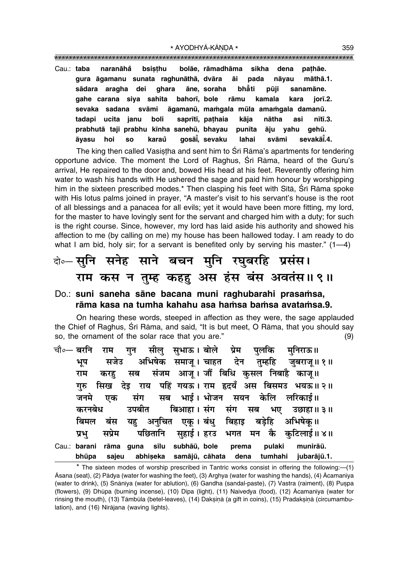\* AYODHYĀ-KĀNDA \* 

naranāhå Cau.: taba bsisthu bolāe, rāmadhāma sikha dena pathāe. gura āgamanu sunata raghunāthā, dvāra māthā.1. āi pada nāvau sādara aragha dei āne. soraha bhẳti ahara pūii sanamāne. kamala gahe carana siya sahita bahorī, bole rāmu kara jorī.2. sevaka sadana svāmi āgamanū, mamgala mūla amamgala damanū. tadapi ucita janu boli saprītī, pathaia kāja nātha asi nītī.3. prabhutā taji prabhu kīnha sanehū, bhayau punīta āju yahu gehū. gosāi, sevaku sevakāt.4. āvasu hoi karaů lahai svāmi **SO** 

The king then called Vasistha and sent him to Sri Rama's apartments for tendering opportune advice. The moment the Lord of Raghus, Srī Rāma, heard of the Guru's arrival, He repaired to the door and, bowed His head at his feet. Reverently offering him water to wash his hands with He ushered the sage and paid him honour by worshipping him in the sixteen prescribed modes.\* Then clasping his feet with Sita, Sri Rama spoke with His lotus palms joined in prayer, "A master's visit to his servant's house is the root of all blessings and a panacea for all evils; yet it would have been more fitting, my lord, for the master to have lovingly sent for the servant and charged him with a duty; for such is the right course. Since, however, my lord has laid aside his authority and showed his affection to me (by calling on me) my house has been hallowed today. I am ready to do what I am bid, holy sir; for a servant is benefited only by serving his master."  $(1-4)$ 

### बे॰ सुनि सनेह साने बचन मुनि रघुबरहि प्रसंस। राम कस न तुम्ह कहहु अस हंस बंस अवतंस॥९॥

#### Do.: suni saneha sāne bacana muni raghubarahi prasamsa, rāma kasa na tumha kahahu asa hamsa bamsa avatamsa.9.

On hearing these words, steeped in affection as they were, the sage applauded the Chief of Raghus, Srī Rāma, and said, "It is but meet, O Rāma, that you should say so, the ornament of the solar race that you are."  $(9)$ 

| चौ∘— बरनि |                                          |  |  |       |                                      | राम गुन सीलु सुभाऊ।बोले प्रेम पुलकि मुनिराऊ॥    |  |
|-----------|------------------------------------------|--|--|-------|--------------------------------------|-------------------------------------------------|--|
| भूप       |                                          |  |  |       |                                      | सजेउ अभिषेक समाजू। चाहत देन तुम्हहि जुबराजू॥१॥  |  |
| राम       | करह                                      |  |  |       |                                      | सब संजम आजू। जौं बिधि कुसल निबाहै काजू॥         |  |
| गरु       |                                          |  |  |       |                                      | सिख देइ राय पहिं गयऊ। राम हृदयँ अस बिसमउ भयऊ॥२॥ |  |
| जनमे      | एक                                       |  |  |       |                                      | संग सब भाई। भोजन सयन केलि लरिकाई॥               |  |
| करनबेध    |                                          |  |  |       |                                      | उपबीत बिआहा।संग संग सब भए उछाहा॥३॥              |  |
| बिमल      | बंस                                      |  |  |       |                                      | यहु अनुचित एकू।बंधु बिहाइ बड़ेहि अभिषेकू॥       |  |
| प्रभ      | सप्रेम                                   |  |  |       |                                      | पछितानि सुहाई । हरउ भगत मन कै कुटिलाई॥४॥        |  |
|           | Cau.: barani rāma guna sīlu subhāū, bole |  |  | prema | pulaki                               | munirāū.                                        |  |
| bhūpa     | sajeu                                    |  |  |       | abhiṣeka samājū, cāhata dena tumhahi | jubarājū.1.                                     |  |

<sup>\*</sup> The sixteen modes of worship prescribed in Tantric works consist in offering the following:--(1) Asana (seat), (2) Pādya (water for washing the feet), (3) Arghya (water for washing the hands), (4) Acamanīya (water to drink), (5) Snānīya (water for ablution), (6) Gandha (sandal-paste), (7) Vastra (raiment), (8) Puṣpa (flowers), (9) Dhūpa (burning incense), (10) Dīpa (light), (11) Naivedya (food), (12) Ācamanīya (water for rinsing the mouth), (13) Tāmbūla (betel-leaves), (14) Dakṣiṇā (a gift in coins), (15) Pradakṣiṇā (circumambulation), and (16) Nīrājana (waving lights).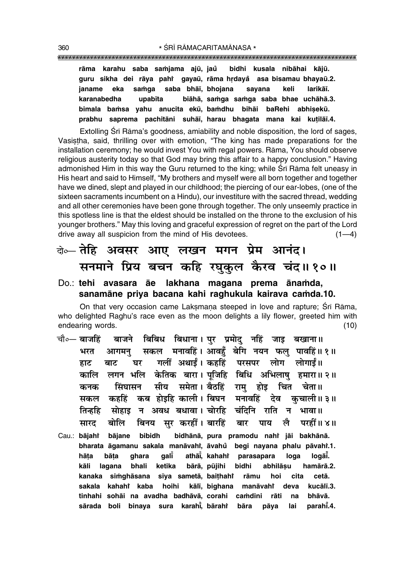rāma karahu saba samjama ajū, jaŭ bidhi kusala nibāhai kājū. **guru sikha dei råya pahiÚ gayaµu, råma hædaya° asa bisamau bhayaµu.2. janame eka sa≈ga saba bhå∂, bhojana sayana keli larikå∂. karanabedha upab∂ta biåhå, sa≈ga sa≈ga saba bhae uchåhå.3.** bimala bamsa yahu anucita ekū, bamdhu bihāi baRehi abhisekū. **prabhu saprema pachitåni suhå∂, harau bhagata mana kai ku¢ilå∂.4.**

Extolling Śrī Rāma's goodness, amiability and noble disposition, the lord of sages, Vasistha, said, thrilling over with emotion, "The king has made preparations for the installation ceremony; he would invest You with regal powers. Råma, You should observe religious austerity today so that God may bring this affair to a happy conclusion." Having admonished Him in this way the Guru returned to the king; while Śrī Rāma felt uneasy in His heart and said to Himself, "My brothers and myself were all born together and together have we dined, slept and played in our childhood; the piercing of our ear-lobes, (one of the sixteen sacraments incumbent on a Hindu), our investiture with the sacred thread, wedding and all other ceremonies have been gone through together. The only unseemly practice in this spotless line is that the eldest should be installed on the throne to the exclusion of his younger brothers.î May this loving and graceful expression of regret on the part of the Lord drive away all suspicion from the mind of His devotees.  $(1-4)$ 

### दो**०– तेहि अवसर आए लखन मगन प्रेम आनंद।** सनमाने प्रिय बचन कहि रघुकुल कैरव चंद॥१०॥

#### Do.: **tehi avasara āe lakhana magana prema ānamda**, sanamāne priya bacana kahi raghukula kairava camda.10.

On that very occasion came Laksmana steeped in love and rapture; Śrī Rāma, who delighted Raghu's race even as the moon delights a lily flower, greeted him with endearing words. (10)

- <sub>.चौ०</sub>— बाजहिं बाजने बिबिध बिधाना। पर प्रमोद नहिं जाइ बखाना॥ भरत आगमनु सकल मनावहिं । आवहँ बेगि नयन फलु पावहिं ॥ १ ॥ हाट बाट घर गलीं अथाईं। कहहिं परसपर लोग लोगाईं॥ **कालि लगन भलि केतिक बारा। पुजिहि बिधि अभिला**षु हमारा॥२॥ ॅंकनक सिंघासन सीय समेता। बैठहिं राम् होइ चित चेता॥ सकल कहहिं कब होइहि काली। बिघन मनावहिं देव कचाली॥ ३॥ तिन्नहि सोहाइ न अवध बधावा। चोरहि चंदिनि राति न भावा॥ सारद बोलि बिनय सुर**करहीं । बारहिं बार पाय लै परहीं**॥४॥ Cau.: **båjahiÚ**  $\blacksquare$  bājane bibidh bidhānā, pura pramodu nahi jāi bakhānā. bharata āgamanu sakala manāvahi, āvahů begi nayana phalu pāvahi.1. **hå¢a bå¢a ghara gal∂° athå∂° , kahahiÚ parasapara loga logå∂° .** kāli lagana bhali ketika bārā, pūjihi bidhi abhilāșu hamārā.2. **kanaka si≈ghåsana s∂ya sametå, bai¢hahiÚ råmu hoi cita cetå.**
	- **sakala kahahiÚ** hoihi kālī, bighana manāvahî  **deva kucål∂.3. tinhahi sohåi na avadha badhåvå, corahi ca≈dini råti na bhåvå. sårada boli binaya sura karah∂° , bårahiÚ båra påya lai parah∂° .4.**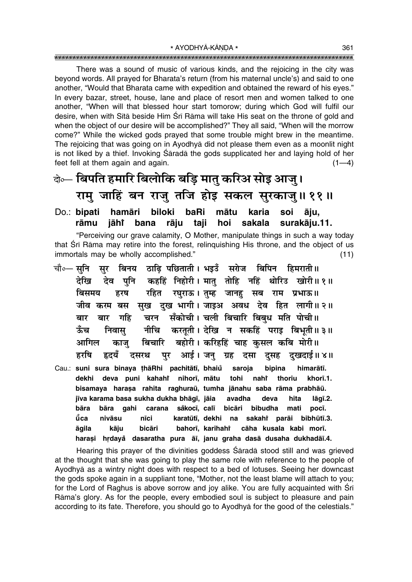There was a sound of music of various kinds, and the rejoicing in the city was beyond words. All prayed for Bharataís return (from his maternal uncleís) and said to one another, "Would that Bharata came with expedition and obtained the reward of his eyes." In every bazar, street, house, lane and place of resort men and women talked to one another, "When will that blessed hour start tomorow; during which God will fulfil our desire, when with Sītā beside Him Śrī Rāma will take His seat on the throne of gold and when the object of our desire will be accomplished?" They all said, "When will the morrow come?" While the wicked gods prayed that some trouble might brew in the meantime. The rejoicing that was going on in Ayodhyå did not please them even as a moonlit night is not liked by a thief. Invoking Sarada the gods supplicated her and laying hold of her feet fell at them again and again.  $(1-4)$ 

# बे**०– बिपति हमारि बिलोकि बड़ि मातु करिअ सोइ आजु। ⁄UE** जाहिं बन राजु तजि होइ सकल सुरकाजु॥११॥

#### Do.: **bipati hamåri biloki baRi måtu karia soi åju, råmu jåhiÚ bana råju taji hoi sakala surakåju.11.**

ìPerceiving our grave calamity, O Mother, manipulate things in such a way today that Srī Rāma may retire into the forest, relinquishing His throne, and the object of us immortals may be wholly accomplished.<sup>"</sup> (11)

- चौ०— सनि सर बिनय ठाढि पछिताती। भइउँ सरोज बिपिन हिमराती॥ देखि देव पनि कहहिं निहोरी।**मात् तोहि नहिं थोरिउ खोरी॥१॥ बिसमय हरष रहित रघुराऊ। तुम्ह जानह सब राम प्रभाऊ**॥ जीव करम बस सख दख भागी। जाइअ अवध देव हित लागी॥२॥ खार बार गहि चरन सँकोची।**चली बिचारि बिबध मति पोची**॥ ऊँच निवासु नीचि करतृती।**देखि न सकहिं पराइ बिभुती॥३॥** <u>आगिल काजु बिचारि बहोरी। करिहहिं चाह कुसल कबि मोरी॥</u> हरषि हृदयँ दसरथ पुर आई।जन् ग्रह दसा दुसह दुखदाई॥४॥
- Cau.: **suni sura binaya ¢håRhi pachitåt∂, bhaiu saroja bipina himaråt∂. ° dekhi deva puni kahahiÚ nihor∂, måtu tohi nahiÚ thoriu khor∂.1. bisamaya hara¶a rahita raghuraµu, tumha jånahu saba råma prabhåµu. j∂va karama basa sukha dukha bhåg∂, jåia avadha deva hita låg∂.2. båra båra gahi carana sa°koc∂, cal∂ bicåri bibudha mati poc∂.**  $\tilde{\mathbf{u}}$ ca **ca nivåsu n∂ci karatµut∂, dekhi na sakahiÚ** na sakahî parāi bibhūtī.3. **ågila kåju bicåri bahor∂, karihahiÚ cåha kusala kabi mor∂. hara¶i hædaya° dasaratha pura å∂, janu graha daså dusaha dukhadå∂.4.**

Hearing this prayer of the divinities goddess Sarada stood still and was grieved at the thought that she was going to play the same role with reference to the people of Ayodhyå as a wintry night does with respect to a bed of lotuses. Seeing her downcast the gods spoke again in a suppliant tone, "Mother, not the least blame will attach to you; for the Lord of Raghus is above sorrow and joy alike. You are fully acquainted with Srī Råmaís glory. As for the people, every embodied soul is subject to pleasure and pain according to its fate. Therefore, you should go to Ayodhya for the good of the celestials."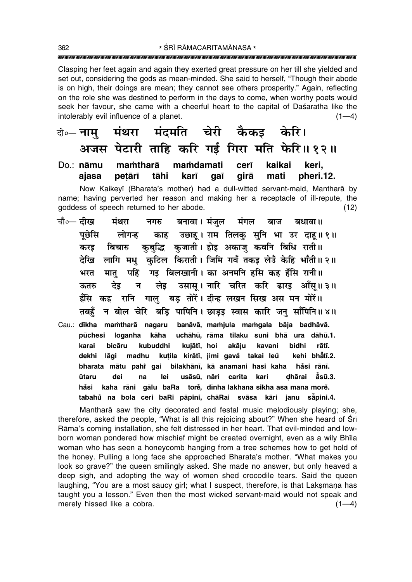\* ŚRĪ RĀMACARITAMĀNASA \* 

Clasping her feet again and again they exerted great pressure on her till she yielded and set out, considering the gods as mean-minded. She said to herself, "Though their abode is on high, their doings are mean; they cannot see others prosperity." Again, reflecting on the role she was destined to perform in the days to come, when worthy poets would seek her favour, she came with a cheerful heart to the capital of Daśaratha like the intolerably evil influence of a planet.  $(1-4)$ 

वे∘- नाम् मंथरा मंदमति चेरी कैकइ केरि। अजस पेटारी ताहि करि गई गिरा मति फेरि॥१२॥

#### mamdamati Do.: nāmu mamthara cerī kaikai keri. tāhi ajasa petārī karī qaī airā mati pheri.12.

Now Kaikeyī (Bharata's mother) had a dull-witted servant-maid, Mantharā by name; having perverted her reason and making her a receptacle of ill-repute, the goddess of speech returned to her abode.  $(12)$ 

- चौ०— दीख बनावा । मंजुल मंगल मंथरा नगरु बाज बधावा ॥ काह उछाहू। राम तिलकु सुनि भा उर दाहू॥१॥ पुछेसि लोगन्ह बिचारु कुबुद्धि कुजाती। होइ अकाजु कवनि बिधि राती॥ करड देखि लागि मधु कुटिल किराती। जिमि गवँ तकइ लेउँ केहि भाँती॥२॥ मात पहिं गड़ बिलखानी। का अनमनि हसि कह हँसि रानी॥ भरत लेइ उसासू। नारि चरित करि ढारइ आँसू॥३॥ ऊतरु देड न हँसि कह रानि गालु बड़ तोरें। दीन्ह लखन सिख अस मन मोरें॥ न बोल चेरि बडि पापिनि। छाडइ स्वास कारि जन् साँपिनि॥४॥ तबहँ banāvā, mamjula mamgala bāja badhāvā.
- Cau.: dīkha mamtharā nagaru uchāhū, rāma tilaku suni bhā ura dāhū.1. pūchesi loganha kāha karai bicāru kubuddhi kujātī, hoi akāju kavani bidhi rātī. kuțila kirātī, jimi gavå takai leů kehi bhåtī.2. dekhi lāgi madhu bilakhānī, kā anamani hasi kaha bharata mātu pahr gai håsi rānī. ūtaru dei lei usāsū, nāri carita dhārai ăsū.3. na kari kaha rāni gālu baRa torė, dīnha lakhana sikha asa mana morė. hắsi tabahů na bola ceri baRi pāpini, chāRai svāsa kāri janu sāpini.4.

Mantharā saw the city decorated and festal music melodiously playing; she, therefore, asked the people, "What is all this rejoicing about?" When she heard of Sri Rāma's coming installation, she felt distressed in her heart. That evil-minded and lowborn woman pondered how mischief might be created overnight, even as a wily Bhila woman who has seen a honeycomb hanging from a tree schemes how to get hold of the honey. Pulling a long face she approached Bharata's mother. "What makes you look so grave?" the queen smilingly asked. She made no answer, but only heaved a deep sigh, and adopting the way of women shed crocodile tears. Said the queen laughing, "You are a most saucy girl; what I suspect, therefore, is that Laksmana has taught you a lesson." Even then the most wicked servant-maid would not speak and merely hissed like a cobra.  $(1-4)$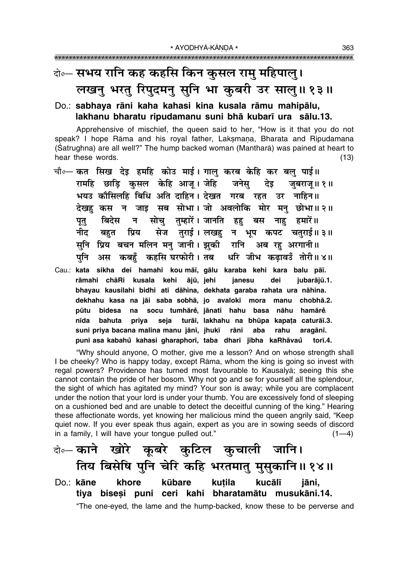## केन्-सभय रानि कह कहसि किन कुसल रामु महिपालु । लखनु भरतु रिपुदमनु सुनि भा कुबरी उर सालु॥१३॥

#### Do.: sabhaya rāni kaha kahasi kina kusala rāmu mahipālu, lakhanu bharatu ripudamanu suni bhā kubarī ura sālu.13.

Apprehensive of mischief, the queen said to her, "How is it that you do not speak? I hope Rāma and his royal father, Laksmana, Bharata and Ripudamana (Satrughna) are all well?" The hump backed woman (Manthara) was pained at heart to hear these words.  $(13)$ 

- चौ०— कत सिख देइ हमहि कोउ माई। गालु करब केहि कर बलु पाई॥ रामहि छाडि कसल केहि आज। जेहि जनेस टेड जबराज॥ १॥ भयउ कौसिलहि बिधि अति दाहिन। देखत गरब रहत उर नाहिन॥ देखहु कस न जाइ सब सोभा। जो अवलोकि मोर मनु छोभा॥२॥ सोचु तुम्हारें। जानति हहु बस नाहु हमारें॥ बिदेस न पत प्रिय सेज तुराई।लखहु न भूप कपट चतुराई॥३॥ नीट बहत सनि प्रिय बचन मलिन मन जानी। झकी रानि अब रह अरगानी॥ अस कबहँ कहसि घरफोरी। तब धरि जीभ कढावउँ तोरी॥४॥ पनि
- Cau.: kata sikha dei hamahi kou māī, gālu karaba kehi kara balu pāī. rāmahi chāRi kusala kehi ājū, jehi janesu dei jubarājū.1. bhayau kausilahi bidhi ati dāhina, dekhata garaba rahata ura nāhina. dekhahu kasa na jāi saba sobhā, jo avaloki mora manu chobhā.2. socu tumhārė, jānati hahu basa nāhu hamārė. pūtu bidesa na nīda bahuta priva seja turāī, lakhahu na bhūpa kapata caturāī.3. suni priya bacana malina manu jānī, jhukī rāni aba rahu aragānī. puni asa kabahů kahasi gharaphorī, taba dhari jībha kaRhāvaů torī.4.

"Why should anyone, O mother, give me a lesson? And on whose strength shall I be cheeky? Who is happy today, except Rāma, whom the king is going so invest with regal powers? Providence has turned most favourable to Kausalya; seeing this she cannot contain the pride of her bosom. Why not go and se for yourself all the splendour, the sight of which has agitated my mind? Your son is away; while you are complacent under the notion that your lord is under your thumb. You are excessively fond of sleeping on a cushioned bed and are unable to detect the deceitful cunning of the king." Hearing these affectionate words, yet knowing her malicious mind the queen angrily said, "Keep quiet now. If you ever speak thus again, expert as you are in sowing seeds of discord in a family, I will have your tongue pulled out."  $(1-4)$ 

बे∘– काने खोरे कूबरे कुटिल कुचाली जानि। तिय बिसेषि पुनि चेरि कहि भरतमातु मुसुकानि॥ १४॥ Do.: kāne khore kutila kucālī kūbare jāni, tiya bisesi puni ceri kahi bharatamātu musukāni.14. "The one-eyed, the lame and the hump-backed, know these to be perverse and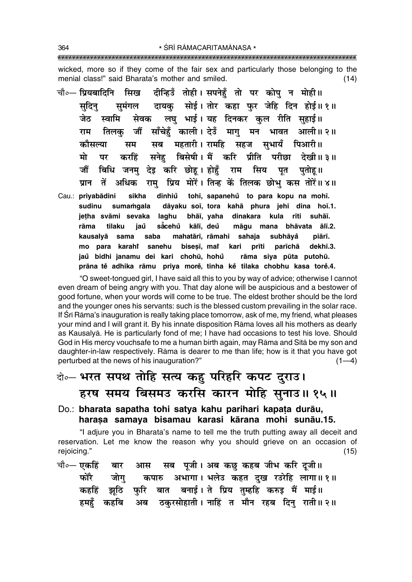wicked, more so if they come of the fair sex and particularly those belonging to the menial class!" said Bharata's mother and smiled.  $(14)$ 

- दीन्हिउँ तोही। सपनेहँ तो पर कोपु न मोही॥ चौ०— प्रियबादिनि सिख दायक सोई। तोर कहा फर जेहि दिन होई॥१॥ सदिन समंगल लघु भाई। यह दिनकर कुल रीति सुहाई॥ जेत स्वामि सेवक तिलक जौं साँचेहँ काली। देउँ माग मन भावत आली॥२॥ राम सब महतारी। रामहि सहज सुभायँ पिआरी॥ कौमल्या सम सनेह बिसेषी। मैं करि प्रीति परीछा देखी॥३॥ मो करहिं पर बिधि जनम् देइ करि छोह। होहँ राम सिय जौं पतोह ॥ पुत प्रान तें अधिक राम् प्रिय मोरें। तिन्ह कें तिलक छोभ् कस तोरें॥४॥
- dīnhiů Cau.: priyabādini tohī, sapanehů to para kopu na mohī. sikha sudinu sumamqala dāyaku soī, tora kahā phura jehi dina hoī.1. bhāī, yaha dinakara kula rīti jetha svāmi sevaka laghu suhāī. săcehů kālī, deů rāma tilaku jaů māgu mana bhāvata ālī.2. mahatārī, rāmahi sahaja kausalyā sama saba subhāvå piārī. mo para karahi sanehu bisesī, mat dekhī.3. kari prīti parīchā jaů bidhi janamu dei kari chohū, hohů rāma siya pūta putohū. prāna tě adhika rāmu priya morě, tinha kě tilaka chobhu kasa torě.4.

"O sweet-tongued girl, I have said all this to you by way of advice; otherwise I cannot even dream of being angry with you. That day alone will be auspicious and a bestower of good fortune, when your words will come to be true. The eldest brother should be the lord and the younger ones his servants: such is the blessed custom prevailing in the solar race. If Sri Rāma's inauguration is really taking place tomorrow, ask of me, my friend, what pleases your mind and I will grant it. By his innate disposition Rāma loves all his mothers as dearly as Kausalyā. He is particularly fond of me; I have had occasions to test his love. Should God in His mercy vouchsafe to me a human birth again, may Rāma and Sītā be my son and daughter-in-law respectively. Rāma is dearer to me than life; how is it that you have got perturbed at the news of his inauguration?"  $(1-4)$ 

### बेन भरत सपथ तोहि सत्य कहु परिहरि कपट दुराउ। हरष समय बिसमउ करसि कारन मोहि सुनाउ॥१५॥

Do.: bharata sapatha tohi satya kahu parihari kapata durāu, harasa samaya bisamau karasi kārana mohi sunāu.15.

"I adjure you in Bharata's name to tell me the truth putting away all deceit and reservation. Let me know the reason why you should grieve on an occasion of rejoicing."  $(15)$ 

सब पूजी। अब कछु कहब जीभ करि दूजी॥ चौ∘— **एकहिं** बार आस अभागा। भलेउ कहत दख रउरेहि लागा॥१॥ फोरै जोग कपारु बनाई। ते प्रिय तुम्हहि करुड़ मैं माई॥ कहहिं झठि बात फरि ठकुरसोहाती । नाहिं त मौन रहब दिनु राती ॥ २ ॥ हमहँ कहबि अब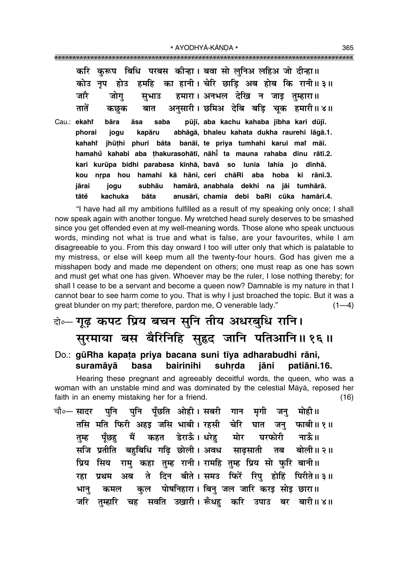| करि कुरूप बिधि परबस कीन्हा। बवा सो लुनिअ लहिअ जो दीन्हा॥           |
|--------------------------------------------------------------------|
| कोउ नृप होउ हमहि का हानी। चेरि छाड़ि अब होब कि रानी॥३॥             |
| जारै<br>जोगु सुभाउ हमारा। अनभल देखि न जाइ तुम्हारा॥                |
| कछुक बात अनुसारी। छमिअ देबि बड़ि चूक हमारी॥४॥<br>तातें             |
| Cau.: ekahî bāra āsa saba pūjī, aba kachu kahaba jībha kari dūjī.  |
| phorai jogu kapāru abhāgā, bhaleu kahata dukha raurehi lāgā.1.     |
| kahahi jhūthi phuri bāta banāī, te priya tumhahi karui mai māī.    |
| hamahů kahabi aba thakurasohātī, nāhī ta mauna rahaba dinu rātī.2. |
| kari kurūpa bidhi parabasa kīnhā, bavā so lunia lahia jo dīnhā.    |
| nrpa hou hamahi kā hānī, ceri chāRi aba hoba ki rānī.3.<br>kou     |
| jārai<br>jogu subhāu hamārā, anabhala dekhi na jāi tumhārā.        |
| tātě<br>kachuka bāta anusārī, chamia debi baRi cūka hamārī.4.      |

"I have had all my ambitions fulfilled as a result of my speaking only once; I shall now speak again with another tongue. My wretched head surely deserves to be smashed since you get offended even at my well-meaning words. Those alone who speak unctuous words, minding not what is true and what is false, are your favourites, while I am disagreeable to you. From this day onward I too will utter only that which is palatable to my mistress, or else will keep mum all the twenty-four hours. God has given me a misshapen body and made me dependent on others; one must reap as one has sown and must get what one has given. Whoever may be the ruler, I lose nothing thereby; for shall I cease to be a servant and become a queen now? Damnable is my nature in that I cannot bear to see harm come to you. That is why I just broached the topic. But it was a great blunder on my part; therefore, pardon me, O venerable lady."  $(1-4)$ 

### दो**⊶ गूढ़ कपट प्रिय बचन सुनि तीय अधरबुधि रानि।** सुरमाया बस बैरिनिहि सुहृद जानि पतिआनि॥१६॥

Do.: gūRha kapata priya bacana suni tīya adharabudhi rāni, suramāyā basa bairinihi suhrda jāni patiāni.16.

Hearing these pregnant and agreeably deceitful words, the queen, who was a woman with an unstable mind and was dominated by the celestial Måyå, reposed her faith in an enemy mistaking her for a friend. (16)

चौ०— सादर पुनि पुनि पूँछति ओही।सबरी गान मृगी जनु मोही॥ तसि मति फिरी अहड़ जसि भाबी। रहसी चेरि घात जन् फाबी॥१॥ **ÃÈê"U ¬Í°¿U"ÈU ◊Ò¥ ∑§"Uà «U⁄UÊ™°§ – œ⁄U"ÈU ◊Ù⁄U ÉÊ⁄U»§Ù⁄UË ŸÊ™°§H** सजि प्रतीति बहुबिधि गढ़ि छोली। अवध साढ़साती तब बोली॥२॥ <u>प्रिय सिय रामु कहा तुम्ह रानी। रामहि तुम्ह प्रिय सो फुरि बानी॥</u> **रहा प्रथम अब ते दिन बीते। समउ फिरें रिपु होहिं पिरीते॥३॥** भान कमल कल पोषनिहारा। बिन**्जल जारि करड़ सोड़ छारा**॥ जरि तुम्हारि चह सवति उखारी।**कॅंधह करि उपाउ बर बारी॥४॥**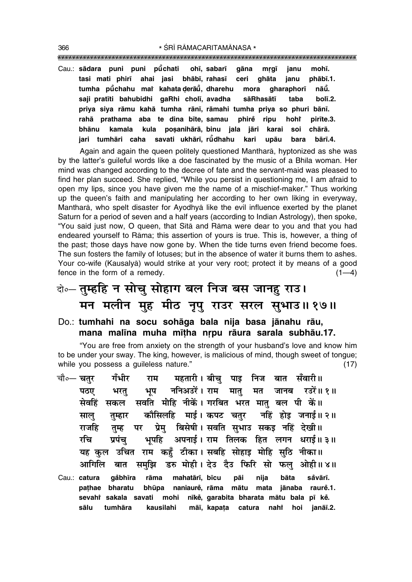""""""""""""""""""""""""""""""""""""""""""""""""""""""""""""""""""""""""""""""""""" 366 \* ›R∫ RÅMACARITAMÅNASA \*

Cau.: **sādara puni puni pūchati chati oh∂, sabar∂ gåna mæg∂ janu moh∂. tasi mati phir∂ ahai jasi bhåb∂, rahas∂ ceri ghåta janu phåb∂.1.**  $\tt t$ umha pū̃chahu mai̇̀ kahata ḍerāū̃, dharehu mora gharaphorī nāū̃ **.** saji pratīti bahubidhi gaRhi cholī, avadha sāRhasātī taba bolī.2. **priya siya råmu kahå tumha rån∂, råmahi tumha priya so phuri bån∂.** rahā prathama aba te dina bīte, samau phire ripu hoht  **pir∂te.3. bhånu kamala kula po¶anihårå, binu jala jåri karai soi chårå.** jari tumhāri caha savati ukhārī,**rū̃dhahu kari upāu bara bārī.4.** 

Again and again the queen politely questioned Mantharå, hyptonized as she was by the latter's quileful words like a doe fascinated by the music of a Bhīla woman. Her mind was changed according to the decree of fate and the servant-maid was pleased to find her plan succeed. She replied, "While you persist in questioning me, I am afraid to open my lips, since you have given me the name of a mischief-maker." Thus working up the queenís faith and manipulating her according to her own liking in everyway, Mantharå, who spelt disaster for Ayodhyå like the evil influence exerted by the planet Saturn for a period of seven and a half years (according to Indian Astrology), then spoke, ìYou said just now, O queen, that S∂tå and Råma were dear to you and that you had endeared yourself to Råma; this assertion of yours is true. This is, however, a thing of the past; those days have now gone by. When the tide turns even friend become foes. The sun fosters the family of lotuses; but in the absence of water it burns them to ashes. Your co-wife (Kausalyå) would strike at your very root; protect it by means of a good fence in the form of a remedy.  $(1-4)$ 

# दो**० तुम्हहि न सोचु सोहाग बल निज बस जानहु राउ।** मन मलीन मुह मीठ नृपु राउर सरल सुभाउ॥ १७॥

#### Do.: **tumhahi na socu sohåga bala nija basa jånahu råu, mana mal∂na muha m∂¢ha næpu råura sarala subhåu.17.**

"You are free from anxiety on the strength of your husband's love and know him to be under your sway. The king, however, is malicious of mind, though sweet of tongue; while you possess a guileless nature." (17)

चौ०— चतर गँभीर राम महतारी। बीच पाइ निज बात सँवारी॥ पठए भरत भूप ननिअउरें।**राम मात मत जानब रउरें॥१॥** सेवहिं सकल सवति मोहि नीकें। गरबित भरत मातु बल पी कें**॥** साल् तुम्हार कौसिलहि माई।**कपट चतुर नहिं होइ जनाई॥२॥**  $\bar{\mathcal{U}}$ जहि तुम्ह पर प्रेमु बिसेषी।सवति सुभाउ सकइ नहिं देखी॥ **रचि प्रपंच भुपहि अपनाई। राम तिलक हित लगन धराई॥३॥** यह कुल उचित राम कहँ टीका। सबहि सोहाइ मोहि सुठि **नीका**॥ **•ÊÁªÁ‹ 'Êà '◊ÈÁ¤Ê «UL§ ◊Ù"UË– Œ©U ŒÒ©U Á»§Á⁄U 'Ù »§‹È •Ù"UËH 4H** Cau.: **catura ga°bh∂ra råma mahatår∂, b∂cu påi nija båta sa°vår∂. pa¢hae bharatu bhµupa naniaure°, råma måtu mata jånaba raure°.1. sevahiÚ sakala savati mohi n∂ke°, garabita bharata måtu bala p∂ ke°. sålu tumhåra kausilahi må∂, kapa¢a catura nahiÚ hoi janå∂.2.**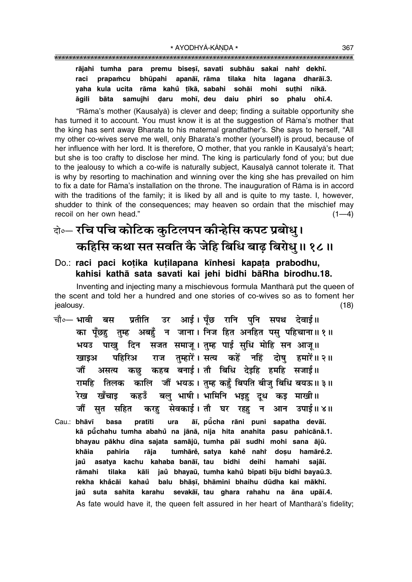rājahi tumha para premu biseși, savati subhāu sakai nahř dekhī. prapamcu bhūpahi apanāi, rāma tilaka hita lagana dharāi.3. raci vaha kula ucita rāma kahů tīkā sabahi sohāi mohi suthi nīkā. phalu ohi.4. samujhi daru mohī, deu daiu phiri āgili bāta **SO** 

"Rāma's mother (Kausalyā) is clever and deep; finding a suitable opportunity she has turned it to account. You must know it is at the suggestion of Rama's mother that the king has sent away Bharata to his maternal grandfather's. She says to herself, "All my other co-wives serve me well, only Bharata's mother (vourself) is proud, because of her influence with her lord. It is therefore, O mother, that you rankle in Kausalya's heart; but she is too crafty to disclose her mind. The king is particularly fond of you; but due to the jealousy to which a co-wife is naturally subject, Kausalya cannot tolerate it. That is why by resorting to machination and winning over the king she has prevailed on him to fix a date for Rāma's installation on the throne. The inauguration of Rāma is in accord with the traditions of the family; it is liked by all and is quite to my taste. I, however, shudder to think of the consequences; may heaven so ordain that the mischief may recoil on her own head."  $(1-4)$ 

## केन्ट रचि पचि कोटिक कुटिलपन कीन्हेसि कपट प्रबोध। कहिसि कथा सत सवति कै जेहि बिधि बाढ़ बिरोधु॥ १८॥

#### Do.: raci paci kotika kutilapana kinhesi kapata prabodhu, kahisi kathā sata savati kai jehi bidhi bāRha birodhu.18.

Inventing and injecting many a mischievous formula Manthara put the queen of the scent and told her a hundred and one stories of co-wives so as to foment her jealousy.  $(18)$ 

- उर आई। पँछ रानि पनि सपथ देवाई॥ चौ०— भावी बस प्रतीति का पँछह तम्ह अबहँ न जाना। निज हित अनहित पस पहिचाना॥ १॥ दिन सजत समाज् । तुम्ह पाई सुधि मोहि सन आज् ॥ पाख भयउ तुम्हारें। सत्य कहें नहिं दोष हमारें॥ २॥ राज पहिरिअ खाइअ कहब बनाई। तौ बिधि देइहि हमहि सजाई॥ जौं असत्य कछ कालि जौं भयऊ। तुम्ह कहुँ बिपति बीजु बिधि बयऊ॥३॥ रामहि तिलक बलु भाषी। भामिनि भइहु दूध कइ माखी॥ खँचाड रेख कहउँ सेवकाई। तौ घर रहह न आन उपाई॥४॥ जौं सत सहित करह
- āī, pūcha rāni puni sapatha devāī. Cau.: bhāvī basa pratīti ura kā pūchahu tumha abahu na jānā, nija hita anahita pasu pahicānā.1. bhayau pākhu dina sajata samājū, tumha pāī sudhi mohi sana ājū. tumhārě, satya kahě nahř hamārě.2. khāia pahiria rāja doşu asatya kachu kahaba banāi, tau bidhi deihi hamahi saiāī. iaů rāmahi tilaka kāli jaů bhayaū, tumha kahů bipati bīju bidhi bayaū.3. rekha khåcāi kahaů balu bhāsī, bhāmini bhaihu dūdha kai mākhī. jaů suta sahita karahu sevakāi, tau ghara rahahu na āna upāi.4. As fate would have it, the queen felt assured in her heart of Manthara's fidelity;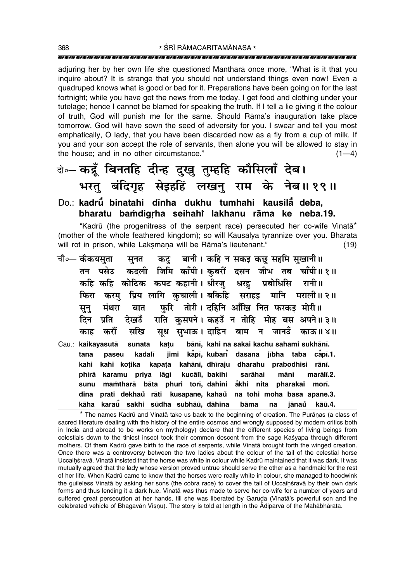adjuring her by her own life she questioned Manthara once more, "What is it that you inquire about? It is strange that you should not understand things even now! Even a quadruped knows what is good or bad for it. Preparations have been going on for the last fortnight; while you have got the news from me today. I get food and clothing under your tutelage; hence I cannot be blamed for speaking the truth. If I tell a lie giving it the colour of truth. God will punish me for the same. Should Rama's inauguration take place tomorrow. God will have sown the seed of adversity for you. I swear and tell you most emphatically, O lady, that you have been discarded now as a fly from a cup of milk. If you and your son accept the role of servants, then alone you will be allowed to stay in the house; and in no other circumstance."  $(1-4)$ 

### बे॰ कद्रूँ बिनतहि दीन्ह दुखु तुम्हहि कौसिलाँ देब। भरतु बंदिगृह सेइहहिं लखनु राम के नेब॥१९॥

#### Do.: kadrů binatahi dīnha dukhu tumhahi kausilå deba. bharatu bamdigrha seihahi lakhanu rāma ke neba.19.

"Kadrū (the progenitress of the serpent race) persecuted her co-wife Vinata\* (mother of the whole feathered kingdom); so will Kausalya tyrannize over you. Bharata will rot in prison, while Laksmana will be Rāma's lieutenant."  $(19)$ 

| चौ∘— कैकयस़ता     सूनत      कटु    बानी । कहि न सकइ कछु सहमि सुखानी॥    |  |
|-------------------------------------------------------------------------|--|
| तन पसेउ कदली जिमि काँपी।कुबरीं दसन जीभ तब चाँपी॥१॥                      |  |
| कहि कहि कोटिक कपट कहानी। धीरजु धरहु प्रबोधिसि रानी॥                     |  |
| फिरा करमु प्रिय लागि कुचाली।।बकिहि सराहड़ मानि मराली॥२॥                 |  |
| सुनु मंथरा बात फुरि तोरी।दहिनि आँखि नित फरकइ मोरी॥                      |  |
| दिन प्रति देखडँ राति कुसपने। कहउँ न तोहि मोह बस अपने॥३॥                 |  |
| काह करौं सखि सूध सुभाऊ। दाहिन बाम न जानउँ काऊ॥४॥                        |  |
| Cau.: kaikayasutā sunata katu bānī, kahi na sakai kachu sahami sukhānī. |  |
| paseu kadalī jimi kāpī, kubarī dasana jībha taba cāpī.1.<br>tana        |  |
| kahi koțika kapața kahānī, dhīraju dharahu prabodhisi rānī.<br>kahi     |  |
| karamu priya lāgi kucālī, bakihi sarāhai māni marālī.2.<br>phirā        |  |
| mamtharā bāta phuri torī, dahini ākhi nita pharakai morī.<br>sunu       |  |
| prati dekhaŭ rāti kusapane, kahaŭ na tohi moha basa apane.3.<br>dina    |  |
| karaŭ sakhi sūdha subhāū, dāhina bāma<br>kāū.4.<br>kāha<br>jānaŭ<br>na  |  |

\* The names Kadrū and Vinatā take us back to the beginning of creation. The Purānas (a class of sacred literature dealing with the history of the entire cosmos and wrongly supposed by modern critics both in India and abroad to be works on mythology) declare that the different species of living beings from celestials down to the tiniest insect took their common descent from the sage Kasyapa through different mothers. Of them Kadrū gave birth to the race of serpents, while Vinatā brought forth the winged creation. Once there was a controversy between the two ladies about the colour of the tail of the celestial horse Uccaihśravā. Vinatā insisted that the horse was white in colour while Kadrū maintained that it was dark. It was mutually agreed that the lady whose version proved untrue should serve the other as a handmaid for the rest of her life. When Kadrū came to know that the horses were really white in colour, she managed to hoodwink the guileless Vinatā by asking her sons (the cobra race) to cover the tail of Uccaihśravā by their own dark forms and thus lending it a dark hue. Vinata was thus made to serve her co-wife for a number of years and suffered great persecution at her hands, till she was liberated by Garuda (Vinata's powerful son and the celebrated vehicle of Bhagavān Visnu). The story is told at length in the Adiparva of the Mahābhārata.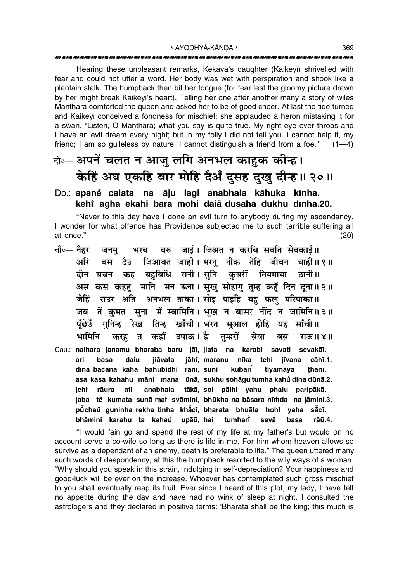Hearing these unpleasant remarks, Kekaya's daughter (Kaikeyī) shrivelled with fear and could not utter a word. Her body was wet with perspiration and shook like a plantain stalk. The humpback then bit her tongue (for fear lest the gloomy picture drawn by her might break Kaikeyi's heart). Telling her one after another many a story of wiles Manthara comforted the queen and asked her to be of good cheer. At last the tide turned and Kaikeyī conceived a fondness for mischief; she applauded a heron mistaking it for a swan. "Listen, O Mantharā; what you say is quite true. My right eve ever throbs and I have an evil dream every night; but in my folly I did not tell you. I cannot help it, my friend; I am so guileless by nature. I cannot distinguish a friend from a foe."  $(1-4)$ 

#### केन् अपनें चलत न आजु लगि अनभल काहुक कीन्ह। केहिं अघ एकहि बार मोहि दैअँ दुसह दुखु दीन्ह।। २०॥

#### Do.: apaně calata na āju lagi anabhala kāhuka kīnha, kehi agha ekahi bāra mohi daiå dusaha dukhu dīnha.20.

"Never to this day have I done an evil turn to anybody during my ascendancy. I wonder for what offence has Providence subjected me to such terrible suffering all at once."  $(20)$ 

- चौ०— नैहर बरु जाई। जिअत न करबि सवति सेवकाई॥ जनम् भरब बस दैउ जिआवत जाही। मरनु नीक तेहि जीवन चाही॥१॥ अरि कह बहुबिधि रानी।सुनि कुबरीं तियमाया ठानी॥ दीन बचन अस कस कहह मानि मन ऊना। सुखु सोहागु तुम्ह कहँ दिन दूना॥२॥ राउर अति अनभल ताका। सोइ पाइहि यह फलु परिपाका॥ जेहिं तें कुमत सुना मैं स्वामिनि। भूख न बासर नींद न जामिनि॥ ३॥ जब तिन्ह खाँची। भरत भुआल होहिं यह गनिन्ह रेख साँची॥ पॅछेउँ भामिनि कहों उपाऊ । है तम्हरीं सेवा करह त बस राऊ॥ ४॥
- Cau.: naihara janamu bharaba baru jāī, jiata na karabi savati sevakāī. daiu ari basa jiāvata jāhī, maranu nīka tehi jīvana cāhī.1. dīna bacana kaha bahubidhi rānī, suni kubari tiyamāyā thānī. asa kasa kahahu māni mana ūnā, sukhu sohāgu tumha kahů dina dūnā.2. tākā, soi pāihi yahu phalu paripākā. jeht rāura ati anabhala jaba tě kumata sunā mař svāmini, bhūkha na bāsara nīmda na jāmini.3. pūcheŭ guninha rekha tinha khācī, bharata bhuāla hohi yaha sācī. basa bhāmini karahu ta kahaů upāū, hai tumhari sevā rāū.4.

"I would fain go and spend the rest of my life at my father's but would on no account serve a co-wife so long as there is life in me. For him whom heaven allows so survive as a dependant of an enemy, death is preferable to life." The queen uttered many such words of despondency; at this the humpback resorted to the wily ways of a woman. "Why should you speak in this strain, indulging in self-depreciation? Your happiness and good-luck will be ever on the increase. Whoever has contemplated such gross mischief to you shall eventually reap its fruit. Ever since I heard of this plot, my lady, I have felt no appetite during the day and have had no wink of sleep at night. I consulted the astrologers and they declared in positive terms: 'Bharata shall be the king; this much is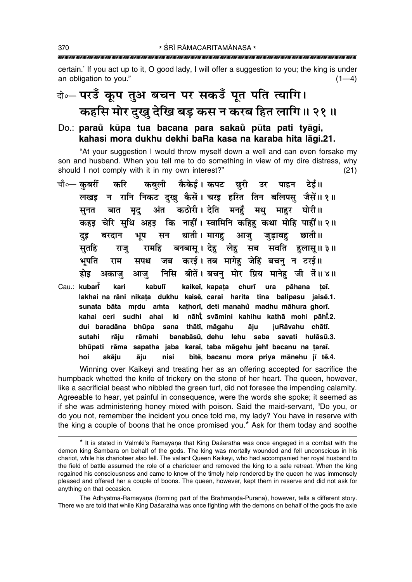certain.' If you act up to it, O good lady, I will offer a suggestion to you; the king is under an obligation to you."  $(1-4)$ 

# बे-परउँ कूप तुअ बचन पर सकउँ पूत पति त्यागि। कहसि मोर दुखु देखि बड़ कस न करब हित लागि॥ २१॥

#### Do.: paraŭ kūpa tua bacana para sakaŭ pūta pati tyāgi, kahasi mora dukhu dekhi baRa kasa na karaba hita lāgi.21.

"At your suggestion I would throw myself down a well and can even forsake my son and husband. When you tell me to do something in view of my dire distress, why should I not comply with it in my own interest?"  $(21)$ 

- कबली कैकेई।कपट छुरी उर पाहन टेई॥ चौ∘— कुबरीं करि लखड़ न रानि निकट दुखु कैसें। चरइ हरित तिन बलिपसु जैसें॥१॥ अंत कठोरी। देति मनहँ मधु माहर घोरी॥ मृद् सूनत बात कहड़ चेरि सधि अहड़ कि नाहीं। स्वामिनि कहिह कथा मोहि पाहीं॥२॥ थाती । मागह छाती ॥ भप सन आज् जुड़ावह दड बरदान रामहि बनबासू। देहु लेहु सब सवति हुलासू॥३॥ सूतहि राज़् जब करई। तब मागेह जेहिं बचन् न टरई॥ भपति सपथ राम निसि बीतें। बचन् मोर प्रिय मानेह जी तें॥४॥ होड अकाज आज
- Cau.: kubari kaikeī, kapata churī ura pāhana teī. kari kabulī lakhai na rāni nikata dukhu kaisė, carai harita tina balipasu jaisė.1. sunata bāta mrdu amta kathorī, deti manahu madhu māhura ghorī. kahai ceri sudhi ahai ki nāhi, svāmini kahihu kathā mohi pāhi.2. dui baradāna bhūpa sana thātī, māgahu āju juRāvahu chātī. sutahi rāju rāmahi banabāsū, dehu lehu saba savati hulāsū.3. bhūpati rāma sapatha jaba karaī, taba māgehu jehi bacanu na țaraī. hoi āiu nisi bītě, bacanu mora priya mānehu jī tě.4. akāju

Winning over Kaikeyī and treating her as an offering accepted for sacrifice the humpback whetted the knife of trickery on the stone of her heart. The queen, however, like a sacrificial beast who nibbled the green turf, did not foresee the impending calamity. Agreeable to hear, yet painful in consequence, were the words she spoke; it seemed as if she was administering honey mixed with poison. Said the maid-servant, "Do you, or do you not, remember the incident you once told me, my lady? You have in reserve with the king a couple of boons that he once promised you.\* Ask for them today and soothe

The Adhyātma-Rāmāyaṇa (forming part of the Brahmāṇḍa-Purāṇa), however, tells a different story. There we are told that while King Daśaratha was once fighting with the demons on behalf of the gods the axle

<sup>\*</sup> It is stated in Vālmīki's Rāmāyana that King Daśaratha was once engaged in a combat with the demon king Sambara on behalf of the gods. The king was mortally wounded and fell unconscious in his chariot, while his charioteer also fell. The valiant Queen Kaikeyī, who had accompanied her royal husband to the field of battle assumed the role of a charioteer and removed the king to a safe retreat. When the king regained his consciousness and came to know of the timely help rendered by the queen he was immensely pleased and offered her a couple of boons. The queen, however, kept them in reserve and did not ask for anything on that occasion.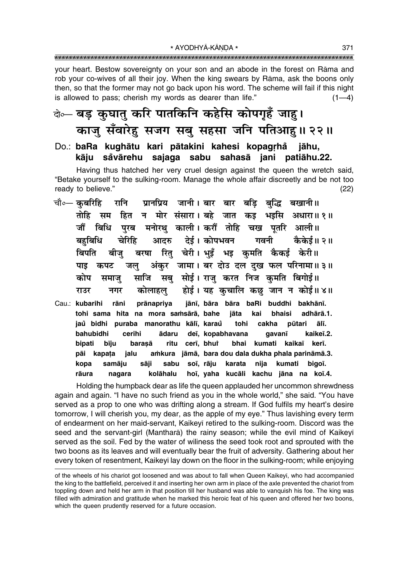\* AYODHYĀ-KĀNDA \* 

your heart. Bestow sovereignty on your son and an abode in the forest on Rāma and rob your co-wives of all their joy. When the king swears by Rama, ask the boons only then, so that the former may not go back upon his word. The scheme will fail if this night is allowed to pass; cherish my words as dearer than life."  $(1-4)$ 

### बे⊶ बड़ कुघातु करि पातकिनि कहेसि कोपगृहँ जाहु। काजु सँवारेहु सजग सबु सहसा जनि पतिआहु॥ २२॥

#### Do.: baRa kughātu kari pātakini kahesi kopagrhå iāhu. såvārehu sajaga sabu sahasā jani patiāhu.22. kāju

Having thus hatched her very cruel design against the queen the wretch said. "Betake yourself to the sulking-room. Manage the whole affair discreetly and be not too ready to believe."  $(22)$ 

- ग्रानप्रिय जानी।बार बार बड़ि बुद्धि बखानी॥ चौ∘— कबरिहि रानि न मोर संसारा। बहे जात कइ तोहि सम हित भइसि अधारा॥१॥ मनोरथ काली। करौं तोहि चख पुतरि आली॥ जौं बिधि परब देई। कोपभवन बहुबिधि चेरिहि गवनी कैकेर्ड।। २॥ आदरु बरषा रित् चेरी। भड़ँ भइ कुमति कैकई केरी॥ बिपति बीज् अंकर जामा। बर दोउ दल दख फल परिनामा॥३॥ पाड कपट जल् सबु सोई। राजु करत निज कुमति बिगोई॥ समाज साजि कोप होई। यह कुचालि कछु जान न कोई॥४॥ राउर नगर कोलाहल
- Cau.: kubarihi rāni prānapriya jānī, bāra bāra baRi buddhi bakhānī. tohi sama hita na mora samsārā, bahe jāta kai bhaisi adhārā.1. pūtari jaů bidhi puraba manorathu kālī, karaů tohi cakha ālī. bahubidhi cerihi ādaru deī, kopabhavana kaikeī.2. aavanī kumati kaikaī bipati bīju barasā ritu cerī, bhut bhai kerī. pāi kapata jalu amkura jāmā, bara dou dala dukha phala parināmā.3. soī, rāju karata kumati kopa samāju sāii sabu nija bigoī. hoī, yaha kucāli kachu jāna na koī.4. rāura nagara kolāhalu

Holding the humpback dear as life the queen applauded her uncommon shrewdness again and again. "I have no such friend as you in the whole world," she said. "You have served as a prop to one who was drifting along a stream. If God fulfils my heart's desire tomorrow, I will cherish you, my dear, as the apple of my eye." Thus lavishing every term of endearment on her maid-servant, Kaikeyī retired to the sulking-room. Discord was the seed and the servant-girl (Mantharā) the rainy season; while the evil mind of Kaikeyī served as the soil. Fed by the water of wiliness the seed took root and sprouted with the two boons as its leaves and will eventually bear the fruit of adversity. Gathering about her every token of resentment, Kaikeyī lay down on the floor in the sulking-room; while enjoying

of the wheels of his chariot got loosened and was about to fall when Queen Kaikeyi, who had accompanied the king to the battlefield, perceived it and inserting her own arm in place of the axle prevented the chariot from toppling down and held her arm in that position till her husband was able to vanquish his foe. The king was filled with admiration and gratitude when he marked this heroic feat of his queen and offered her two boons, which the queen prudently reserved for a future occasion.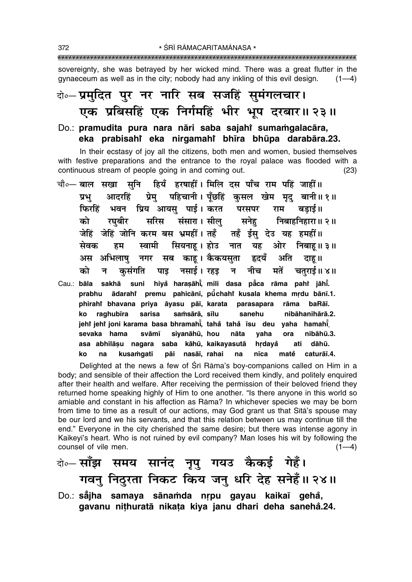sovereignty, she was betrayed by her wicked mind. There was a great flutter in the gynaeceum as well as in the city; nobody had any inkling of this evil design.  $(1-4)$ 

## केन् प्रमुदित पुर नर नारि सब सजहिं सुमंगलचार। एक प्रबिसहिं एक निर्गमहिं भीर भूप दरबार॥ २३॥

#### Do.: pramudita pura nara nāri saba sajahi sumamgalacāra, eka prabisahi eka nirgamahi bhīra bhūpa darabāra.23.

In their ecstasy of joy all the citizens, both men and women, busied themselves with festive preparations and the entrance to the royal palace was flooded with a continuous stream of people going in and coming out.  $(23)$ 

- चौ०— बाल सखा सुनि हियँ हरषाहीं। मिलि दस पाँच राम पहिं जाहीं॥ आदरहिं प्रेमु पहिचानी। पूँछहिं कुसल खेम मृद् बानी॥१॥ प्रभ फिरहिं भवन प्रिय आयस पाई।करत परसपर बडाई॥ राम सरिस संसारा। सील को रघबीर सनेह निबाहनिहारा॥ २॥ जेहिं जेहिं जोनि करम बस भ्रमहीं। तहँ तहँ ईसु देउ यह हमहीं॥ सियनाहू । होउ नात यह ओर सेवक स्वामी निबाह॥ ३॥ हम नगर सब काह।कैकयसता हृदयँ अति अभिलाष अस दाह ॥ पाइ नसाई।ारहड न नीच मतें को कसंगति चतराई॥ ४॥ न suni hiyå haraşāhi, mili dasa pāca rāma paht jāhi. Cau.: bāla sakhā
- prabhu ādarahi premu pahicānī, pūchahi kusala khema mrdu bānī.1. phiraht bhavana priya āyasu pāī, karata parasapara rāma baRāī. raghubīra sarisa samsārā, sīlu sanehu nibāhanihārā.2. ko jehi jehi joni karama basa bhramahi, tahå tahå īsu deu yaha hamahi siyanāhū, hou sevaka hama svāmī nāta vaha ora nibāhū.3. asa abhilāsu nagara saba kāhū, kaikayasutā dāhū. hrdayå ati ko na kusamqati pāi nasāī, rahai na nīca matě caturāī.4.

Delighted at the news a few of Sri Rama's boy-companions called on Him in a body; and sensible of their affection the Lord received them kindly, and politely enquired after their health and welfare. After receiving the permission of their beloved friend they returned home speaking highly of Him to one another. "Is there anyone in this world so amiable and constant in his affection as Rama? In whichever species we may be born from time to time as a result of our actions, may God grant us that Sita's spouse may be our lord and we his servants, and that this relation between us may continue till the end." Everyone in the city cherished the same desire; but there was intense agony in Kaikeyi's heart. Who is not ruined by evil company? Man loses his wit by following the counsel of vile men.  $(1-4)$ 

- समय सानंद नृपु गयउ कैकई गेहँ। दो**०— सॉझ** गवन् निठुरता निकट किय जन् धरि देह सनेहँ॥ २४॥
- Do.: sājha samaya sānamda nrpu gayau kaikaī gehå, gavanu nithuratā nikata kiya janu dhari deha sanehå.24.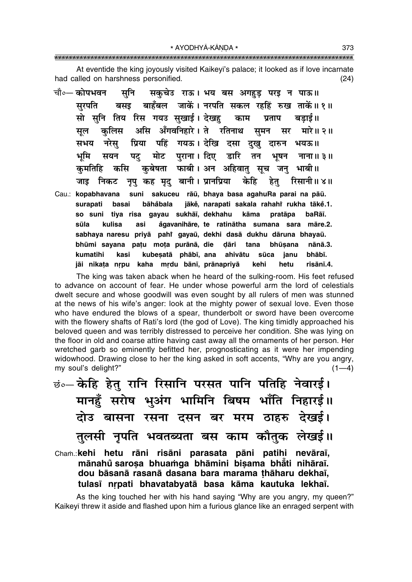At eventide the king joyously visited Kaikeyi's palace; it looked as if love incarnate had called on harshness personified.  $(24)$ 

- सनि चौ०— कोपभवन सकचेउ राऊ। भय बस अगहड परडून पाऊ॥ बसइ बाहँबल जाकें। नरपति सकल रहहिं रुख ताकें॥१॥ सरपति सो सनि तिय रिस गयउ सखाई। देखह प्रताप बडाई॥ काम असि अँगवनिहारे। ते रतिनाथ सुमन कलिस सर मारे॥ २॥ मल प्रिया पहिं गयऊ। देखि दसा दुखु दारुन भयऊ॥ मभय नरेस मोट पुराना। दिए डारि तन भमि सयन पट् भूषन नाना॥ ३॥ कबेषता फाबी। अन अहिवात सूच जन भाबी॥ कमतिहि कसि नृप कह मृद बानी। प्रानप्रिया केहि हेत रिसानी॥ ४॥ जाड निकट
- suni sakuceu rāū, bhaya basa agahuRa parai na pāū. Cau.: kopabhavana bāhåbala jākė, narapati sakala rahahi rukha tākė.1. surapati basai so suni tiya risa gayau sukhāī, dekhahu kāma pratāpa baRāī. ågavanihāre, te ratinātha sumana sara māre.2. sūla kulisa asi sabhaya naresu priyā pahi gayaū, dekhi dasā dukhu dāruna bhayaū. bhūmi sayana patu mota purānā, die dāri tana bhūsana nānā.3. kumatihi kasi kubesatā phābī, ana ahivātu sūca bhābī. ianu jāi nikata nrpu kaha mrdu bānī, prānapriyā kehi hetu risānī.4.

The king was taken aback when he heard of the sulking-room. His feet refused to advance on account of fear. He under whose powerful arm the lord of celestials dwelt secure and whose goodwill was even sought by all rulers of men was stunned at the news of his wife's anger: look at the mighty power of sexual love. Even those who have endured the blows of a spear, thunderbolt or sword have been overcome with the flowery shafts of Rati's lord (the god of Love). The king timidly approached his beloved queen and was terribly distressed to perceive her condition. She was lying on the floor in old and coarse attire having cast away all the ornaments of her person. Her wretched garb so eminently befitted her, prognosticating as it were her impending widowhood. Drawing close to her the king asked in soft accents, "Why are you angry, my soul's delight?"  $(1-4)$ 

छं०- केहि हेतु रानि रिसानि परसत पानि पतिहि नेवारई। मानहुँ सरोष भुअंग भामिनि बिषम भाँति निहारई।। दोउ बासना रसना दसन बर मरम ठाहरु देखई। तुलसी नृपति भवतब्यता बस काम कौतुक लेखई।। Cham.: kehi hetu rāni risāni parasata pāni patihi nevāraī, mānahů sarosa bhuamqa bhāmini bisama bhåti nihāraī. dou bāsanā rasanā dasana bara marama thāharu dekhaī, tulasī nrpati bhavatabyatā basa kāma kautuka lekhaī.

As the king touched her with his hand saying "Why are you angry, my queen?" Kaikeyī threw it aside and flashed upon him a furious glance like an enraged serpent with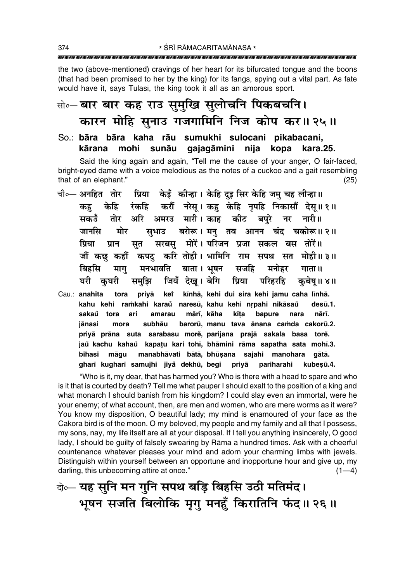the two (above-mentioned) cravings of her heart for its bifurcated tongue and the boons (that had been promised to her by the king) for its fangs, spying out a vital part. As fate would have it, says Tulasi, the king took it all as an amorous sport.

### सो० वार बार कह राउ सुमुखि सुलोचनि पिकबचनि। कारन मोहि सुनाउ गजगामिनि निज कोप कर॥ २५॥

#### So.: bāra bāra kaha rāu sumukhi sulocani pikabacani, kārana mohi sunāu gajagāmini nija kopa kara.25.

Said the king again and again, "Tell me the cause of your anger, O fair-faced, bright-eyed dame with a voice melodious as the notes of a cuckoo and a gait resembling that of an elephant."  $(25)$ 

- चौ०— अनहित तोर प्रिया केइँ कीन्हा। केहि दड सिर केहि जम चह लीन्हा॥ रंकहि करौं नरेस। कह केहि नपहि निकासौं देस॥१॥ केहि कह मकउँ तोर अरि अमरउ मारी।काह कीट बपरे नर नारी॥ सभाउ बरोरू। मन तव आनन चंद चकोरू॥२॥ जानमि मोर सरबस मोरें। परिजन प्रजा सकल बस तोरें॥ प्रिया सत प्रान जौं कछु कहौं कपटु करि तोही। भामिनि राम सपथ सत मोही॥३॥ बाता । भषन सजहि बिहसि मनभावति मनोहर माग गाता ॥ घरी कघरी समझि जियँ देख। बेगि प्रिया परिहरहि कबेष॥४॥
- Cau.: anahita tora priyā kei kīnhā, kehi dui sira kehi jamu caha līnhā. kahu kehi ramkahi karaŭ naresū, kahu kehi nrpahi nikāsaŭ  $des\bar{u}.1.$ mārī, kāha sakaů tora ari amarau kīta bapure nara nārī. jānasi mora subhāu barorū, manu tava ānana camda cakorū.2. priyā prāna suta sarabasu morė, parijana prajā sakala basa torė. jaů kachu kahaů kapatu kari tohī, bhāmini rāma sapatha sata mohī.3. māgu manabhāvati bātā, bhūṣana sajahi manohara gātā. bihasi gharī kugharī samujhi jivå dekhū, begi pariharahi kubesū.4. privā

"Who is it, my dear, that has harmed you? Who is there with a head to spare and who is it that is courted by death? Tell me what pauper I should exalt to the position of a king and what monarch I should banish from his kingdom? I could slay even an immortal, were he your enemy; of what account, then, are men and women, who are mere worms as it were? You know my disposition, O beautiful lady; my mind is enamoured of your face as the Cakora bird is of the moon. O my beloved, my people and my family and all that I possess, my sons, nay, my life itself are all at your disposal. If I tell you anything insincerely, O good lady, I should be guilty of falsely swearing by Rama a hundred times. Ask with a cheerful countenance whatever pleases your mind and adorn your charming limbs with jewels. Distinguish within yourself between an opportune and inopportune hour and give up, my darling, this unbecoming attire at once."  $(1-4)$ 

के- यह सुनि मन गुनि सपथ बड़ि बिहसि उठी मतिमंद। भूषन सजति बिलोकि मृगु मनहुँ किरातिनि फंद।। २६॥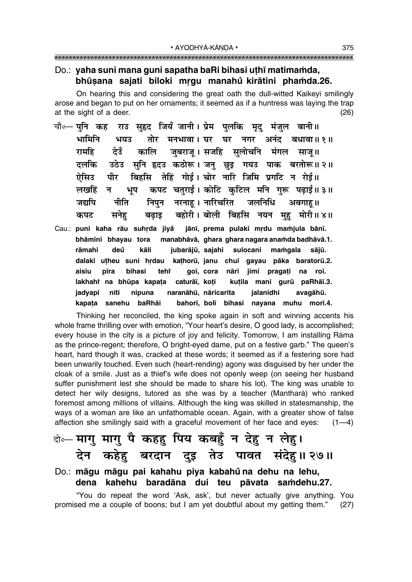#### Do.: yaha suni mana guni sapatha baRi bihasi uthī matimamda, bhūsana sajati biloki mrgu manahů kirātini phamda.26.

On hearing this and considering the great oath the dull-witted Kaikeyī smilingly arose and began to put on her ornaments; it seemed as if a huntress was laying the trap at the sight of a deer.  $(26)$ 

- राउ सुहृद जियँ जानी। प्रेम पुलकि मृद् मंजुल बानी॥ चौ०— पनि कह तोर मनभावा। घर घर नगर अनंद बधावा॥१॥ भामिनि भयंत देउँ जुबराज् । सजहि सुलोचनि मंगल साज्॥ रामहि कालि उठेउ सुनि हृदउ कठोरू। जनु छुइ गयउ पाक बरतोरू॥२॥ दलकि ऐसिउ बिहसि तेहिं गोर्ड। चोर नारि जिमि प्रगटि न रोर्ड।। पीर कपट चतराई। कोटि कटिल मनि गरू पढाई॥३॥ भूप लखहिं न नीति निपुन नरनाह। नारिचरित जलनिधि जद्यपि अवगाह।। बहोरी। बोली बिहसि नयन मह मोरी॥४॥ सनेह कपट बढाड
- Cau.: puni kaha rāu suhrda jiyå jānī, prema pulaki mrdu mamjula bānī. bhāmini bhayau tora manabhāvā, ghara ghara nagara anamda badhāvā.1. deů jubarājū, sajahi sulocani rāmahi kāli mamgala sājū. dalaki utheu suni hrdau kathorū, janu chui gayau pāka baratorū.2. aisiu pīra bihasi teht goī, cora nāri jimi pragați na roī. lakhahi na bhupa kapata caturāī, koti kutila mani qurū paRhāī.3. jadyapi nīti nipuna naranāhū, nāricarita jalanidhi avagāhū. bahorī, bolī bihasi navana muhu morī.4. kapata sanehu baRhāi

Thinking her reconciled, the king spoke again in soft and winning accents his whole frame thrilling over with emotion, "Your heart's desire, O good lady, is accomplished; every house in the city is a picture of joy and felicity. Tomorrow, I am installing Rāma as the prince-regent; therefore, O bright-eyed dame, put on a festive garb." The queen's heart, hard though it was, cracked at these words; it seemed as if a festering sore had been unwarily touched. Even such (heart-rending) agony was disquised by her under the cloak of a smile. Just as a thief's wife does not openly weep (on seeing her husband suffer punishment lest she should be made to share his lot). The king was unable to detect her wily designs, tutored as she was by a teacher (Manthara) who ranked foremost among millions of villains. Although the king was skilled in statesmanship, the ways of a woman are like an unfathomable ocean. Again, with a greater show of false affection she smilingly said with a graceful movement of her face and eyes:  $(1-4)$ 

### दो∘– मागु मागु पै कहहु पिय कबहुँ न देहु न लेहु। देन कहेहु बरदान दुइ तेउ पावत संदेहु॥२७॥

#### Do.: māgu māgu pai kahahu piya kabahů na dehu na lehu, dena kahehu baradāna dui teu pāvata samdehu.27.

"You do repeat the word 'Ask, ask', but never actually give anything. You promised me a couple of boons; but I am yet doubtful about my getting them."  $(27)$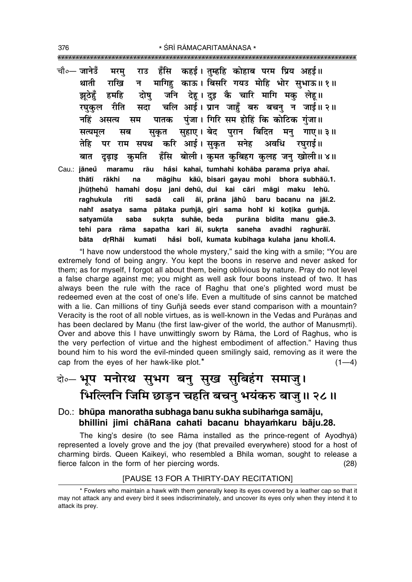चौ∘— जानेउँ हँसि कहई। तम्हहि कोहाब परम प्रिय अहर्ड॥ राउ मरम मागिह काऊ। बिसरि गयउ मोहि भोर सभाऊ॥१॥ थाती राखि न जनि देह। दृइ कै चारि मागि मक लेह॥ हमहि दोष झठेहँ चलि आई। प्रान जाहँ बरु बचनु न जाई॥ २॥ रघुकल रीति सदा पंजा। गिरि सम होहिं कि कोटिक गंजा॥ नहिं असत्य पातक सम सहाए। बेद परान बिदित मन सुकृत गाए।  $3$ ॥ सत्यमल मब पर राम सपथ करि आई। सकत तेहि सनेह अवधि रघराई॥ हँसि बोली। कमत कबिहग कलह जन खोली॥४॥ कर्मात बात दढाड Cau.: iāneů håsi kahaī, tumhahi kohāba parama priya ahaī. maramu rāu māgihu kāū, bisari gayau mohi bhora subhāū.1. thātī rākhi na jhūțhehů hamahi doșu jani dehū, dui kai cāri māgi maku lehū. āī, prāna jāhů baru bacanu na jāī.2. raghukula rīti sadā cali nahi asatya sama pātaka pumjā, giri sama hohi ki kotika gumjā. satyamūla saba sukrta suhāe, beda purāna bidita manu gāe.3. tehi para rāma sapatha kari āī, sukrta saneha avadhi raghurāī. drRhāi håsi bolī, kumata kubihaga kulaha janu kholī.4. bāta kumati

"I have now understood the whole mystery," said the king with a smile; "You are extremely fond of being angry. You kept the boons in reserve and never asked for them; as for myself, I forgot all about them, being oblivious by nature. Pray do not level a false charge against me; you might as well ask four boons instead of two. It has always been the rule with the race of Raghu that one's plighted word must be redeemed even at the cost of one's life. Even a multitude of sins cannot be matched with a lie. Can millions of tiny Guñjā seeds ever stand comparison with a mountain? Veracity is the root of all noble virtues, as is well-known in the Vedas and Purānas and has been declared by Manu (the first law-giver of the world, the author of Manusmrti). Over and above this I have unwittingly sworn by Rama, the Lord of Raghus, who is the very perfection of virtue and the highest embodiment of affection." Having thus bound him to his word the evil-minded queen smilingly said, removing as it were the cap from the eyes of her hawk-like plot.\*  $(1-4)$ 

## बे॰ भूप मनोरथ सुभग बनु सुख सुबिहंग समाजु। भिल्लिनि जिमि छाड़न चहति बचनु भयंकरु बाजु॥ २८॥

#### Do.: bhūpa manoratha subhaga banu sukha subihamga samāju, bhillini jimi chāRana cahati bacanu bhayamkaru bāju.28.

The king's desire (to see Rāma installed as the prince-regent of Ayodhyā) represented a lovely grove and the joy (that prevailed everywhere) stood for a host of charming birds. Queen Kaikeyī, who resembled a Bhīla woman, sought to release a fierce falcon in the form of her piercing words.  $(28)$ 

#### [PAUSE 13 FOR A THIRTY-DAY RECITATION]

<sup>\*</sup> Fowlers who maintain a hawk with them generally keep its eves covered by a leather cap so that it may not attack any and every bird it sees indiscriminately, and uncover its eyes only when they intend it to attack its prey.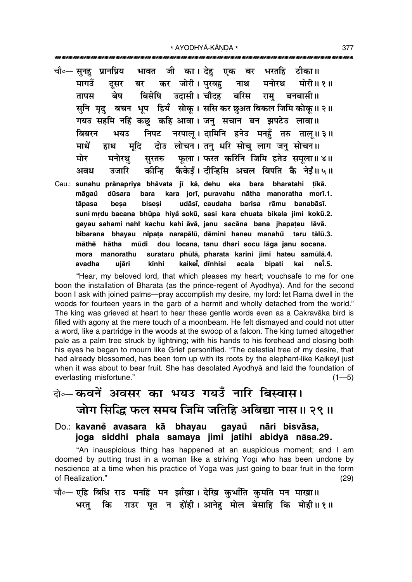\* AYODHYĀ-KĀNDA \*

| चौ∘— सुनहु प्रानप्रिय भावत जी का। देहु एक बर भरतहि टीका॥               |
|------------------------------------------------------------------------|
| मागउँ दूसर बर कर जोरी।पुरवहु नाथ मनोरथ मोरी॥१॥                         |
| तापस बेष बिसेषि उदासी। चौदह बरिस रामु बनबासी॥                          |
| सुनि मृदु बचन भूप हियँ सोकू। ससि कर छुअत बिकल जिमि कोकू॥ २॥            |
| गयउ सहमि नहिं कछु कहि आवा। जनु सचान बन झपटेउ लावा॥                     |
| बिबरन भयउ निपट नरपालू। दामिनि हनेउ मनहुँ तरु तालू॥ ३॥                  |
| माथें हाथ मूदि दोउ लोचन।तनुधरिसोचुलागजनुसोचन॥                          |
| मोर मनोरथु सुरतरु फूला। फरत करिनि जिमि हतेउ समूला॥४॥                   |
| अवध उजारि कोन्हि कैकेईं। दीन्हिसि अचल बिपति कै नेईं॥५॥                 |
| Cau.: sunahu prānapriya bhāvata jī kā, dehu eka bara bharatahi tīkā.   |
| māgaŭ dūsara bara kara jorī, puravahu nātha manoratha morī.1.          |
| tāpasa besa bisesi udāsī, caudaha barisa rāmu banabāsī.                |
| suni mrdu bacana bhūpa hiyă sokū, sasi kara chuata bikala jimi kokū.2. |
| gayau sahami nahi kachu kahi āvā, janu sacāna bana jhapateu lāvā.      |
| bibarana bhayau nipața narapālū, dāmini haneu manahů taru tālū.3.      |
| māthe hātha mūdi dou locana, tanu dhari socu lāga janu socana.         |
| mora manorathu surataru phūlā, pharata karini jimi hateu samūlā.4.     |
| avadha ujāri kīnhi kaikeī̇̃, dīnhisi acala bipati kai neī̃.5.          |

"Hear, my beloved lord, that which pleases my heart; vouchsafe to me for one boon the installation of Bharata (as the prince-regent of Ayodhya). And for the second boon I ask with joined palms-pray accomplish my desire, my lord: let Rāma dwell in the woods for fourteen years in the garb of a hermit and wholly detached from the world." The king was grieved at heart to hear these gentle words even as a Cakravāka bird is filled with agony at the mere touch of a moonbeam. He felt dismayed and could not utter a word, like a partridge in the woods at the swoop of a falcon. The king turned altogether pale as a palm tree struck by lightning; with his hands to his forehead and closing both his eyes he began to mourn like Grief personified. "The celestial tree of my desire, that had already blossomed, has been torn up with its roots by the elephant-like Kaikeyī just when it was about to bear fruit. She has desolated Ayodhya and laid the foundation of everlasting misfortune."  $(1 - 5)$ 

## के—कवनें अवसर का भयउ गयउँ नारि बिस्वास। जोग सिद्धि फल समय जिमि जतिहि अबिद्या नास।। २९॥

Do.: kavaně avasara kā bhayau qayaŭ nāri bisvāsa, joga siddhi phala samaya jimi jatihi abidyā nāsa.29.

"An inauspicious thing has happened at an auspicious moment; and I am doomed by putting trust in a woman like a striving Yogi who has been undone by nescience at a time when his practice of Yoga was just going to bear fruit in the form of Realization."  $(29)$ 

चौ०- एहि बिधि राउ मनहिं मन झाँखा। देखि कुभाँति कुमति मन माखा॥ भरत कि राउर पत न होंही। आनेह मोल बेसाहि कि मोही॥१॥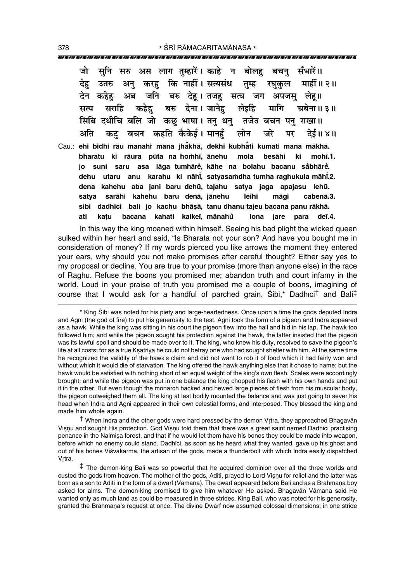जो अस लाग तम्हारें। काहे न बोलह सँभारें॥ सनि बचन करह कि नाहीं। सत्यसंध देह तुम्ह रघुकुल माहीं॥ २॥ उतरु अन् अब जनि बरु देह।तजह सत्य जग अपजस लेह॥ देन कहेह लेडहि बरु देना । जानेह मागि चबेना॥ ३॥ सराहि सत्य कहेह सिबि दधीचि बलि जो कछ भाषा। तनु धनु तजेउ बचन पनु राखा॥ कहति कैकेई । मानहँ अति लोन जो  $\overline{u}$ देई॥ ४॥ बचन कट Cau.: ehi bidhi rāu manahi mana jhākhā, dekhi kubhāti kumati mana mākhā. bharatu ki rāura pūta na homhī, ānehu mola besāhi ki mohī.1. jo suni saru asa lāga tumhāre, kāhe na bolahu bacanu såbhāre. dehu utaru anu karahu ki nāhi, satyasamdha tumha raghukula māhi.2. dena kahehu aba jani baru dehū, tajahu satya jaga apajasu lehū. satya sarāhi kahehu baru denā, jānehu leihi māgi cabenā.3. sibi dadhīci bali jo kachu bhāsā, tanu dhanu tajeu bacana panu rākhā. katu bacana kahati kaikeī, mānahů Iona jare para deī.4. ati

In this way the king moaned within himself. Seeing his bad plight the wicked queen sulked within her heart and said, "Is Bharata not your son? And have you bought me in consideration of money? If my words pierced you like arrows the moment they entered your ears, why should you not make promises after careful thought? Either say yes to my proposal or decline. You are true to your promise (more than anyone else) in the race of Raghu. Refuse the boons you promised me; abandon truth and court infamy in the world. Loud in your praise of truth you promised me a couple of boons, imagining of course that I would ask for a handful of parched grain. Sibi,\* Dadhicit and Bali‡

T When Indra and the other gods were hard pressed by the demon Vrtra, they approached Bhagavan Vișnu and sought His protection. God Vișnu told them that there was a great saint named Dadhīci practising penance in the Naimisa forest, and that if he would let them have his bones they could be made into weapon, before which no enemy could stand. Dadhīci, as soon as he heard what they wanted, gave up his ghost and out of his bones Viśvakarmā, the artisan of the gods, made a thunderbolt with which Indra easily dispatched Vrtra.

<sup>\*</sup> King Sibi was noted for his piety and large-heartedness. Once upon a time the gods deputed Indra and Agni (the god of fire) to put his generosity to the test. Agni took the form of a pigeon and Indra appeared as a hawk. While the king was sitting in his court the pigeon flew into the hall and hid in his lap. The hawk too followed him; and while the pigeon sought his protection against the hawk, the latter insisted that the pigeon was its lawful spoil and should be made over to it. The king, who knew his duty, resolved to save the pigeon's life at all costs; for as a true Ksatriya he could not betray one who had sought shelter with him. At the same time he recognized the validity of the hawk's claim and did not want to rob it of food which it had fairly won and without which it would die of starvation. The king offered the hawk anything else that it chose to name; but the hawk would be satisfied with nothing short of an equal weight of the king's own flesh. Scales were accordingly brought; and while the pigeon was put in one balance the king chopped his flesh with his own hands and put it in the other. But even though the monarch hacked and hewed large pieces of flesh from his muscular body, the pigeon outweighed them all. The king at last bodily mounted the balance and was just going to sever his head when Indra and Agni appeared in their own celestial forms, and interposed. They blessed the king and made him whole again.

 $\ddagger$  The demon-king Bali was so powerful that he acquired dominion over all the three worlds and custed the gods from heaven. The mother of the gods, Aditi, prayed to Lord Visnu for relief and the latter was born as a son to Aditi in the form of a dwarf (Vāmana). The dwarf appeared before Bali and as a Brāhmana boy asked for alms. The demon-king promised to give him whatever He asked. Bhagavan Vamana said He wanted only as much land as could be measured in three strides. King Bali, who was noted for his generosity, granted the Brāhmana's request at once. The divine Dwarf now assumed colossal dimensions; in one stride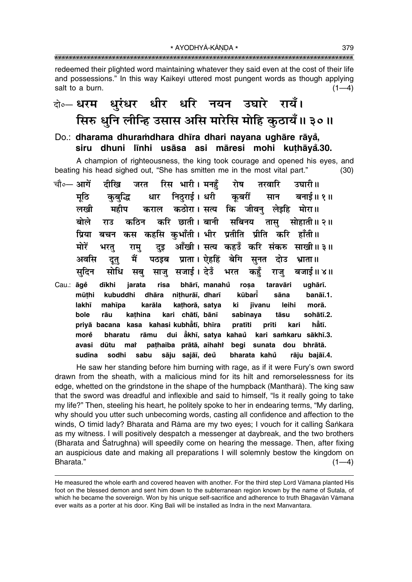\* AYODHYĀ-KĀNDA \* 

redeemed their plighted word maintaining whatever they said even at the cost of their life and possessions." In this way Kaikeyī uttered most pungent words as though applying salt to a burn.  $(1-4)$ 

### बे॰ धरम धुरंधर धीर धरि नयन उघारे रायँ। सिरु धुनि लीन्हि उसास असि मारेसि मोहि कुठायँ॥ ३०॥

#### Do.: dharama dhuramdhara dhira dhari nayana ughāre rāyă, siru dhuni līnhi usāsa asi māresi mohi kuthāyå.30.

A champion of righteousness, the king took courage and opened his eves, and beating his head sighed out, "She has smitten me in the most vital part."  $(30)$ 

|        |  | चौ∘— आगें दीखि जरत रिस भारी। मनहुँ रोष तरवारि उघारी॥  |  |  |                                                                  |
|--------|--|-------------------------------------------------------|--|--|------------------------------------------------------------------|
| मूठि   |  |                                                       |  |  | कुबुद्धि धार निठुराई । धरी कृबरीं सान बनाई ॥१॥                   |
|        |  | लखी महीप कराल कठोरा।सत्य कि जीवनु लेइहि मोरा॥         |  |  |                                                                  |
| बोले   |  |                                                       |  |  | राउ कठिन करि छाती।बानी सबिनय तासु सोहाती॥२॥                      |
| प्रिया |  | बचन कस कहसि कुभाँती। भीर प्रतीति प्रीति करि हाँती॥    |  |  |                                                                  |
| मोरें  |  |                                                       |  |  | भरतु रामु दुइ आँखी।सत्य कहउँ करि संकरु साखी॥३॥                   |
|        |  | अवसि दूतु मैं पठइब प्राता।ऐहहिं बेगि सुनत दोउ भ्राता॥ |  |  |                                                                  |
|        |  |                                                       |  |  | सुदिन सोधि सबु साजु सजाई। देउँ भरत कहुँ राजु बजाई॥ ४॥            |
|        |  |                                                       |  |  | Cau.: āgě dīkhi jarata risa bhārī, manahů rosa taravāri ughārī.  |
|        |  |                                                       |  |  | mūțhi kubuddhi dhāra nițhurāī, dharī kūbarī sāna banāī.1.        |
| lakhī  |  |                                                       |  |  | mahīpa karāla kathorā, satya ki jīvanu leihi morā.               |
| bole   |  | rāu kathina kari chātī, bānī sabinaya tāsu            |  |  | sohātī.2.                                                        |
|        |  |                                                       |  |  | priyā bacana kasa kahasi-kubhātī, bhīra pratīti prīti kari hātī. |
| morě   |  |                                                       |  |  | bharatu rāmu dui ākhī, satya kahaŭ kari samkaru sākhī.3.         |
|        |  |                                                       |  |  | avasi dūtu mai pathaiba prātā, aihahi begi sunata dou bhrātā.    |
|        |  |                                                       |  |  | sudina sodhi sabu sāju sajāī, deŭ bharata kahů rāju bajāī.4.     |

He saw her standing before him burning with rage, as if it were Fury's own sword drawn from the sheath, with a malicious mind for its hilt and remorselessness for its edge, whetted on the grindstone in the shape of the humpback (Manthara). The king saw that the sword was dreadful and inflexible and said to himself, "Is it really going to take my life?" Then, steeling his heart, he politely spoke to her in endearing terms, "My darling, why should you utter such unbecoming words, casting all confidence and affection to the winds, O timid lady? Bharata and Rāma are my two eyes; I vouch for it calling Sankara as my witness. I will positively despatch a messenger at daybreak, and the two brothers (Bharata and Satrughna) will speedily come on hearing the message. Then, after fixing an auspicious date and making all preparations I will solemnly bestow the kingdom on Bharata."  $(1-4)$ 

He measured the whole earth and covered heaven with another. For the third step Lord Vāmana planted His foot on the blessed demon and sent him down to the subterranean region known by the name of Sutala, of which he became the sovereign. Won by his unique self-sacrifice and adherence to truth Bhagavan Vamana ever waits as a porter at his door. King Bali will be installed as Indra in the next Manvantara.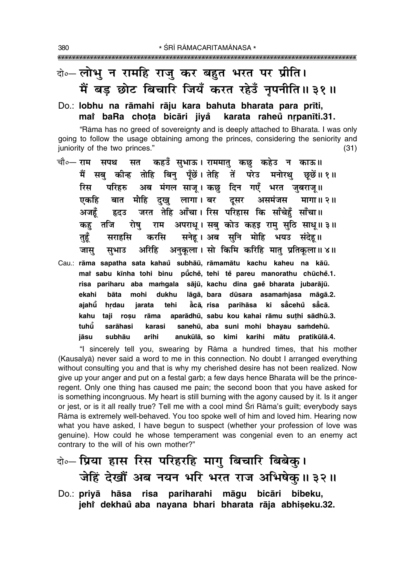### के-लोभु न रामहि राजु कर बहुत भरत पर प्रीति। मैं बड छोट बिचारि जियँ करत रहेउँ नुपनीति॥३१॥

#### Do.: lobhu na rāmahi rāju kara bahuta bharata para prīti, mai baRa chota bicāri jivă karata raheů nrpanīti.31.

"Rāma has no greed of sovereignty and is deeply attached to Bharata. I was only going to follow the usage obtaining among the princes, considering the seniority and juniority of the two princes."  $(31)$ 

- चौ०— राम सपथ सत कहउँ सुभाऊ। राममातु कछु कहेउ न काऊ॥ मैं सबु कीन्ह तोहि बिनु पूँछें।तेहि तें परेउ मनोरथु छुछें॥१॥ परिहरु अब मंगल साजू। कछु दिन गएँ भरत जुबराजू॥ रिस बात मोहि दुखु लागा। बर दूसर असमंजस मागा॥२॥ एकहि जरत तेहि आँचा। रिस परिहास कि साँचेहँ साँचा॥ अजहँ हृदउ रोषु राम अपराधू। सबु कोउ कहइ रामु सुठि साधू॥ ३॥ कह तजि करसि सनेह। अब सनि मोहि भयउ संदेह॥ तहँ सराहसि अरिहि अनुकुला। सो किमि करिहि मात् प्रतिकुला॥४॥ जास् सुभाउ
- Cau.: rāma sapatha sata kahau subhāū, rāmamātu kachu kaheu na kāū. mař sabu kinha tohi binu půchě, tehi tě pareu manorathu chūchě.1. risa pariharu aba mamgala sājū, kachu dina gaĕ bharata jubarājū. ekahi bāta mohi dukhu lāgā, bara dūsara asamamjasa māgā.2. ăcā risa parihāsa ki sācehů sācā. aiahū hrdau jarata tehi aparādhū, sabu kou kahai rāmu suthi sādhū.3. kahu taji rosu rāma tuhů sarāhasi sanehū, aba suni mohi bhayau samdehū. karasi jāsu subhāu arihi anukūlā, so kimi karihi mātu pratikūlā.4.

"I sincerely tell you, swearing by Rama a hundred times, that his mother (Kausalyā) never said a word to me in this connection. No doubt I arranged everything without consulting you and that is why my cherished desire has not been realized. Now give up your anger and put on a festal garb; a few days hence Bharata will be the princeregent. Only one thing has caused me pain; the second boon that you have asked for is something incongruous. My heart is still burning with the agony caused by it. Is it anger or jest, or is it all really true? Tell me with a cool mind Srī Rāma's guilt; everybody says Rāma is extremely well-behaved. You too spoke well of him and loved him. Hearing now what you have asked, I have begun to suspect (whether your profession of love was genuine). How could he whose temperament was congenial even to an enemy act contrary to the will of his own mother?"

बेन्ट प्रिया हास रिस परिहरहि मागु बिचारि बिबेकु। जेहिं देखौं अब नयन भरि भरत राज अभिषेकु ॥ ३२ ॥

Do.: priyā hāsa risa pariharahi māgu bicāri bibeku. jehi dekhaŭ aba nayana bhari bharata rāja abhiseku.32.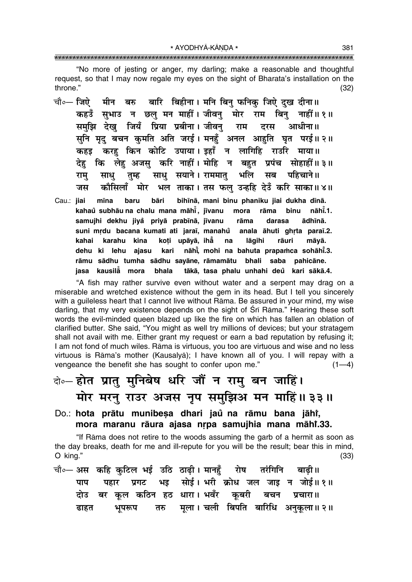\* AYODHYĀ-KĀNDA \* 

"No more of jesting or anger, my darling; make a reasonable and thoughtful request, so that I may now regale my eyes on the sight of Bharata's installation on the throne."  $(32)$ 

- चौ०— जिपे मीन बरु बारि बिहीना। मनि बिन फनिक जिऐ दख दीना॥ सुभाउ न छल् मन माहीं। जीवन् मोर राम बिन् नाहीं॥१॥ कहउँ समझि देख जियँ प्रिया प्रबीना। जीवन राम आधीना॥ दरस सुनि मृद् बचन कुमति अति जरई। मनहँ अनल आहुति घृत परई॥२॥ ्<br>करह किन कोटि उपाया। इहाँ न लागिहि राउरि माया॥ कहड देह कि लेह अजस करि नाहीं। मोहि न बहुत प्रपंच सोहाहीं॥३॥ साध सयाने । राममात भलि सब पहिचाने॥ तम्ह राम साध कौसिलाँ मोर भल ताका। तस फल उन्हहि देउँ करि साका॥४॥ जस
- haru hāri bihīnā, mani binu phaniku ijai dukha dīnā. Cau.: iiai mīna kahaŭ subhāu na chalu mana māhī, jīvanu mora rāma binu nāhī̃.1. samujhi dekhu jiyå priyā prabīnā, jīvanu rāma darasa ādhīnā. suni mrdu bacana kumati ati jaraī, manahů anala āhuti ghrta paraī.2. kahai karahu kina koti upāyā, ihā na lāgihi rāuri māyā. kari nāhi, mohi na bahuta prapamca sohāhi.3. dehu ki lehu ajasu rāmu sādhu tumha sādhu sayāne, rāmamātu bhali saba pahicāne. tākā, tasa phalu unhahi deŭ kari sākā.4. jasa kausilā mora bhala

"A fish may rather survive even without water and a serpent may drag on a miserable and wretched existence without the gem in its head. But I tell you sincerely with a guileless heart that I cannot live without Rāma. Be assured in your mind, my wise darling, that my very existence depends on the sight of Sri Rama." Hearing these soft words the evil-minded queen blazed up like the fire on which has fallen an oblation of clarified butter. She said, "You might as well try millions of devices; but your stratagem shall not avail with me. Either grant my request or earn a bad reputation by refusing it; I am not fond of much wiles. Rāma is virtuous, you too are virtuous and wise and no less virtuous is Rāma's mother (Kausalyā); I have known all of you. I will repay with a vengeance the benefit she has sought to confer upon me."  $(1-4)$ 

## बे-होत प्रातु मुनिबेष धरि जौं न रामु बन जाहिं। मोर मरनु राउर अजस नृप समुझिअ मन माहिं॥ ३३॥

#### Do.: hota prātu munibesa dhari jaŭ na rāmu bana jāhi, mora maranu rāura ajasa nrpa samujhia mana māhi.33.

"If Rāma does not retire to the woods assuming the garb of a hermit as soon as the day breaks, death for me and ill-repute for you will be the result; bear this in mind, O king."  $(33)$ 

| चौ०— अस कहि कुटिल भई उठि ठाढ़ी। मानहूँ रोष तरंगिनि बाढ़ी॥ |  |  |  |                                                    |  |  |
|-----------------------------------------------------------|--|--|--|----------------------------------------------------|--|--|
|                                                           |  |  |  | पाप पहार प्रगट भइ सोई। भरी क्रोध जल जाइ न जोई॥१॥   |  |  |
|                                                           |  |  |  | दोउ बर कूल कठिन हठ धारा। भवँर  कबरी  बचन  प्रचारा॥ |  |  |
|                                                           |  |  |  | ढाहत भूपरूप तरु मूला। चली बिपति बारिधि अनुकूला॥ २॥ |  |  |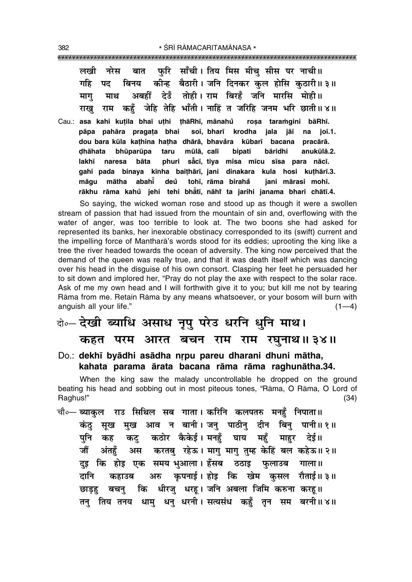|  |  | लखी नरेस बात फुरि साँची। तिय मिस मीचू सीस पर नाची॥          |
|--|--|-------------------------------------------------------------|
|  |  | गहि पद बिनय कीन्ह बैठारी। जनि दिनकर कुल होसि कुठारी॥३॥      |
|  |  | मागु माथ अबहीं देउँ तोही।राम बिरहँ जनि मारसि मोही॥          |
|  |  | राखु राम कहँ जेहि तेहि भाँती। नाहिं त जरिहि जनम भरि छाती॥४॥ |

Cau.: asa kahi kuțila bhaī uțhi țhāRhī, mānahů roșa taramgini bāRhī. pāpa pahāra pragata bhai soī, bharī krodha jala jāi na joī.1. dou bara kūla kathina hatha dhārā, bhavåra kūbarī bacana pracārā. bipati dhāhata bhūparūpa taru mūlā, calī bāridhi anukūlā.2. phuri săcī, tiya misa mīcu sīsa para nācī. lakhī naresa bāta gahi pada binaya kīnha baithārī, jani dinakara kula hosi kuthārī.3. māgu mātha abahī deů tohī, rāma birahå jani mārasi mohī. rākhu rāma kahů jehi tehi bhåtī, nāhř ta jarihi janama bhari chātī.4.

So saying, the wicked woman rose and stood up as though it were a swollen stream of passion that had issued from the mountain of sin and, overflowing with the water of anger, was too terrible to look at. The two boons she had asked for represented its banks, her inexorable obstinacy corresponded to its (swift) current and the impelling force of Manthara's words stood for its eddies; uprooting the king like a tree the river headed towards the ocean of adversity. The king now perceived that the demand of the queen was really true, and that it was death itself which was dancing over his head in the disquise of his own consort. Clasping her feet he persuaded her to sit down and implored her, "Pray do not play the axe with respect to the solar race. Ask of me my own head and I will forthwith give it to you; but kill me not by tearing Rāma from me. Retain Rāma by any means whatsoever, or your bosom will burn with anquish all your life."  $(1-4)$ 

#### बे-देखी ब्याधि असाध नृपु परेउ धरनि धुनि माथ। कहत परम आरत बचन राम राम रघनाथ॥३४॥

Do.: dekhī byādhi asādha nrpu pareu dharani dhuni mātha, kahata parama ārata bacana rāma rāma raghunātha.34.

When the king saw the malady uncontrollable he dropped on the ground beating his head and sobbing out in most piteous tones, "Rāma, O Rāma, O Lord of Raghus!"  $(34)$ 

चौ०— ब्याकुल राउ सिथिल सब गाता। करिनि कलपतरु मनहुँ निपाता॥ कंठु सूख मुख आव न बानी। जनु पाठीनु दीन बिनु पानी॥१॥ कट् कठोर कैकेई। मनहँ घाय महँ माहर देई॥ पनि कह अस करतबु रहेऊ। मागु मागु तुम्ह केहिं बल कहेऊ॥२॥ जौं अंतहँ दुइ कि होइ एक समयंभुआला। हँसब ठठाइ फुलाउब गाला॥ अरु कृपनाई। होइ कि खेम कुसल रौताई॥३॥ दानि कहाउब छाडह बचन् कि धीरज् धरह।जनि अबला जिमि करुना करह॥ तनु तिय तनय धामु धनु धरनी। सत्यसंध कहुँ तृन सम बरनी॥४॥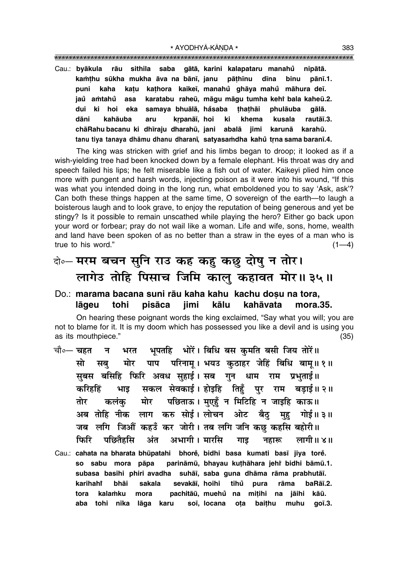\* AYODHYĀ-KĀNDA \* 

Cau.: byākula rāu sithila saba gātā, karini kalapataru manahů nipātā. kamthu sūkha mukha āva na bānī, janu pāthīnu binu pānī.1. dīna katu kathora kaikeī, manahů ghāva mahů māhura deī. puni kaha jaů amtahů karatabu raheū, māgu māgu tumha kehi bala kaheū.2. asa dui ki hoi eka samaya bhuālā, håsaba thathāi phulāuba aālā. dāni kahāuba aru krpanāī, hoi khema kusala rautāī.3. ki chāRahu bacanu ki dhīraju dharahū, jani abalā jimi karunā karahū. tanu tiya tanaya dhāmu dhanu dharanī, satyasamdha kahu trna sama baranī.4.

The king was stricken with grief and his limbs began to droop; it looked as if a wish-yielding tree had been knocked down by a female elephant. His throat was dry and speech failed his lips; he felt miserable like a fish out of water. Kaikevī plied him once more with pungent and harsh words, injecting poison as it were into his wound, "If this was what you intended doing in the long run, what emboldened you to say 'Ask, ask'? Can both these things happen at the same time, O sovereign of the earth—to laugh a boisterous laugh and to look grave, to enjoy the reputation of being generous and yet be stingy? Is it possible to remain unscathed while playing the hero? Either go back upon your word or forbear; pray do not wail like a woman. Life and wife, sons, home, wealth and land have been spoken of as no better than a straw in the eyes of a man who is true to his word."  $(1-4)$ 

## बे- मरम बचन सुनि राउ कह कह कछ दोष न तोर। लागेउ तोहि पिसाच जिमि कालु कहावत मोर॥३५॥

Do.: marama bacana suni rāu kaha kahu kachu dosu na tora, iimi lāgeu tohi pisāca kālu kahāvata mora.35.

On hearing these poignant words the king exclaimed, "Say what you will; you are not to blame for it. It is my doom which has possessed you like a devil and is using you as its mouthpiece."  $(35)$ 

- भुपतहि भोरें। बिधि बस कुमति बसी जिय तोरें॥ चौ∘— चहत भरत न पाप परिनाम् । भयउ कुठाहर जेहिं बिधि बाम् ॥ १ ॥ मोर मो सब सबस बसिहि फिरि अवध सुहाई। सब गुन धाम राम प्रभुताई॥ सकल सेवकाई। होइहि तिहूँ पुर राम बडाई॥२॥ करिहहिं भाड पछिताऊ। मएहँ न मिटिहि न जाइहि काऊ॥ मोर तोर कलंक अब तोहि नीक लाग करु सोई।लोचन ओट बैठ मह गोर्ड ॥ ३ ॥ लगि जिऔं कहउँ कर जोरी। तब लगि जनि कछ कहसि बहोरी॥ जब फिरि पछितैहसि अभागी। मारसि अंत लागी॥ ४॥ गाड नहारू
- Cau.: cahata na bharata bhūpatahi bhorě, bidhi basa kumati basī jiya torě. parināmū, bhayau kuthāhara jehr bidhi bāmū.1. so sabu mora pāpa subasa basihi phiri avadha suhāī, saba guna dhāma rāma prabhutāī. karihaht bhāi sakala sevakāī, hoihi tihů pura baRāī.2. rāma kalamku pachitāū, muehů na mițihi na jāihi mora kāū. tora aba tohi nīka lāga karu soī, locana ota baithu muhu qoī.3.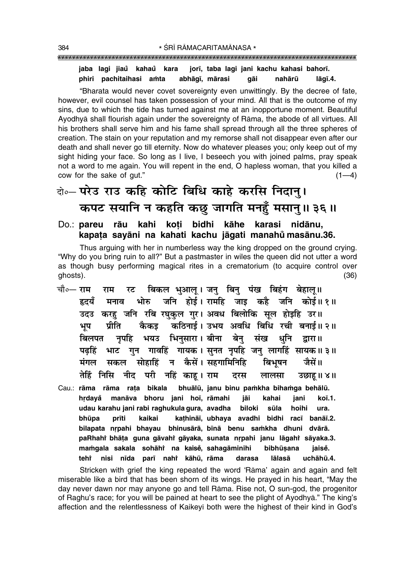#### jaba lagi jiaů kahaů kara jorī, taba lagi jani kachu kahasi bahorī. phiri pachitaihasi amta abhāqī, mārasi qāi nahārū lāgī.4.

"Bharata would never covet sovereignty even unwittingly. By the decree of fate, however, evil counsel has taken possession of your mind. All that is the outcome of my sins, due to which the tide has turned against me at an inopportune moment. Beautiful Ayodhya shall flourish again under the sovereignty of Rama, the abode of all virtues. All his brothers shall serve him and his fame shall spread through all the three spheres of creation. The stain on your reputation and my remorse shall not disappear even after our death and shall never go till eternity. Now do whatever pleases you; only keep out of my sight hiding your face. So long as I live, I beseech you with joined palms, pray speak not a word to me again. You will repent in the end, O hapless woman, that you killed a cow for the sake of gut."  $(1-4)$ 

# वेन्ट परेउ राउ कहि कोटि बिधि काहे करसि निदान्। कपट सयानि न कहति कछु जागति मनहुँ मसानु॥ ३६॥

#### Do.: pareu rāu kahi koti bidhi kāhe karasi nidānu, kapata sayāni na kahati kachu jāgati manahů masānu.36.

Thus arguing with her in numberless way the king dropped on the ground crying. "Why do you bring ruin to all?" But a pastmaster in wiles the queen did not utter a word as though busy performing magical rites in a crematorium (to acquire control over ghosts).  $(36)$ 

- चौ०— **राम** बिकल भुआल् । जन् बिनु पंख बिहंग बेहाल् ॥ रट राम जनि होई। रामहि जाइ कहै जनि कोई॥१॥ भोरु हृदयँ मनाव उदउ करह जनि रबि रघकल गर। अवध बिलोकि सुल होइहि उर॥ कैकड़ कठिनाई। उभय अवधि बिधि रची बनाई॥२॥ प्रीति भूप नपहि भयउ भिनुसारा। बीना बेनु संख बिलपत धनि द्रारा ॥ पढहिं गुन गावहिं गायक। सुनत नृपहि जन् लागहिं सायक॥३॥ भाट न कैसें। सहगामिनिहि जैसें॥ मंगल सकल सोहाहिं बिभषन तेहिं निसि नीद परी नहिं काह। राम दरस लालसा उछाह।। ४॥ Cau.: rāma rāma rata bikala bhuālū, janu binu pamkha bihamga behālū. manāva bhoru jani hoī, rāmahi kahai hrdayå jāi iani koī.1. udau karahu jani rabi raghukula gura, avadha sūla biloki hoihi ura.
	- bhūpa prīti kaikai kathināi, ubhaya avadhi bidhi racī banāi.2. bilapata nrpahi bhayau bhinusārā, bīnā benu samkha dhuni dvārā. paRhahi bhāta guna gāvahi gāyaka, sunata nrpahi janu lāgahi sāyaka.3. mamgala sakala sohāhi na kaisė, sahagāminihi bibhūsana iaisė. teht nisi nīda parī nahi kāhū, rāma darasa lālasā uchāhū.4.

Stricken with grief the king repeated the word 'Rāma' again and again and felt miserable like a bird that has been shorn of its wings. He prayed in his heart, "May the day never dawn nor may anyone go and tell Rāma. Rise not, O sun-god, the progenitor of Raghu's race; for you will be pained at heart to see the plight of Ayodhya." The king's affection and the relentlessness of Kaikeyī both were the highest of their kind in God's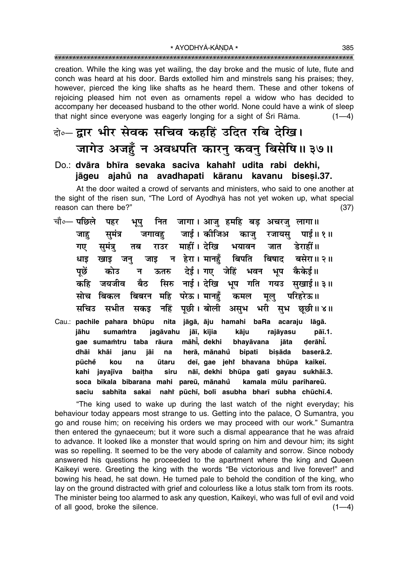\* AYODHYĀ-KĀNDA \* 

creation. While the king was yet wailing, the day broke and the music of lute, flute and conch was heard at his door. Bards extolled him and minstrels sang his praises; they, however, pierced the king like shafts as he heard them. These and other tokens of rejoicing pleased him not even as ornaments repel a widow who has decided to accompany her deceased husband to the other world. None could have a wink of sleep that night since everyone was eagerly longing for a sight of Srī Rāma.  $(1-4)$ 

### के-द्वार भीर सेवक सचिव कहहिं उदित रबि देखि। जागेउ अजहुँ न अवधपति कारनु कवनु बिसेषि॥ ३७॥

#### Do.: dvāra bhīra sevaka saciva kahahi udita rabi dekhi, ajahů na avadhapati kāranu kavanu bisesi.37. iāaeu

At the door waited a crowd of servants and ministers, who said to one another at the sight of the risen sun, "The Lord of Ayodhya has not yet woken up, what special reason can there be?"  $(37)$ 

- चौ०— पछिले नित जागा। आजु हमहि बड़ अचरजु लागा॥ पहर भप जाई । कीजिअ काज् रजायस् पाई॥१॥ जाह सुमंत्र जगावह राउर माहीं । देखि डेराहीं ॥ गए समंत्र तब भयावन जात न हेरा। मानहँ बिपति जाड बिषाद बसेरा॥ २॥ धाड खाड़ जन ऊतरु देई।गए जेहिं भवन भूप कैकेई॥ पछें न कोउ सिरु नाई। देखि भूष गति गयउ सखाई॥३॥ कहि जयजीव ਕੈਨ बिबरन महि परेऊ। मानहँ सोच बिकल कमल मूलु परिहरेऊ॥ सचिउ नहिं पूछी। बोली असुभ भरी सुभ छूछी॥४॥ सभीत सकड
- Cau.: pachile pahara bhūpu nita jāgā, āju hamahi baRa acaraju lāgā. jāī, kījia jāhu sumamtra jagāvahu kāju rajāvasu pāī.1. māhi, dekhi derāhī. gae sumamtru taba rāura bhayāvana jāta khāi herā, mānahů bipati bisāda baserā.2. dhāi janu jāi na deī, gae jehi bhavana bhūpa kaikeī. pūchě kou na ūtaru kahi jayajīva baitha siru nāi, dekhi bhūpa gati gayau sukhāi.3. soca bikala bibarana mahi pareū, mānahů kamala mūlu parihareū. saciu sabhīta sakai nahî pūchī, bolī asubha bharī subha chūchī.4.

"The king used to wake up during the last watch of the night everyday; his behaviour today appears most strange to us. Getting into the palace, O Sumantra, you go and rouse him; on receiving his orders we may proceed with our work." Sumantra then entered the gynaeceum; but it wore such a dismal appearance that he was afraid to advance. It looked like a monster that would spring on him and devour him; its sight was so repelling. It seemed to be the very abode of calamity and sorrow. Since nobody answered his questions he proceeded to the apartment where the king and Queen Kaikeyī were. Greeting the king with the words "Be victorious and live forever!" and bowing his head, he sat down. He turned pale to behold the condition of the king, who lay on the ground distracted with grief and colourless like a lotus stalk torn from its roots. The minister being too alarmed to ask any question, Kaikeyī, who was full of evil and void of all good, broke the silence.  $(1-4)$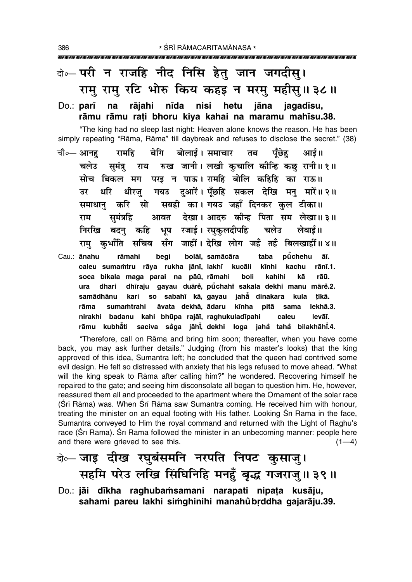### बे-परी न राजहि नीद निसि हेतु जान जगदीसु। रामु रामु रटि भोरु किय कहड़ न मरमु महीसु॥ ३८॥

rājahi nīda nisi hetu jāna jagadīsu, na  $Do:$  pari rāmu rāmu rati bhoru kiya kahai na maramu mahīsu.38.

"The king had no sleep last night: Heaven alone knows the reason. He has been simply repeating "Rāma, Rāma" till daybreak and refuses to disclose the secret." (38)

- बेगि बोलाई। समाचार चौ∘— आनह रामहि तब पँछेह आर्ड ॥ राय रुख जानी । लखी कुचालि कीन्हि कछु रानी ॥ १ ॥ चलेउ समंत्र सोच बिकल मग परइ न पाऊ। रामहि बोलि कहिहि का राऊ॥ गयउ दआरें। पँछहिं सकल देखि मन मारें॥२॥ धरि धीरज तर सबही का। गयउ जहाँ दिनकर कल टीका॥ समाधान करि सो आवत देखा। आदरु कीन्ह पिता सम लेखा॥३॥ राम समंत्रहि भूप रजाई। रघकलदीपहि निरखि चलेउ लेवाई॥ बदन कहि राम कभाँति सचिव सँग जाहीं। देखि लोग जहँ तहँ बिलखाहीं॥४॥
- Cau.: ānahu rāmahi begi bolāī, samācāra taba pūchehu āī. caleu sumamtru rāya rukha jānī, lakhī kucāli kīnhi kachu rānī.1. soca bikala maga parai na pāū, rāmahi kahihi rāū. boli kā dhīraju gayau duārě, pūchahř sakala dekhi manu mārě.2. dhari ura so sabahī kā, gayau jahā dinakara samādhānu kari kula tīkā. āvata dekhā, ādaru kīnha sumamtrahi pitā sama lekhā.3. rāma nirakhi badanu kahi bhūpa rajāī, raghukuladīpahi caleu levāī. rāmu kubhāti saciva såga jāhi̇̃, dekhi loga jahå tahå bilakhāhi̇̃.4.

"Therefore, call on Rāma and bring him soon; thereafter, when you have come back, you may ask further details." Judging (from his master's looks) that the king approved of this idea, Sumantra left; he concluded that the queen had contrived some evil design. He felt so distressed with anxiety that his legs refused to move ahead. "What will the king speak to Rāma after calling him?" he wondered. Recovering himself he repaired to the gate; and seeing him disconsolate all began to question him. He, however, reassured them all and proceeded to the apartment where the Ornament of the solar race (Srī Rāma) was. When Srī Rāma saw Sumantra coming. He received him with honour, treating the minister on an equal footing with His father. Looking Srī Rāma in the face, Sumantra conveyed to Him the royal command and returned with the Light of Raghu's race (Srī Rāma). Srī Rāma followed the minister in an unbecoming manner: people here and there were grieved to see this.  $(1-4)$ 

बे॰ जाइ दीख रघुबंसमनि नरपति निपट कुसाज्। सहमि परेउ लखि सिंघिनिहि मनहुँ बृद्ध गजराजु॥३९॥

Do.: jāi dīkha raghubamsamani narapati nipata kusāju, sahami pareu lakhi simghinihi manahů brddha gajarāju.39.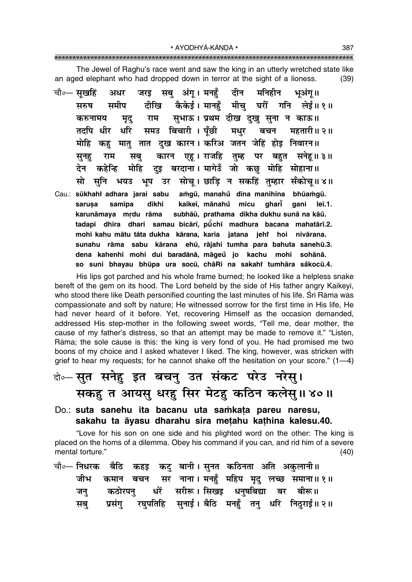The Jewel of Raghu's race went and saw the king in an utterly wretched state like an aged elephant who had dropped down in terror at the sight of a lioness.  $(39)$ 

चौ०-सखहिं जरइ सब अंग्।मनहँ दीन मनिहीन अधर भअंग॥ कैकेई। मानहुँ मीचु घरीं गनि लेई॥१॥ दीखि समीप सरुष सुभाऊ। प्रथम दीख दुखु सुना न काऊ॥ राम करुनामय मृद् समउ बिचारी । पूँछी तदपि धीर धरि मधर महतारी॥ २॥ बचन कह मात् तात दख कारन। करिअ जतन जेहिं होइ निवारन॥ मोहि कारन एहू।सरजहि तुम्ह पर बहुत सनेहू॥३॥ राम सब् सनह <u> देन</u> कहेन्हि मोहि ढड बरदाना। मागेउँ जो कछ मोहि सोहाना॥ भयउ भूप उर सोच्। छाडि न सकहिं तुम्हार सँकोच्॥४॥ सो सनि Cau.: sūkhahi adhara jarai sabu amgū, manahů dīna manihīna bhūamgū. kaikeī, mānahů mīcu qhari sarusa samīpa dīkhi qani leī.1. subhāū, prathama dīkha dukhu sunā na kāū. karunāmaya mrdu rāma tadapi dhīra dhari samau bicārī, pūchī madhura bacana mahatārī.2. mohi kahu mātu tāta dukha kārana, karia jatana jehi hoi nivārana. sunahu rāma sabu kārana ehū, rājahi tumha para bahuta sanehū.3. dena kahenhi mohi dui baradānā, māgeů jo kachu mohi sohānā. so suni bhayau bhūpa ura socū, chāRi na sakahi tumhāra såkocū.4.

His lips got parched and his whole frame burned; he looked like a helpless snake bereft of the gem on its hood. The Lord beheld by the side of His father angry Kaikeyi, who stood there like Death personified counting the last minutes of his life. Srī Rāma was compassionate and soft by nature; He witnessed sorrow for the first time in His life, He had never heard of it before. Yet, recovering Himself as the occasion demanded, addressed His step-mother in the following sweet words, "Tell me, dear mother, the cause of my father's distress, so that an attempt may be made to remove it." "Listen, Rāma; the sole cause is this: the king is very fond of you. He had promised me two boons of my choice and I asked whatever I liked. The king, however, was stricken with grief to hear my requests; for he cannot shake off the hesitation on your score." (1-4)

## के—सूत सनेहु इत बचनु उत संकट परेउ नरेसु। सकहु त आयसु धरहु सिर मेटहु कठिन कलेसु॥४०॥

Do.: suta sanehu ita bacanu uta samkata pareu naresu, sakahu ta āyasu dharahu sira metahu kathina kalesu.40.

"Love for his son on one side and his plighted word on the other: The king is placed on the horns of a dilemma. Obey his command if you can, and rid him of a severe mental torture."  $(40)$ 

|  |  |  |  | चौ∘— निधरक   बैठि   कहइ   कटु   बानी । सुनत  कठिनता  अति  अकुलानी॥ |  |
|--|--|--|--|--------------------------------------------------------------------|--|
|  |  |  |  | जीभ कमान बचन सर नाना। मनहँ महिप मृद् लच्छ समाना॥१॥                 |  |
|  |  |  |  | जन् कठोरपन् धरें सरीरू। सिखइ धनुषबिद्या बर बीरू॥                   |  |
|  |  |  |  | सबु प्रसंगु रघुपतिहि सुनाई। बैठि मनहुँ तनु धरि निठुराई॥ २॥         |  |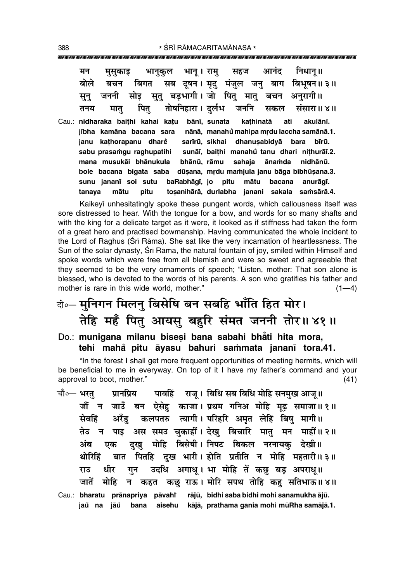| निधान् ॥<br>आनंद<br>मन<br>सहज<br>भान् ।<br>राम्<br>भानुकूल<br>मुसुकाइ          |
|--------------------------------------------------------------------------------|
| बोले<br>बिभूषन॥ ३॥<br>मंजुल जनु<br>बिगत<br>सब दूषन। मृदु<br>बाग<br>बचन         |
| सुतु बड़भागी। जो पितु<br>जननी<br>अनुरागी॥<br>सोड़<br>मातु<br>बचन<br>सूनु       |
| तोषनिहारा । दुर्लभ जननि<br>पित्<br>संसारा॥ ४॥<br>सकल<br>तनय<br>मात्            |
| Cau.: nidharaka baithi kahai katu<br>bānī, sunata kathinatā<br>ati<br>akulānī. |
| nānā, manahů mahipa mrdu laccha samānā.1.<br>jībha kamāna bacana sara          |
| kathorapanu dhare<br>sarīrū, sikhai dhanusabidyā<br>bara<br>bīrū.<br>ianu      |
| sunāi, baithi manahů tanu dhari nithurāi.2.<br>sabu prasamgu raghupatihi       |
| mana musukāi bhānukula<br>bhānū. rāmu<br>sahaja<br>ānaṁda<br>nidhānū.          |
| bacana bigata saba dūsana, mrdu mamjula janu bāga bibhūsana.3.<br>bole         |
| baRabhāgī, jo<br>jananī soi sutu<br>pitu<br>mātu<br>bacana<br>sunu<br>anurāgī. |
| tosanihārā, durlabha janani<br>sakala samsārā.4.<br>mātu<br>pitu<br>tanaya     |

Kaikey∂ unhesitatingly spoke these pungent words, which callousness itself was sore distressed to hear. With the tongue for a bow, and words for so many shafts and with the king for a delicate target as it were, it looked as if stiffness had taken the form of a great hero and practised bowmanship. Having communicated the whole incident to the Lord of Raghus (Śrī Rāma). She sat like the very incarnation of heartlessness. The Sun of the solar dynasty, Śrī Rāma, the natural fountain of joy, smiled within Himself and spoke words which were free from all blemish and were so sweet and agreeable that they seemed to be the very ornaments of speech; "Listen, mother: That son alone is blessed, who is devoted to the words of his parents. A son who gratifies his father and mother is rare in this wide world, mother.<sup>"</sup>  $(1-4)$ 

- दो**० मुनिगन मिलनु बिसेषि बन सबहि भाँति हित मोर।** तेहि महँ पितु आयसु बहुरि संमत जननी तोर॥४१॥
- Do.: **munigana milanu bise¶i bana sabahi bhå° ti hita mora,** tehi mahå pitu āyasu bahuri sammata jananī tora.41.

"In the forest I shall get more frequent opportunities of meeting hermits, which will be beneficial to me in everyway. On top of it I have my father's command and your approval to boot, mother."  $(41)$ 

चौ०— भरत् प्रानप्रिय पावहिं राज् । बिधि सब बिधि मोहि सनमुख आज् ॥ जौं न जाउँ बन ऐसेहु काजा।**प्रथम गनिअ मोहि मूढ़ समाजा॥१॥** सेवहिं अरँडु कलपतरु त्यागी।**परिहरि अमृत लेहिं बिषु मागी**॥ तेउ न पाइ अस समउ चकाहीं। देख बिचारि मात मन माहीं॥२॥ <u>अंब एक दुख</u> मोहि बिसेषी। निपट बिकल नरनायकु देखी॥ <u>थोरिहिं</u> बात पितहि दुख भारी।होति प्रतीति न मोहि महतारी॥३॥ **राउ धीर गन उदधि अगाध । भा मोहि तें कछ बड़ अपराध ॥** जातें मोहि न कहत कछ**्र राऊ। मोरि सपथ तोहि कह** सतिभाऊ॥४॥ Cau.: **bharatu prānapriya pāvahi rājū, bidhi saba bidhi mohi sanamukha ājū. jau na jåu ° bana aisehu ° kåjå, prathama gania mohi mµuRha samåjå.1.**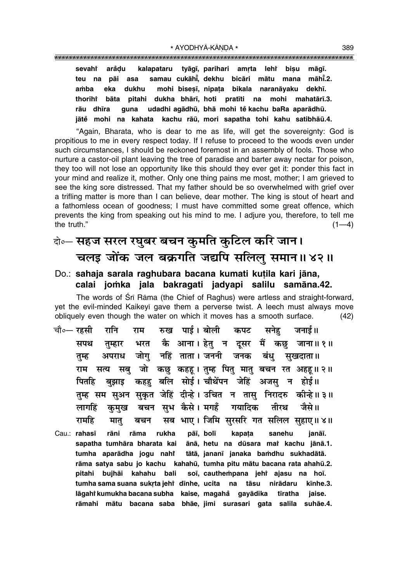kalapataru tyāgī, parihari amrta lehr sevahi arådu bisu māgī. samau cukāhi, dekhu bicāri mātu mana māhī.2. teu na pāi asa mohi bisesī, nipata bikala naranāvaku eka dukhu dekhī. amba bāta pitahi dukha bhārī, hoti pratīti na mohi mahatārī.3. thorihi rāu dhīra quna udadhi aqādhū, bhā mohi tě kachu baRa aparādhū. jātě mohi na kahata kachu rāū, mori sapatha tohi kahu satibhāū.4.

"Again, Bharata, who is dear to me as life, will get the sovereignty: God is propitious to me in every respect today. If I refuse to proceed to the woods even under such circumstances, I should be reckoned foremost in an assembly of fools. Those who nurture a castor-oil plant leaving the tree of paradise and barter away nectar for poison, they too will not lose an opportunity like this should they ever get it: ponder this fact in your mind and realize it, mother. Only one thing pains me most, mother; I am grieved to see the king sore distressed. That my father should be so overwhelmed with grief over a trifling matter is more than I can believe, dear mother. The king is stout of heart and a fathomless ocean of goodness; I must have committed some great offence, which prevents the king from speaking out his mind to me. I adjure you, therefore, to tell me the truth."  $(1-4)$ 

### केन्सहज सरल रघुबर बचन कुमति कुटिल करि जान। चलड जोंक जल बक्रगति जद्यपि सलिलु समान॥४२॥

#### Do.: sahaja sarala raghubara bacana kumati kutila kari jāna, calai jomka jala bakragati jadyapi salilu samāna.42.

The words of Sri Rama (the Chief of Raghus) were artless and straight-forward, yet the evil-minded Kaikeyī gave them a perverse twist. A leech must always move obliquely even though the water on which it moves has a smooth surface.  $(42)$ 

- चौ०— रहसी रानि रुख पाई। बोली कपट सनेह जनाई॥ राम भरत कै आना। हेतु न दूसर मैं कछु जाना॥१॥ सपथ तम्हार जोग नहिं ताता। जननी जनक बंध सखदाता॥ तुम्ह अपराध राम सत्य सबु जो कछ कहह।तुम्ह पितु मातु बचन रत अहह॥२॥ कहह बलि सोई। चौथेंपन जेहिं अजस् न होई॥ पितहि बझाइ तुम्ह सम सुअन सुकृत जेहिं दीन्हे। उचित न तासु निरादरु कीन्हे॥३॥ बचन सुभ कैसे। मगहँ गयादिक तीरथ जैसे॥ लागहिं कमख सब भाए। जिमि सुरसरि गत सलिल सुहाए॥४॥ रामहि मात् बचन
- Cau.: rahasī rāni rāma rukha pāī, bolī kapata sanehu ianāī. sapatha tumhāra bharata kai ānā, hetu na dūsara mai kachu jānā.1. tumha aparādha jogu nahi tātā, jananī janaka bamdhu sukhadātā. rāma satya sabu jo kachu kahahū, tumha pitu mātu bacana rata ahahū.2. soī, cauthempana jehi ajasu na hoī. pitahi bujhāi kahahu bali tumha sama suana sukrta jeht dīnhe, ucita na tāsu nirādaru kīnhe.3. lāgahi kumukha bacana subha kaise, magahå gayādika tīratha jaise. rāmahi mātu bacana saba bhāe, jimi surasari gata salila suhāe.4.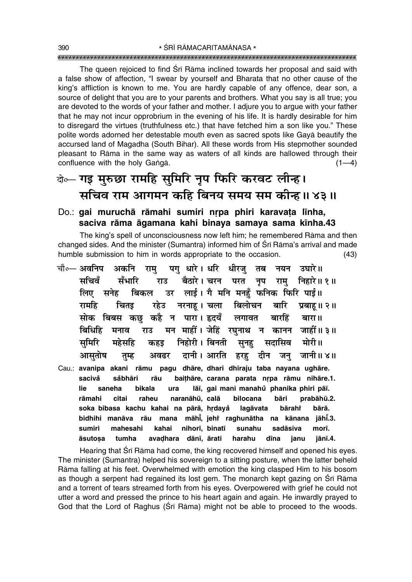The queen rejoiced to find Srī Rāma inclined towards her proposal and said with a false show of affection, "I swear by yourself and Bharata that no other cause of the king's affliction is known to me. You are hardly capable of any offence, dear son, a source of delight that you are to your parents and brothers. What you say is all true; you are devoted to the words of your father and mother. I adjure you to argue with your father that he may not incur opprobrium in the evening of his life. It is hardly desirable for him to disregard the virtues (truthfulness etc.) that have fetched him a son like you." These polite words adorned her detestable mouth even as sacred spots like Gaya beautify the accursed land of Magadha (South Bihar). All these words from His stepmother sounded pleasant to Rama in the same way as waters of all kinds are hallowed through their confluence with the holy Ganga.  $(1-4)$ 

### बेञ्- गइ मुरुछा रामहि सुमिरि नृप फिरि करवट लीन्ह। सचिव राम आगमन कहि बिनय समय सम कीन्ह।। ४३॥

#### Do.: gai muruchā rāmahi sumiri nrpa phiri karavata līnha, saciva rāma āgamana kahi binaya samaya sama kīnha.43

The king's spell of unconsciousness now left him; he remembered Rama and then changed sides. And the minister (Sumantra) informed him of Srī Rāma's arrival and made humble submission to him in words appropriate to the occasion.  $(43)$ 

पग धारे। धरि धीरजु तब चौ०— अवनिप अकनि राम् नयन उघारे॥ बैठारे। चरन परत ਸ਼ਹਿਰੱ मँभारि राउ नृप राम निहारे॥ १॥ उर लाई। गै मनि मनहँ फनिक फिरि पाई॥ बिकल लिए सनेह रामहि नरनाह । चला रहेउ बिलोचन बारि चितड प्रबाह।। २॥ सोक बिबस कछ कहै न पारा। हृदयँ बारहिं लगावत बारा॥ बिधिहि मन माहीं। जेहिं रघनाथ न कानन जाहीं॥३॥ मनाव राउ निहोरी। बिनती मोरी॥ समिरि महेर्साह सूनहु सदासिव कहड दानी । आरति हरहु दीन जनु जानी॥४॥ आसतोष अवढर तुम्ह Cau.: avanipa akani rāmu pagu dhāre, dhari dhīraju taba nayana ughāre. sacivă såbhāri rāu baithāre, carana parata nrpa rāmu nihāre.1. saneha **bikala** lāī, gai mani manahů phanika phiri pāī. lie ura naranāhū, calā prabāhū.2. rāmahi citai raheu bilocana **bāri** soka bibasa kachu kahai na pārā, hrdayå lagāvata bārā. bārahr māhi, jehr raghunātha na kānana jāhi.3. bidhihi manāva rāu mana

nihorī, binatī sumiri mahesahi kahai sunahu sadāsiva morī. āsutosa tumha avadhara dānī, ārati harahu dīna ianu iānī.4.

Hearing that Srī Rāma had come, the king recovered himself and opened his eyes. The minister (Sumantra) helped his sovereign to a sitting posture, when the latter beheld Rāma falling at his feet. Overwhelmed with emotion the king clasped Him to his bosom as though a serpent had regained its lost gem. The monarch kept gazing on Sri Rāma and a torrent of tears streamed forth from his eyes. Overpowered with grief he could not utter a word and pressed the prince to his heart again and again. He inwardly prayed to God that the Lord of Raghus (Sri Rama) might not be able to proceed to the woods.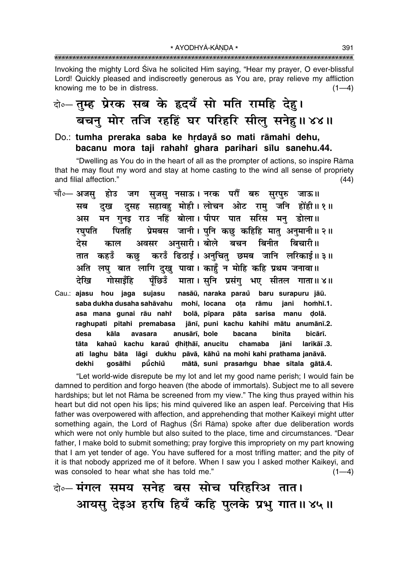\* AYODHYĀ-KĀNDA \* 

Invoking the mighty Lord Siva he solicited Him saying, "Hear my prayer, O ever-blissful Lord! Quickly pleased and indiscreetly generous as You are, pray relieve my affliction knowing me to be in distress.  $(1-4)$ 

## के-तुम्ह प्रेरक सब के हृदयँ सो मति रामहि देह। बचनु मोर तजि रहहिं घर परिहरि सीलु सनेहु॥४४॥

#### Do.: tumha preraka saba ke hrdayå so mati rāmahi dehu, bacanu mora taji rahahi ghara parihari sīlu sanehu.44.

"Dwelling as You do in the heart of all as the prompter of actions, so inspire Rāma that he may flout my word and stay at home casting to the wind all sense of propriety and filial affection."  $(44)$ 

- चौ०— अजसु होउ जग सुजसु नसाऊ। नरक परौं बरु सुरपुरु जाऊ॥ दसह सहावह मोही। लोचन ओट राम् जनि होंही॥१॥ मब दख मन गुनइ राउ नहिं बोला। पीपर पात सरिस मन् डोला॥ अस प्रेमबस जानी। पुनि कछु कहिहि मातु अनुमानी॥२॥ रघपति पितहि अवसर अनसारी। बोले बचन बिनीत बिचारी॥ देस काल करउँ ढिठाई। अनुचितु छमब जानि लरिकाई॥३॥ कहउँ कछ तात अति लघु बात लागि दुखु पावा। काहुँ न मोहि कहि प्रथम जनावा॥ पँछिउँ माता । सनि प्रसंग भए सीतल गाता॥४॥ देखि गोसाइँहि
- Cau.: ajasu hou jaga sujasu nasāū, naraka paraŭ baru surapuru jāū. saba dukha dusaha sahāvahu mohī, locana jani homhī.1. ota rāmu asa mana qunai rāu nahi bolā, pīpara pāta sarisa manu dolā. raghupati pitahi premabasa jānī, puni kachu kahihi mātu anumānī.2. desa kāla avasara anusārī, bole bacana binīta bicārī. kahaů kachu karaů dhithāī, anucitu larikāī .3. tāta chamaba jāni ati laghu bāta lāgi dukhu pāvā, kāhů na mohi kahi prathama janāvā. pūchiů mātā, suni prasamqu bhae sītala gātā.4. dekhi qosāthi

"Let world-wide disrepute be my lot and let my good name perish; I would fain be damned to perdition and forgo heaven (the abode of immortals). Subject me to all severe hardships; but let not Rāma be screened from my view." The king thus prayed within his heart but did not open his lips; his mind quivered like an aspen leaf. Perceiving that His father was overpowered with affection, and apprehending that mother Kaikeyī might utter something again, the Lord of Raghus (Sri Rama) spoke after due deliberation words which were not only humble but also suited to the place, time and circumstances. "Dear father, I make bold to submit something; pray forgive this impropriety on my part knowing that I am yet tender of age. You have suffered for a most trifling matter; and the pity of it is that nobody apprized me of it before. When I saw you I asked mother Kaikeyi, and was consoled to hear what she has told me."  $(1-4)$ 

### वे॰ मंगल समय सनेह बस सोच परिहरिअ तात। आयसु देइअ हरषि हियँ कहि पुलके प्रभु गात॥४५॥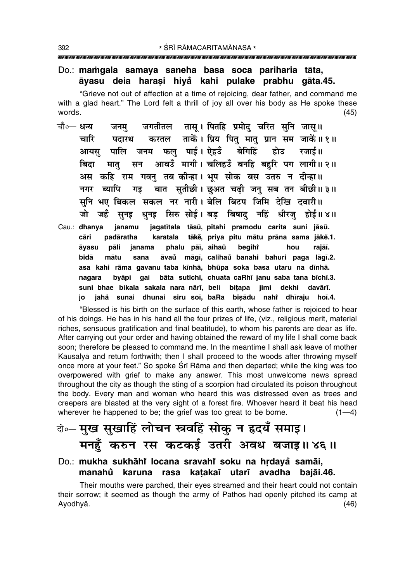#### Do.: mamgala samaya saneha basa soca pariharia tāta, āyasu deia harasi hiyå kahi pulake prabhu gāta.45.

"Grieve not out of affection at a time of rejoicing, dear father, and command me with a glad heart." The Lord felt a thrill of joy all over his body as He spoke these words.  $(45)$ 

- जगतीतल तासू। पितहि प्रमोद् चरित सुनि जासू॥ चौ०— धन्य जनम करतल ताकें। प्रिय पितु मातु प्रान सम जाकें॥१॥ चारि पटारथ जनम फल पाई।ऐहउँ बेगिहिं होउ रजाई॥ पालि आयस आवडँ मागी। चलिहडँ बनहि बहरि पग लागी॥२॥ बिटा मात सन अस कहि राम गवन् तब कीन्हा। भूप सोक बस उतरु न दीन्हा॥ नगर ब्यापि गइ बात सुतीछी। छुअत चढ़ी जनु सब तन बीछी॥३॥ सनि भए बिकल सकल नर नारी। बेलि बिटप जिमि देखि दवारी॥ धनड सिरु सोई। बड बिषाद नहिं धीरज होई॥४॥ जो जहँ सनइ
- janamu jagatītala tāsū, pitahi pramodu carita suni jāsū. Cau.: dhanya tākė, priya pitu mātu prāna sama jākė.1. cāri padāratha karatala hou phalu pāī, aihaů beaiht āvasu pāli ianama rajāī. āvaŭ māgī, calihaŭ banahi bahuri paga lāgī.2. bidā mātu sana asa kahi rāma gavanu taba kīnhā, bhūpa soka basa utaru na dīnhā. nagara byāpi gai bāta sutīchī, chuata caRhī janu saba tana bīchī.3. suni bhae bikala sakala nara nārī, beli bitapa jimi dekhi davārī. jahå sunai dhunai siru soi, baRa bisādu nahi dhīraju hoī.4. io

"Blessed is his birth on the surface of this earth, whose father is rejoiced to hear of his doings. He has in his hand all the four prizes of life, (viz., religious merit, material riches, sensuous gratification and final beatitude), to whom his parents are dear as life. After carrying out your order and having obtained the reward of my life I shall come back soon; therefore be pleased to command me. In the meantime I shall ask leave of mother Kausalyā and return forthwith; then I shall proceed to the woods after throwing myself once more at your feet." So spoke Sri Rama and then departed; while the king was too overpowered with grief to make any answer. This most unwelcome news spread throughout the city as though the sting of a scorpion had circulated its poison throughout the body. Every man and woman who heard this was distressed even as trees and creepers are blasted at the very sight of a forest fire. Whoever heard it beat his head wherever he happened to be; the grief was too great to be borne.  $(1-4)$ 

### वे०- मुख सुखाहिं लोचन स्त्रवहिं सोकु न हृदयँ समाइ। मनहँ करुन रस कटकई उतरी अवध बजाइ॥४६॥

#### Do.: mukha sukhāhi locana sravahi soku na hrdavă samāi, manahů karuna rasa katakaī utarī avadha bajāi.46.

Their mouths were parched, their eves streamed and their heart could not contain their sorrow; it seemed as though the army of Pathos had openly pitched its camp at Ayodhyā.  $(46)$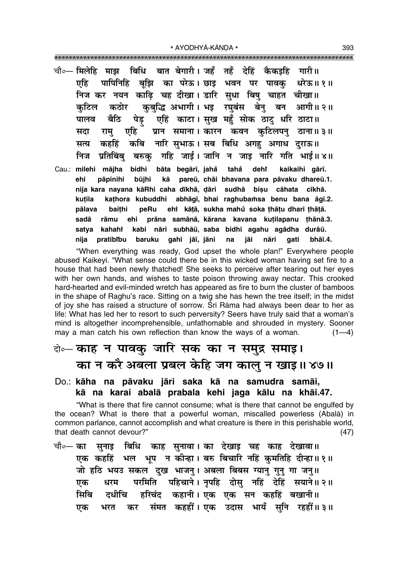\* AYODHYĀ-KĀNDA \* 

- चौ०— मिलेहि माझ बिधि बात बेगारी। जहँ तहँ देहिं कैकड़हि गारी॥ बझि का परेऊ। छाइ भवन पर पावक एहि पापिनिहि धरेऊ॥ १॥ निज कर नयन काढि चह दीखा। डारि सुधा बिषु चाहत चीखा॥ कुबुद्धि अभागी। भइ रघुबंस बेनु बन कठोर कटिल आगी॥ २॥ एहिं काटा। सुख महँ सोक ठाट धरि ठाटा॥ ਕੈਨਿ पेड पालव ग्रान समाना। कारन कवन कुटिलपन् ठाना॥३॥ एहि राम सदा कबि नारि सुभाऊ। सब बिधि अगह अगाध दुराऊ॥ कहहिं सत्य निज प्रतिबिंब बरुक गहि जाई। जानि न जाइ नारि गति भाई॥४॥ tahå deht kaikaihi gārī.
- Cau.: milehi mājha bidhi bāta begārī, jahå pāpinihi būjhi kā pareū, chāi bhavana para pāvaku dhareū.1. ehi nija kara nayana kāRhi caha dīkhā, dāri sudhā bișu cāhata cīkhā. kathora kubuddhi abhāgī, bhai raghubamsa benu bana āgī.2. kutila ehi kātā, sukha mahů soka thātu dhari thātā. pālava baithi peRu sadā rāmu ehi prāna samānā, kārana kavana kuțilapanu țhānā.3. kabi nāri subhāū, saba bidhi agahu agādha durāū. satva kahahi nāri nija pratibibu baruku gahi jāī, jāni na bhāī.4. iāi qati

"When everything was ready, God upset the whole plan!" Everywhere people abused Kaikeyī. "What sense could there be in this wicked woman having set fire to a house that had been newly thatched! She seeks to perceive after tearing out her eyes with her own hands, and wishes to taste poison throwing away nectar. This crooked hard-hearted and evil-minded wretch has appeared as fire to burn the cluster of bamboos in the shape of Raghu's race. Sitting on a twig she has hewn the tree itself; in the midst of joy she has raised a structure of sorrow. Sri Rama had always been dear to her as life: What has led her to resort to such perversity? Seers have truly said that a woman's mind is altogether incomprehensible, unfathomable and shrouded in mystery. Sooner may a man catch his own reflection than know the ways of a woman.  $(1-4)$ 

### वे⊶ काह न पावकु जारि सक का न समुद्र समाइ। का न करै अबला प्रबल केहि जग कालु न खाइ॥४७॥

#### Do.: kāha na pāvaku jāri saka kā na samudra samāi, kā na karai abalā prabala kehi jaga kālu na khāi.47.

"What is there that fire cannot consume; what is there that cannot be engulfed by the ocean? What is there that a powerful woman, miscalled powerless (Abala) in common parlance, cannot accomplish and what creature is there in this perishable world, that death cannot devour?"  $(47)$ 

काह सुनावा। का देखाइ चह काह देखावा॥ चौ∘— का बिधि सूनाइ भल भूप न कोन्हा। बरु बिचारि नहिं कुमतिहि दीन्हा॥१॥ एक कहहिं जो हठि भयउ सकल दुख भाजनु । अबला बिबस ग्यानु गुनु गा जनु ॥ परमिति पहिचाने । नपहि दोस नहिं देहिं सयाने ॥ २ ॥ एक धरम हरिचंद कहानी। एक एक सन कहहिं बखानी॥ सिबि दधीचि संमत कहहीं। एक उदास भायँ सुनि रहहीं॥३॥ एक कर भरत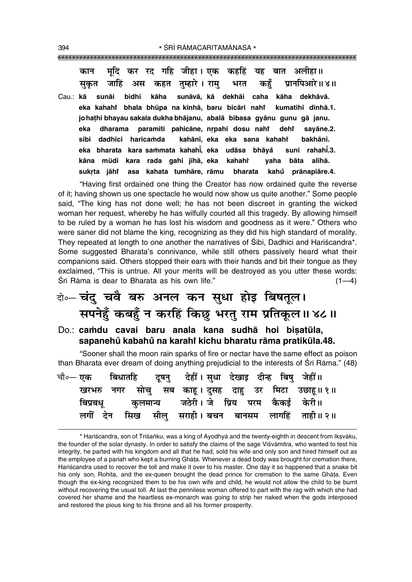**∑§ÊŸ ◊ÍÁŒ ∑§⁄U ⁄UŒ ªÁ"U ¡Ë"UÊ– ∞∑§ ∑§"U®"U ÿ"U 'Êà •‹Ë"UÊH** सकत जाहिं अस कहत तुम्हारे**। राम् भरत कहँ प्रानपिआरे॥४**॥ Cau.: **kå sunåi bidhi kåha sunåvå, kå dekhåi caha kåha dekhåvå. eka kahahiÚ bhala bhµupa na k∂nhå, baru bicåri nahiÚ kumatihi d∂nhå.1. jo ha¢hi bhayau sakala dukha bhåjanu, abalå bibasa gyånu gunu gå janu. eka dharama paramiti pahicāne, nrpahi dosu nahi dehi sayāne.2. sibi dadh∂ci harica≈da kahån∂, eka eka sana kahahiÚ bakhån∂. eka bharata kara sa≈mata kahah∂° , eka udåsa bhåya° suni rahah∂°** suni rahahi<sup>3</sup>. **kåna mµudi kara rada gahi j∂hå, eka kahahiÚ yaha båta al∂hå. sukæta jåhiÚ asa kahata tumhåre, råmu bharata kahu prånapiåre.4. °**

ìHaving first ordained one thing the Creator has now ordained quite the reverse of it; having shown us one spectacle he would now show us quite another.î Some people said, "The king has not done well; he has not been discreet in granting the wicked woman her request, whereby he has wilfully courted all this tragedy. By allowing himself to be ruled by a woman he has lost his wisdom and goodness as it were." Others who were saner did not blame the king, recognizing as they did his high standard of morality. They repeated at length to one another the narratives of Sibi, Dadhīci and Hariścandra\*. Some suggested Bharataís connivance, while still others passively heard what their companions said. Others stopped their ears with their hands and bit their tongue as they exclaimed, "This is untrue. All your merits will be destroyed as you utter these words:  $\overline{S}$ rī Rāma is dear to Bharata as his own life." (1—4)

### दो**०– चंदु चवै बरु अनल कन सुधा होइ बिषतूल।** सपनेहुँ कबहुँ न करहिं किछु भरतु राम प्रतिकूल॥ ४८॥

#### Do.: camdu cavai baru anala kana sudhā hoi bisatūla, **sapanehu° kabahu° na karahiÚ kichu bharatu råma pratikµula.48.**

ìSooner shall the moon rain sparks of fire or nectar have the same effect as poison than Bharata ever dream of doing anything prejudicial to the interests of Śrī Rāma." (48)

|  |  |  |  |  | चौ०— एक     बिधातहि      दूषनु      देहीं । सुधा   देखाइ   दीन्ह   बिषु   जेहीं ॥ |
|--|--|--|--|--|-----------------------------------------------------------------------------------|
|  |  |  |  |  | खरभरु नगर सोचु सब काहू।दुसह दाहु उर मिटा उछाहू॥१॥                                 |
|  |  |  |  |  | बिप्रबधु कुलमान्य जठेरी।जे प्रिय परम कैकई केरी॥                                   |
|  |  |  |  |  | लगीं देन सिख सीलु सराही।बचन बानसम लागहिं ताही॥२॥                                  |

\* Hariścandra, son of Triśanku, was a king of Ayodhyā and the twenty-eighth in descent from Iksvāku, the founder of the solar dynasty. In order to satisfy the claims of the sage Viśvāmitra, who wanted to test his integrity, he parted with his kingdom and all that he had, sold his wife and only son and hired himself out as the employee of a pariah who kept a burning Ghāta. Whenever a dead body was brought for cremation there, Hariscandra used to recover the toll and make it over to his master. One day it so happened that a snake bit his only son, Rohita, and the ex-queen brought the dead prince for cremation to the same Ghāta. Even though the ex-king recognized them to be his own wife and child, he would not allow the child to be burnt without recovering the usual toll. At last the penniless woman offered to part with the rag with which she had covered her shame and the heartless ex-monarch was going to strip her naked when the gods interposed and restored the pious king to his throne and all his former prosperity.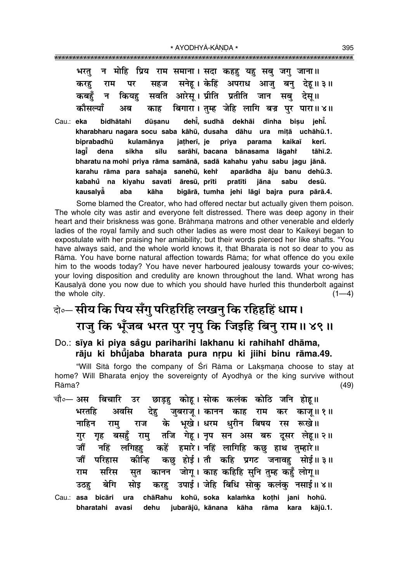| भरत् न मोहि प्रिय राम समाना। सदा कहहु यहु सबु जगु जाना॥ |                                                                     |
|---------------------------------------------------------|---------------------------------------------------------------------|
| पर<br>राम<br>करह                                        | सहज सनेहूं। केहिं अपराध आजु बनु देह॥३॥                              |
| कबहुँ न कियहु सवति आरेसू।प्रीति प्रतीति जान सब          | देस् ॥                                                              |
| कौसल्यॉ                                                 | अब काह बिगारा। तुम्ह जेहि लागि बज्र पुर पारा॥४॥                     |
| bidhātahi<br>Cau.: <b>eka</b>                           | dūşanu  dehi̇̃, sudhā  dekhāi  dīnha  biṣu  jehi̇̃.                 |
|                                                         | kharabharu nagara socu saba kāhū, dusaha dāhu ura mitā uchāhū.1.    |
| biprabadhū                                              | kulamānya jatherī, je priya parama kaikaī<br>kerī.                  |
| lagī dena sikha sīlu sarāhī, bacana bānasama lāgaht     | tāhī.2.                                                             |
|                                                         | bharatu na mohi priya rāma samānā, sadā kahahu yahu sabu jagu jānā. |
| karahu rāma para sahaja sanehū, kehr aparādha āju banu  | dehū.3.                                                             |
| kabahů na kiyahu savati āresū, prīti pratīti            | jāna<br>desū.<br>sabu                                               |
| kausalvā<br>aba<br>kāha                                 | bigārā, tumha jehi lāgi bajra pura pārā.4.                          |

Some blamed the Creator, who had offered nectar but actually given them poison. The whole city was astir and everyone felt distressed. There was deep agony in their heart and their briskness was gone. Brāhmana matrons and other venerable and elderly ladies of the royal family and such other ladies as were most dear to Kaikeyī began to expostulate with her praising her amiability; but their words pierced her like shafts. "You have always said, and the whole world knows it, that Bharata is not so dear to you as Rāma. You have borne natural affection towards Rāma; for what offence do you exile him to the woods today? You have never harboured jealousy towards your co-wives; your loving disposition and credulity are known throughout the land. What wrong has Kausalyā done you now due to which you should have hurled this thunderbolt against the whole city.  $(1-4)$ 

### केन्ट सीय कि पिय सँगु परिहरिहि लखनु कि रहिहहिं धाम। राजु कि भूँजब भरत पुर नृपु कि जिइहि बिनु राम॥४९॥

Do.: sīya ki piya sågu pariharihi lakhanu ki rahihahi dhāma, rāju ki bhūjaba bharata pura nrpu ki jiihi binu rāma.49.

"Will Sītā forgo the company of Śrī Rāma or Laksmana choose to stay at home? Will Bharata enjoy the sovereignty of Ayodhya or the king survive without Rāma?  $(49)$ 

- छाड़हु कोहू। सोक कलंक कोठि जनि होहू॥ चौ∘— अस बिचारि उर अवसि देहु जुबराजू।कानन काह राम कर काजू॥१॥ भरतहि के भूखे। धरम धरीन बिषय रस रूखे।। नाहिन राम् राज गुर गृह बसहुँ रामु तजि गेहू। नृप सन अस बरु दूसर लेहू॥ २॥ कहें हमारे। नहिं लागिहि कछ हाथ तुम्हारे॥ नहिं लगिहह जौं कछ होई। तौ कहि प्रगट जनावह सोई॥३॥ जौं परिहास कीन्हि कानन जोग् । काह कहिहि सुनि तुम्ह कहँ लोग्॥ राम मरिस सत करह उपाई। जेहि बिधि सोकु कलंकु नसाई॥४॥ बेगि मोड उठह
- chāRahu kohū, soka kalamka kothi jani hohū. Cau.: asa bicāri ura dehu jubarājū, kānana kāha bharatahi avasi rāma kara kājū.1.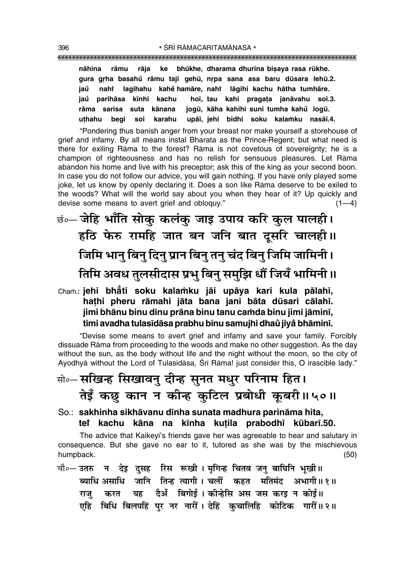nāhina rāmu rāja ke bhūkhe, dharama dhurīna bişaya rasa rūkhe. gura grha basahů rāmu taji gehū, nrpa sana asa baru dūsara lehū.2. lagihahu kahe hamāre, nahi lāgihi kachu hātha tumhāre. iaů nahi kīnhi kachu hoī, tau kahi pragața janāvahu soī.3. jaů parihāsa rāma sarisa suta kānana jogū, kāha kahihi suni tumha kahů logū. uthahu beai soi karahu upāī, jehi bidhi soku kalamku nasāī.4.

"Pondering thus banish anger from your breast nor make yourself a storehouse of grief and infamy. By all means instal Bharata as the Prince-Regent; but what need is there for exiling Rama to the forest? Rama is not covetous of sovereignty: he is a champion of righteousness and has no relish for sensuous pleasures. Let Rāma abandon his home and live with his preceptor; ask this of the king as your second boon. In case you do not follow our advice, you will gain nothing. If you have only played some joke, let us know by openly declaring it. Does a son like Rama deserve to be exiled to the woods? What will the world say about you when they hear of it? Up quickly and devise some means to avert grief and obloquy."  $(1-4)$ 

छं०- जेहि भाँति सोकू कलंकु जाइ उपाय करि कुल पालही। हठि फेरु रामहि जात बन जनि बात दूसरि चालही।। जिमि भानु बिनु दिनु प्रान बिनु तनु चंद बिनु जिमि जामिनी। तिमि अवध तुलसीदास प्रभु बिनु समुझि धौं जियँ भामिनी॥

#### Cham.: jehi bhåti soku kalamku jāi upāya kari kula pālahī, hathi pheru rāmahi jāta bana jani bāta dūsari cālahī. jimi bhānu binu dinu prāna binu tanu camda binu jimi jāminī, timi avadha tulasīdāsa prabhu binu samujhi dhaŭ jiyå bhāminī.

"Devise some means to avert grief and infamy and save your family. Forcibly dissuade Rama from proceeding to the woods and make no other suggestion. As the day without the sun, as the body without life and the night without the moon, so the city of Ayodhya without the Lord of Tulasidasa, Sri Rama! just consider this, O irascible lady."

### सो० सखिन्ह सिखावनु दीन्ह सुनत मधुर परिनाम हित। तेइँ कछु कान न कीन्ह कुटिल प्रबोधी कूबरी॥५०॥

So.: sakhinha sikhāvanu dīnha sunata madhura parināma hita, tei kachu kāna na kīnha kutila prabodhī kūbarī.50.

The advice that Kaikeyi's friends gave her was agreeable to hear and salutary in consequence. But she gave no ear to it, tutored as she was by the mischievous humpback.  $(50)$ 

चौ०- उतरु न देइ दुसह रिस रूखी। मृगिन्ह चितव जनु बाघिनि भूखी॥ ब्याधि असाधि जानि तिन्ह त्यागी। चलीं कहत मतिमंद अभागी॥१॥ यह दैअँ बिगोर्ड। कीन्हेसि अस जस करड न कोई॥ करत राज एहि बिधि बिलपहिं पुर नर नारीं। देहिं कुचालिहि कोटिक गारीं॥२॥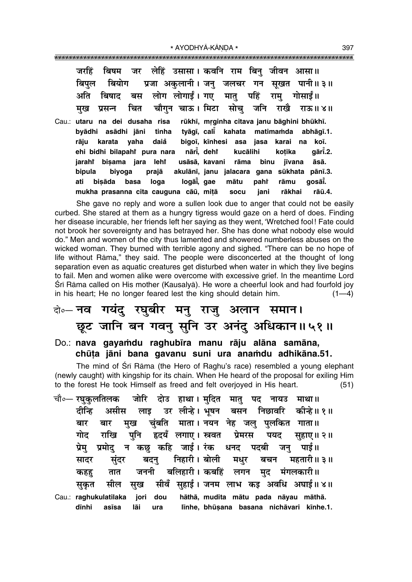| जरहिं<br>बिषम जर लेहिं उसासा। कवनि राम बिनु जीवन आसा॥                     |                                  |
|---------------------------------------------------------------------------|----------------------------------|
| बिपुल बियोग प्रजा अकुलानी। जनु जलचर गन सूखत पानी॥३॥                       |                                  |
| अति बिषाद बस लोग लोगाईं। गए मातु पहिं रामु गोसाईं॥                        |                                  |
| मुख प्रसन्न चित चौगुन चाऊ।मिटा सोचु जनि राखै राऊ॥४॥                       |                                  |
| Cau.: utaru na dei dusaha risa rūkhī, mrginha citava janu bāghini bhūkhī. |                                  |
| byādhi asādhi jāni tinha tyāgī, calī kahata matimamda abhāgī.1.           |                                  |
| rāju karata yaha daiå bigoī, kīnhesi asa jasa karai na koī.               |                                  |
| ehi bidhi bilapahi pura nara nārī, dehi kucālihi kotika                   | gārī.2.                          |
| jarahi bişama jara lehi usāsā, kavani rāma binu jīvana                    | āsā.                             |
| biyoga prajā akulānī, janu jalacara gana sūkhata pānī.3.<br>bipula        |                                  |
| logāĭ̃, gae mātu<br>basa loga<br>bisāda<br>ati                            | pahř<br>gosāī.<br>rāmu           |
| mukha prasanna cita cauguna cāū, mitā                                     | jani<br>rākhai<br>rāū.4.<br>socu |

She gave no reply and wore a sullen look due to anger that could not be easily curbed. She stared at them as a hungry tigress would gaze on a herd of does. Finding her disease incurable, her friends left her saying as they went, 'Wretched fool! Fate could not brook her sovereignty and has betrayed her. She has done what nobody else would do.î Men and women of the city thus lamented and showered numberless abuses on the wicked woman. They burned with terrible agony and sighed. "There can be no hope of life without Rāma," they said. The people were disconcerted at the thought of long separation even as aquatic creatures get disturbed when water in which they live begins to fail. Men and women alike were overcome with excessive grief. In the meantime Lord  $\overline{S}$ rī Rāma called on His mother (Kausalyā). He wore a cheerful look and had fourfold joy in his heart; He no longer feared lest the king should detain him.  $(1-4)$ 

### दो**०– नव गयंद् रघुबीर मनु राजु अलान समान।** छूट जानि बन गवनु सुनि उर अनंदु अधिकान॥५१॥

#### Do.: **nava gaya≈du raghub∂ra manu råju alåna samåna, chµu¢a jåni bana gavanu suni ura ana≈du adhikåna.51.**

The mind of Srī Rāma (the Hero of Raghu's race) resembled a young elephant (newly caught) with kingship for its chain. When He heard of the proposal for exiling Him to the forest He took Himself as freed and felt overjoyed in His heart. (51)

चौ०— रघुकुलतिलक जोरि दोउ हाथा। मुदित मातु पद नायउ माथा॥ दीन्हि असीस लाइ उर**लीन्हे। भूषन बसन निछावरि कीन्हे**॥१॥ ेबार बार मुख चंबति माता। नयन नेह जल् पुलकित गाता॥ <u>गोद राखि पुनि हृदयँलगाएं। स्त्रवत प्रेमरस पयद सुहाएं॥२॥</u> <u>प्रेम् प्रमोद</u> न कछ कहि जाई।**रंक धनद पदबी जन् पाई**॥ सादर संदर बदनु निहारी।बोली मधुर बचन महतारी॥३॥ ॅकहहु तात जननी बलिहारी। कबहिं लगन मुद मंगलकारी॥ सकत सील सख सीवँ सहाई। जनम लाभ कइ अवधि अघाई॥४॥ Cau.: **raghukulatilaka jori dou håthå, mudita måtu pada nåyau måthå.** dīnhi asīsa lāi ura līnhe, bhūṣana basana nichāvari kīnhe.1.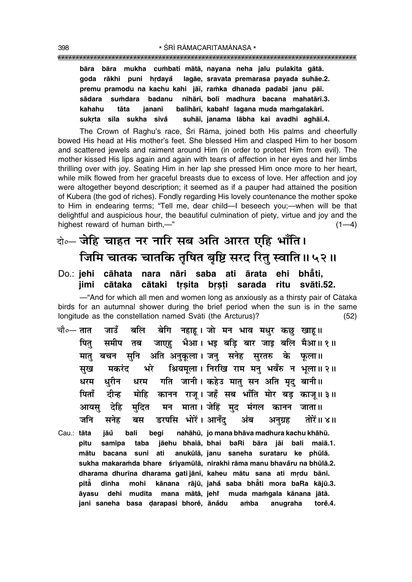bāra bāra mukha cumbati mātā, nayana neha jalu pulakita gātā. lagãe, sravata premarasa payada suhãe.2. goda rākhi puni hrdayå premu pramodu na kachu kahi jāī, ramka dhanada padabī janu pāī. sumdara badanu nihārī, bolī madhura bacana mahatārī.3. sādara kahahu tāta iananī balihārī, kabahi lagana muda mamgalakārī.

suhāī, janama lābha kai avadhi aghāī.4. sukrta sīla sukha sīvå

The Crown of Raghu's race, Srī Rāma, joined both His palms and cheerfully bowed His head at His mother's feet. She blessed Him and clasped Him to her bosom and scattered jewels and raiment around Him (in order to protect Him from evil). The mother kissed His lips again and again with tears of affection in her eyes and her limbs thrilling over with joy. Seating Him in her lap she pressed Him once more to her heart, while milk flowed from her graceful breasts due to excess of love. Her affection and joy were altogether beyond description; it seemed as if a pauper had attained the position of Kubera (the god of riches). Fondly regarding His lovely countenance the mother spoke to Him in endearing terms; "Tell me, dear child-I beseech you;- when will be that delightful and auspicious hour, the beautiful culmination of piety, virtue and joy and the highest reward of human birth,-"  $(1-4)$ 

### बे॰- जेहि चाहत नर नारि सब अति आरत एहि भाँति। जिमि चातक चातकि तृषित बृष्टि सरद रितु स्वाति॥५२॥

#### nara nāri saba ati ehi bhăti. Do.: jehi cāhata ārata iimi cātaka cātaki trsita brsti sarada ritu svāti.52.

-"And for which all men and women long as anxiously as a thirsty pair of Cātaka birds for an autumnal shower during the brief period when the sun is in the same longitude as the constellation named Svatī (the Arcturus)?  $(52)$ 

- चौ∘— तात बलि बेगि नहाहू। जो मन भाव मधुर कछु खाहू॥ जाउँ जाएह भैआ। भड़ बड़ि बार जाइ बलि मैआ॥१॥ पित समीप तब मात बचन सनि अति अनकला। जन सनेह सरतरु के फला॥ श्रियमूला। निरखि राम मनु भवँरु न भूला॥ २॥ सख मकरंद भरे गति जानी। कहेउ मात् सन अति मृद् बानी॥ धरम धरीन धरम कानन राज् । जहँ सब भाँति मोर बड काज्॥३॥ मोहि पिताँ दीन्ह मन माता। जेहिं मुद मंगल कानन जाता॥ देहि मदित आयस डरपसि भोरें। आनँद जनि सनेह बस अंब अनुग्रह तोरें ॥ ४ ॥
- Cau.: tāta jāů begi nahāhū, jo mana bhāva madhura kachu khāhū. bali pitu samīpa taba jāehu bhaiā, bhai baRi bāra jāi bali maiā.1. anukūlā, janu saneha surataru ke phūlā. mātu bacana suni ati sukha makaramda bhare śriyamūlā, nirakhi rāma manu bhavåru na bhūlā.2. dharama dhurīna dharama gatijānī, kaheu mātu sana ati mrdu bānī. pită kānana rājū, jahå saba bhāti mora baRa kājū.3. dīnha mohi āyasu dehi mudita mana mātā, jehr muda mamgala kānana jātā. jani saneha basa darapasi bhorě, ānådu amba anugraha torě.4.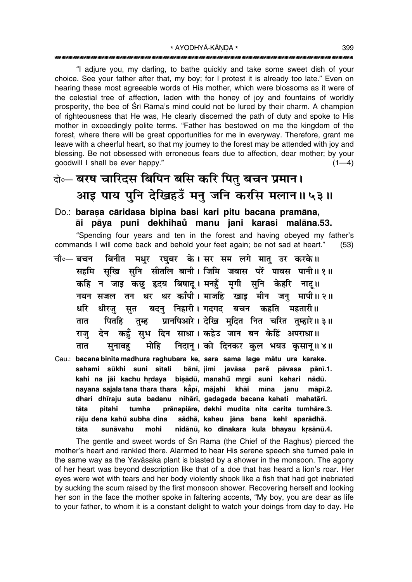"I adjure you, my darling, to bathe quickly and take some sweet dish of your choice. See your father after that, my boy; for I protest it is already too late." Even on hearing these most agreeable words of His mother, which were blossoms as it were of the celestial tree of affection, laden with the honey of joy and fountains of worldly prosperity, the bee of Sri Rama's mind could not be lured by their charm. A champion of righteousness that He was. He clearly discerned the path of duty and spoke to His mother in exceedingly polite terms. "Father has bestowed on me the kingdom of the forest, where there will be great opportunities for me in everyway. Therefore, grant me leave with a cheerful heart, so that my journey to the forest may be attended with joy and blessing. Be not obsessed with erroneous fears due to affection, dear mother; by your goodwill I shall be ever happy."  $(1-4)$ 

### के- बरष चारिदस बिपिन बसि करि पितु बचन प्रमान। आइ पाय पुनि देखिहउँ मनु जनि करसि मलान॥५३॥

#### Do.: barașa cāridasa bipina basi kari pitu bacana pramāna, āi pāya puni dekhihaŭ manu jani karasi malāna.53.

"Spending four years and ten in the forest and having obeyed my father's commands I will come back and behold your feet again; be not sad at heart."  $(53)$ 

- बिनीत मधुर रघुबर के।सर सम लगे मातु उर करके॥ चौ∘— बचन सहमि सूखि सुनि सीतलि बानी। जिमि जवास परें पावस पानी॥१॥ कहि न जाइ कछ हृदय बिषाद् । मनहँ मृगी सुनि केहरि नाद् ॥ नयन सजल तन थर थर काँपी। माजहि खाइ मीन जनु मापी॥२॥ बदनु निहारी। गदगद बचन कहति महतारी॥ धीरज धरि सूत प्रानपिआरे। देखि मुदित नित चरित तुम्हारे॥३॥ पितहि तम्ह तात देन कहँ सुभ दिन साधा। कहेउ जान बन केहिं अपराधा॥ राज् निदान् । को दिनकर कुल भयउ कुसान् ॥ ४॥ मोहि तात सुनावह
- Cau.: bacana binīta madhura raghubara ke, sara sama lage mātu ura karake. sahami sükhi suni sītali bānī, jimi javāsa parě pāvasa pānī.1. kahi na jāi kachu hrdaya bisādū, manahů mrgī suni kehari nādū. nayana sajala tana thara thara kapi, mājahi khāi mīna janu māpī.2. dhari dhīraju suta badanu nihārī, gadagada bacana kahati mahatārī. tāta pitahi tumha prānapiāre, dekhi mudita nita carita tumhāre.3. rāju dena kahů subha dina sādhā, kaheu jāna bana kehi aparādhā. nidānū, ko dinakara kula bhayau krsānū.4. tāta sunāvahu mohi

The gentle and sweet words of Sri Rama (the Chief of the Raghus) pierced the mother's heart and rankled there. Alarmed to hear His serene speech she turned pale in the same way as the Yavāsaka plant is blasted by a shower in the monsoon. The agony of her heart was beyond description like that of a doe that has heard a lion's roar. Her eyes were wet with tears and her body violently shook like a fish that had got inebriated by sucking the scum raised by the first monsoon shower. Recovering herself and looking her son in the face the mother spoke in faltering accents, "My boy, you are dear as life to your father, to whom it is a constant delight to watch your doings from day to day. He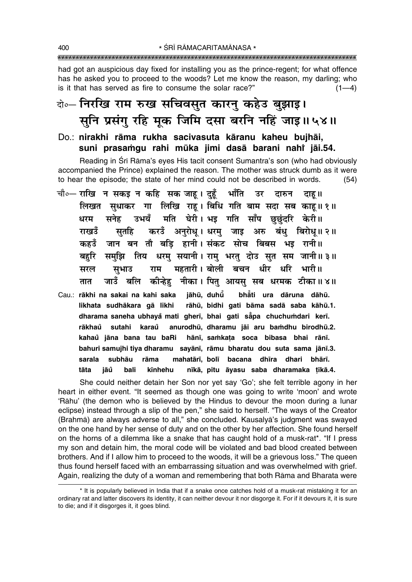had got an auspicious day fixed for installing you as the prince-regent; for what offence has he asked you to proceed to the woods? Let me know the reason, my darling; who is it that has served as fire to consume the solar race?"  $(1-4)$ 

### कोन् निरखि राम रुख सचिवसुत कारनु कहेउ बुझाइ। सुनि प्रसंगु रहि मूक जिमि दसा बरनि नहिं जाइ॥५४॥

#### Do.: nirakhi rāma rukha sacivasuta kāranu kaheu bujhāi, suni prasamgu rahi mūka jimi dasā barani nahi jāi.54.

Reading in Śrī Rāma's eyes His tacit consent Sumantra's son (who had obviously accompanied the Prince) explained the reason. The mother was struck dumb as it were to hear the episode; the state of her mind could not be described in words.  $(54)$ 

- चौ०— राखि न सकइ न कहि सक जाहू। दुहूँ भाँति उर दारुन दाहू॥ लिखत सुधाकर गा लिखि राह। बिधि गति बाम सदा सब काह॥ १॥ सनेह उभयँ मति घेरी। भड़ गति साँप छछंदरि केरी॥ धरम सतहि करउँ अनुरोध् । धरमु जाइ अरु बंधु बिरोधू॥२॥ गाग्वर्डे कहउँ जान बन तौ बडि हानी। संकट सोच बिबस भइ रानी॥ समुझि तिय धरमु सयानी। रामु भरतु दोउ सुत सम जानी॥३॥ बहरि महतारी। बोली बचन धीर धरि भारी॥ सभाउ राम सरल जाउँ बलि कीन्हेहु नीका। पितु आयसु सब धरमक टीका॥४॥ तात
- Cau.: rākhi na sakai na kahi saka jāhū, duhū bhåti ura dāruna dāhū. likhata sudhākara gā likhi rāhū, bidhi gati bāma sadā saba kāhū.1. dharama saneha ubhayă mati gherī, bhai gati sapa chuchumdari kerī. rākhaů sutahi karaů anurodhū, dharamu jāi aru bamdhu birodhū.2. kahaů jāna bana tau baRi hānī, samkata soca bibasa bhai rānī. bahuri samujhi tiya dharamu sayānī, rāmu bharatu dou suta sama jānī.3. sarala subhāu rāma mahatārī, bolī bacana dhīra dhari bhārī. nīkā, pitu āyasu saba dharamaka tīkā.4. tāta jāů kīnhehu bali

She could neither detain her Son nor yet say 'Go'; she felt terrible agony in her heart in either event. "It seemed as though one was going to write 'moon' and wrote 'Rāhu' (the demon who is believed by the Hindus to devour the moon during a lunar eclipse) instead through a slip of the pen," she said to herself. "The ways of the Creator (Brahmā) are always adverse to all," she concluded. Kausalyā's judgment was swayed on the one hand by her sense of duty and on the other by her affection. She found herself on the horns of a dilemma like a snake that has caught hold of a musk-rat\*. "If I press my son and detain him, the moral code will be violated and bad blood created between brothers. And if I allow him to proceed to the woods, it will be a grievous loss." The queen thus found herself faced with an embarrassing situation and was overwhelmed with grief. Again, realizing the duty of a woman and remembering that both Rama and Bharata were

<sup>\*</sup> It is popularly believed in India that if a snake once catches hold of a musk-rat mistaking it for an ordinary rat and latter discovers its identity, it can neither devour it nor disgorge it. For if it devours it, it is sure to die; and if it disgorges it, it goes blind.